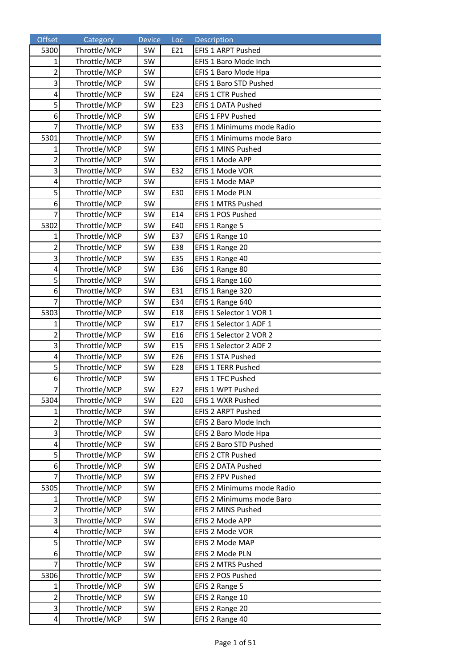| Offset                  | Category                     | <b>Device</b> | Loc | Description                                    |
|-------------------------|------------------------------|---------------|-----|------------------------------------------------|
| 5300                    | Throttle/MCP                 | SW            | E21 | EFIS 1 ARPT Pushed                             |
| $\mathbf{1}$            | Throttle/MCP                 | SW            |     | EFIS 1 Baro Mode Inch                          |
| $\overline{c}$          | Throttle/MCP                 | SW            |     | EFIS 1 Baro Mode Hpa                           |
| 3                       | Throttle/MCP                 | SW            |     | EFIS 1 Baro STD Pushed                         |
| 4                       | Throttle/MCP                 | SW            | E24 | EFIS 1 CTR Pushed                              |
| 5                       | Throttle/MCP                 | SW            | E23 | EFIS 1 DATA Pushed                             |
| 6                       | Throttle/MCP                 | SW            |     | EFIS 1 FPV Pushed                              |
| $\overline{7}$          | Throttle/MCP                 | SW            | E33 | EFIS 1 Minimums mode Radio                     |
| 5301                    | Throttle/MCP                 | SW            |     | EFIS 1 Minimums mode Baro                      |
| 1                       | Throttle/MCP                 | SW            |     | EFIS 1 MINS Pushed                             |
| 2                       | Throttle/MCP                 | SW            |     | EFIS 1 Mode APP                                |
| 3                       | Throttle/MCP                 | SW            | E32 | EFIS 1 Mode VOR                                |
| 4                       | Throttle/MCP                 | SW            |     | EFIS 1 Mode MAP                                |
| 5                       | Throttle/MCP                 | SW            | E30 | EFIS 1 Mode PLN                                |
| 6                       | Throttle/MCP                 | SW            |     | EFIS 1 MTRS Pushed                             |
| $\overline{7}$          | Throttle/MCP                 | SW            | E14 | EFIS 1 POS Pushed                              |
| 5302                    | Throttle/MCP                 | SW            | E40 | EFIS 1 Range 5                                 |
| $\mathbf{1}$            | Throttle/MCP                 | SW            | E37 | EFIS 1 Range 10                                |
| $\overline{\mathbf{c}}$ | Throttle/MCP                 | SW            | E38 | EFIS 1 Range 20                                |
| $\overline{\mathbf{3}}$ | Throttle/MCP                 | SW            | E35 | EFIS 1 Range 40                                |
| 4                       | Throttle/MCP                 | SW            | E36 | EFIS 1 Range 80                                |
| 5                       | Throttle/MCP                 | SW            |     | EFIS 1 Range 160                               |
| 6                       | Throttle/MCP                 | SW            | E31 | EFIS 1 Range 320                               |
| 7                       | Throttle/MCP                 | SW            | E34 | EFIS 1 Range 640                               |
| 5303                    | Throttle/MCP                 | SW            | E18 | EFIS 1 Selector 1 VOR 1                        |
| 1                       | Throttle/MCP                 | SW            | E17 | EFIS 1 Selector 1 ADF 1                        |
| $\overline{2}$          | Throttle/MCP                 | SW            | E16 | EFIS 1 Selector 2 VOR 2                        |
| 3                       | Throttle/MCP                 | SW            | E15 | EFIS 1 Selector 2 ADF 2                        |
| 4                       | Throttle/MCP                 | SW            | E26 | EFIS 1 STA Pushed                              |
| 5                       | Throttle/MCP                 | SW            | E28 | EFIS 1 TERR Pushed                             |
| 6                       | Throttle/MCP                 | SW            |     | <b>EFIS 1 TFC Pushed</b>                       |
| $\overline{7}$          | Throttle/MCP                 | SW            | E27 | EFIS 1 WPT Pushed                              |
| 5304                    | Throttle/MCP                 | SW            | E20 | EFIS 1 WXR Pushed                              |
| 1                       | Throttle/MCP                 | SW            |     | EFIS 2 ARPT Pushed                             |
| $\overline{2}$          | Throttle/MCP                 | SW            |     | EFIS 2 Baro Mode Inch                          |
| 3<br>4                  | Throttle/MCP<br>Throttle/MCP | SW<br>SW      |     | EFIS 2 Baro Mode Hpa<br>EFIS 2 Baro STD Pushed |
| 5                       | Throttle/MCP                 | SW            |     | EFIS 2 CTR Pushed                              |
| 6                       | Throttle/MCP                 | SW            |     | EFIS 2 DATA Pushed                             |
| 7                       | Throttle/MCP                 | SW            |     | EFIS 2 FPV Pushed                              |
| 5305                    | Throttle/MCP                 | SW            |     | EFIS 2 Minimums mode Radio                     |
| 1                       | Throttle/MCP                 | SW            |     | EFIS 2 Minimums mode Baro                      |
| $\overline{2}$          | Throttle/MCP                 | SW            |     | EFIS 2 MINS Pushed                             |
| 3                       | Throttle/MCP                 | SW            |     | EFIS 2 Mode APP                                |
| 4                       | Throttle/MCP                 | SW            |     | EFIS 2 Mode VOR                                |
| 5                       | Throttle/MCP                 | SW            |     | EFIS 2 Mode MAP                                |
| 6                       | Throttle/MCP                 | SW            |     | EFIS 2 Mode PLN                                |
| 7                       | Throttle/MCP                 | SW            |     | EFIS 2 MTRS Pushed                             |
| 5306                    | Throttle/MCP                 | SW            |     | EFIS 2 POS Pushed                              |
| 1                       | Throttle/MCP                 | SW            |     | EFIS 2 Range 5                                 |
| 2                       | Throttle/MCP                 | SW            |     | EFIS 2 Range 10                                |
| 3                       | Throttle/MCP                 | SW            |     | EFIS 2 Range 20                                |
| 4                       | Throttle/MCP                 | SW            |     | EFIS 2 Range 40                                |
|                         |                              |               |     |                                                |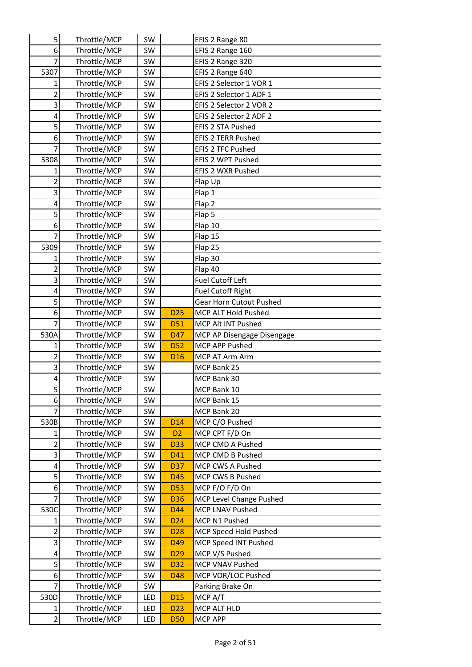| 5              | Throttle/MCP | SW  |                 | EFIS 2 Range 80            |
|----------------|--------------|-----|-----------------|----------------------------|
| 6              | Throttle/MCP | SW  |                 | EFIS 2 Range 160           |
| 7              | Throttle/MCP | SW  |                 | EFIS 2 Range 320           |
| 5307           | Throttle/MCP | SW  |                 | EFIS 2 Range 640           |
| $\mathbf{1}$   | Throttle/MCP | SW  |                 | EFIS 2 Selector 1 VOR 1    |
| $\overline{2}$ | Throttle/MCP | SW  |                 | EFIS 2 Selector 1 ADF 1    |
| 3              | Throttle/MCP | SW  |                 | EFIS 2 Selector 2 VOR 2    |
| 4              | Throttle/MCP | SW  |                 | EFIS 2 Selector 2 ADF 2    |
| 5              | Throttle/MCP | SW  |                 | EFIS 2 STA Pushed          |
| 6              | Throttle/MCP | SW  |                 | <b>EFIS 2 TERR Pushed</b>  |
| 7              | Throttle/MCP | SW  |                 | EFIS 2 TFC Pushed          |
| 5308           | Throttle/MCP | SW  |                 | EFIS 2 WPT Pushed          |
| 1              | Throttle/MCP | SW  |                 | EFIS 2 WXR Pushed          |
| 2              | Throttle/MCP | SW  |                 | Flap Up                    |
| 3              | Throttle/MCP | SW  |                 | Flap 1                     |
| 4              | Throttle/MCP | SW  |                 | Flap 2                     |
| 5              | Throttle/MCP | SW  |                 | Flap 5                     |
| 6              | Throttle/MCP | SW  |                 | Flap 10                    |
| 7              | Throttle/MCP | SW  |                 | Flap 15                    |
| 5309           | Throttle/MCP | SW  |                 | Flap 25                    |
| 1              | Throttle/MCP | SW  |                 | Flap 30                    |
| 2              | Throttle/MCP | SW  |                 | Flap 40                    |
| 3              | Throttle/MCP | SW  |                 | Fuel Cutoff Left           |
| 4              | Throttle/MCP | SW  |                 | <b>Fuel Cutoff Right</b>   |
| 5              | Throttle/MCP | SW  |                 | Gear Horn Cutout Pushed    |
| 6              | Throttle/MCP | SW  | D <sub>25</sub> | MCP ALT Hold Pushed        |
| 7              | Throttle/MCP | SW  | D <sub>51</sub> | MCP Alt INT Pushed         |
| 530A           | Throttle/MCP | SW  | D47             | MCP AP Disengage Disengage |
| $\mathbf{1}$   | Throttle/MCP | SW  | <b>D52</b>      | MCP APP Pushed             |
| $\overline{c}$ | Throttle/MCP | SW  | D <sub>16</sub> | MCP AT Arm Arm             |
| 3              | Throttle/MCP | SW  |                 | MCP Bank 25                |
| 4              | Throttle/MCP | SW  |                 | MCP Bank 30                |
| 5              | Throttle/MCP | SW  |                 | MCP Bank 10                |
| 6              | Throttle/MCP | SW  |                 | MCP Bank 15                |
| 7              | Throttle/MCP | SW  |                 | MCP Bank 20                |
| 530B           | Throttle/MCP | SW  | D <sub>14</sub> | MCP C/O Pushed             |
| 1              | Throttle/MCP | SW  | D <sub>2</sub>  | MCP CPT F/D On             |
| $\overline{2}$ | Throttle/MCP | SW  | <b>D33</b>      | MCP CMD A Pushed           |
| 3              | Throttle/MCP | SW  | D41             | MCP CMD B Pushed           |
| 4              | Throttle/MCP | SW  | D37             | MCP CWS A Pushed           |
| 5              | Throttle/MCP | SW  | D45             | MCP CWS B Pushed           |
| 6              | Throttle/MCP | SW  | <b>D53</b>      | MCP F/O F/D On             |
| $\overline{7}$ | Throttle/MCP | SW  | D36             | MCP Level Change Pushed    |
| 530C           | Throttle/MCP | SW  | D44             | MCP LNAV Pushed            |
| 1              | Throttle/MCP | SW  | D <sub>24</sub> | MCP N1 Pushed              |
| $\overline{2}$ | Throttle/MCP | SW  | D <sub>28</sub> | MCP Speed Hold Pushed      |
| 3              | Throttle/MCP | SW  | D49             | MCP Speed INT Pushed       |
| 4              | Throttle/MCP | SW  | D <sub>29</sub> | MCP V/S Pushed             |
| 5              | Throttle/MCP | SW  | D32             | MCP VNAV Pushed            |
| 6              | Throttle/MCP | SW  | D48             | MCP VOR/LOC Pushed         |
| 7              | Throttle/MCP | SW  |                 | Parking Brake On           |
| 530D           | Throttle/MCP | LED | D <sub>15</sub> | MCP A/T                    |
| 1              | Throttle/MCP | LED | D <sub>23</sub> | MCP ALT HLD                |
| $\overline{2}$ | Throttle/MCP | LED | <b>D50</b>      | <b>MCP APP</b>             |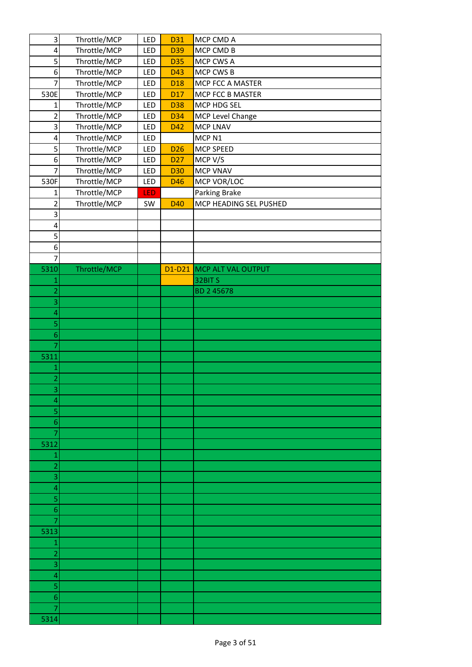| 3                       | Throttle/MCP | LED        | D31             | MCP CMD A                 |
|-------------------------|--------------|------------|-----------------|---------------------------|
| $\overline{\mathbf{4}}$ | Throttle/MCP | LED        | D39             | MCP CMD B                 |
| 5                       | Throttle/MCP | LED        | <b>D35</b>      | MCP CWS A                 |
| 6                       | Throttle/MCP | LED        | D43             | MCP CWS B                 |
| 7                       | Throttle/MCP | LED        | D <sub>18</sub> | MCP FCC A MASTER          |
| 530E                    | Throttle/MCP | LED        | D <sub>17</sub> | MCP FCC B MASTER          |
| 1                       | Throttle/MCP | LED        | D38             | MCP HDG SEL               |
| $\overline{\mathbf{c}}$ | Throttle/MCP | LED        | D34             | MCP Level Change          |
| 3                       | Throttle/MCP | LED        | D42             | MCP LNAV                  |
| 4                       | Throttle/MCP | LED        |                 | MCP <sub>N1</sub>         |
| 5                       | Throttle/MCP | LED        | D <sub>26</sub> | MCP SPEED                 |
| $\boldsymbol{6}$        | Throttle/MCP | LED        | D <sub>27</sub> | MCP V/S                   |
| $\overline{7}$          | Throttle/MCP | LED        | <b>D30</b>      | <b>MCP VNAV</b>           |
| 530F                    | Throttle/MCP | LED        | D46             | MCP VOR/LOC               |
| 1                       | Throttle/MCP | <b>LED</b> |                 | Parking Brake             |
| $\overline{2}$          | Throttle/MCP | SW         | D40             | MCP HEADING SEL PUSHED    |
| 3                       |              |            |                 |                           |
| 4                       |              |            |                 |                           |
| 5                       |              |            |                 |                           |
| 6                       |              |            |                 |                           |
| 7                       |              |            |                 |                           |
| 5310                    | Throttle/MCP |            |                 | D1-D21 MCP ALT VAL OUTPUT |
| $\mathbf{1}$            |              |            |                 | 32BITS                    |
| $\overline{c}$          |              |            |                 | BD 2 45678                |
| 3                       |              |            |                 |                           |
| 4                       |              |            |                 |                           |
| 5                       |              |            |                 |                           |
| $\boldsymbol{6}$        |              |            |                 |                           |
| $\overline{7}$          |              |            |                 |                           |
| 5311                    |              |            |                 |                           |
| $\mathbf 1$             |              |            |                 |                           |
| $\overline{a}$          |              |            |                 |                           |
| 3                       |              |            |                 |                           |
| 4                       |              |            |                 |                           |
| 5                       |              |            |                 |                           |
| 6<br>7                  |              |            |                 |                           |
| 5312                    |              |            |                 |                           |
| 1                       |              |            |                 |                           |
| $\overline{c}$          |              |            |                 |                           |
| 3                       |              |            |                 |                           |
| 4                       |              |            |                 |                           |
| 5                       |              |            |                 |                           |
| 6                       |              |            |                 |                           |
| 7                       |              |            |                 |                           |
| 5313                    |              |            |                 |                           |
| $\mathbf{1}$            |              |            |                 |                           |
| $\overline{c}$          |              |            |                 |                           |
| 3                       |              |            |                 |                           |
| 4                       |              |            |                 |                           |
| 5                       |              |            |                 |                           |
| 6                       |              |            |                 |                           |
| 7                       |              |            |                 |                           |
| 5314                    |              |            |                 |                           |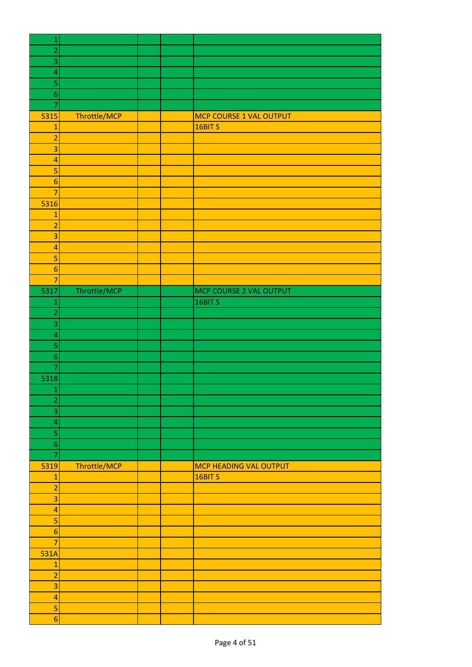| $\mathbf{1}$             |              |  |                               |
|--------------------------|--------------|--|-------------------------------|
| $\overline{a}$           |              |  |                               |
| 3                        |              |  |                               |
| $\overline{\mathbf{A}}$  |              |  |                               |
| 5                        |              |  |                               |
| $\overline{6}$           |              |  |                               |
| $\overline{7}$           |              |  |                               |
| 5315                     | Throttle/MCP |  | MCP COURSE 1 VAL OUTPUT       |
| $\overline{1}$           |              |  | 16BIT <sub>S</sub>            |
| $\overline{a}$           |              |  |                               |
| $\overline{3}$           |              |  |                               |
| $\overline{a}$           |              |  |                               |
| 5                        |              |  |                               |
| $\boldsymbol{6}$         |              |  |                               |
| $\overline{7}$           |              |  |                               |
| 5316                     |              |  |                               |
| $\mathbf{1}$             |              |  |                               |
| $\overline{a}$           |              |  |                               |
| 3                        |              |  |                               |
| $\overline{a}$           |              |  |                               |
| $\overline{\mathbf{5}}$  |              |  |                               |
| $\boldsymbol{6}$         |              |  |                               |
| $\overline{7}$           |              |  |                               |
|                          |              |  |                               |
| 5317                     | Throttle/MCP |  | MCP COURSE 2 VAL OUTPUT       |
| $\mathbf{1}$             |              |  | 16BIT <sub>S</sub>            |
| $\overline{a}$           |              |  |                               |
| 3                        |              |  |                               |
| $\overline{\mathcal{A}}$ |              |  |                               |
| 5                        |              |  |                               |
| $\boldsymbol{6}$         |              |  |                               |
| 7                        |              |  |                               |
| 5318                     |              |  |                               |
| $\mathbf{1}$             |              |  |                               |
| $\overline{2}$           |              |  |                               |
| $\overline{3}$           |              |  |                               |
| $\overline{a}$           |              |  |                               |
| 5                        |              |  |                               |
| $\boldsymbol{6}$         |              |  |                               |
| $\overline{7}$           |              |  |                               |
| 5319                     | Throttle/MCP |  | <b>MCP HEADING VAL OUTPUT</b> |
| $\mathbf{1}$             |              |  | 16BIT <sub>S</sub>            |
| $\overline{2}$           |              |  |                               |
| $\overline{\mathbf{3}}$  |              |  |                               |
| $\overline{a}$           |              |  |                               |
| $\mathsf S$              |              |  |                               |
| $\boldsymbol{6}$         |              |  |                               |
| $\overline{7}$           |              |  |                               |
| 531A                     |              |  |                               |
| $\mathbf{1}$             |              |  |                               |
| $\overline{2}$           |              |  |                               |
| $\overline{3}$           |              |  |                               |
| $\overline{a}$           |              |  |                               |
| 5                        |              |  |                               |
| $\boldsymbol{6}$         |              |  |                               |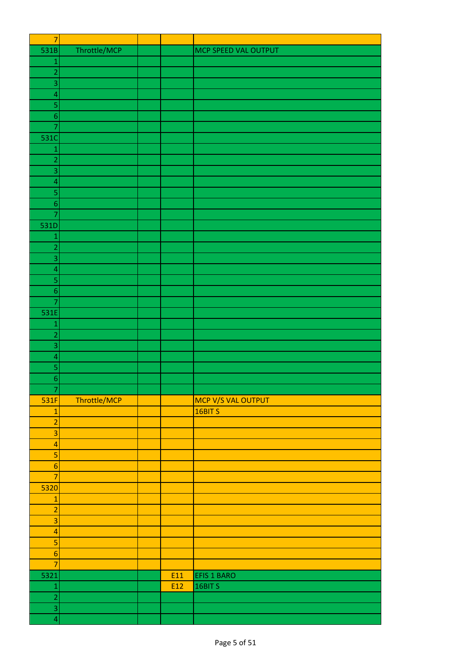| $\overline{7}$                     |              |     |                      |
|------------------------------------|--------------|-----|----------------------|
| 531B                               | Throttle/MCP |     | MCP SPEED VAL OUTPUT |
| $\mathbf{1}$                       |              |     |                      |
| $\overline{c}$                     |              |     |                      |
| 3                                  |              |     |                      |
| $\overline{a}$                     |              |     |                      |
| 5                                  |              |     |                      |
| $\overline{6}$                     |              |     |                      |
| $\overline{7}$                     |              |     |                      |
| 531C                               |              |     |                      |
| $\mathbf{1}$                       |              |     |                      |
| $\overline{a}$                     |              |     |                      |
| 3                                  |              |     |                      |
| $\overline{a}$                     |              |     |                      |
| 5                                  |              |     |                      |
| $\boldsymbol{6}$                   |              |     |                      |
| 7                                  |              |     |                      |
| 531D                               |              |     |                      |
| $\mathbf{1}$                       |              |     |                      |
| $\overline{c}$                     |              |     |                      |
| 3                                  |              |     |                      |
| $\overline{\mathcal{L}}$           |              |     |                      |
| 5                                  |              |     |                      |
| $\boldsymbol{6}$                   |              |     |                      |
| $\overline{7}$                     |              |     |                      |
| 531E                               |              |     |                      |
| $\mathbf{1}$                       |              |     |                      |
| $\overline{a}$                     |              |     |                      |
| 3                                  |              |     |                      |
| $\overline{a}$                     |              |     |                      |
| 5                                  |              |     |                      |
| $\overline{6}$                     |              |     |                      |
| $\boldsymbol{7}$                   |              |     |                      |
| 531F                               | Throttle/MCP |     | MCP V/S VAL OUTPUT   |
| $\mathbf{1}$                       |              |     | 16BIT S              |
| $\overline{2}$                     |              |     |                      |
| $\overline{\mathbf{3}}$            |              |     |                      |
| $\overline{a}$                     |              |     |                      |
| 5                                  |              |     |                      |
| $\boldsymbol{6}$                   |              |     |                      |
| $\overline{7}$                     |              |     |                      |
| 5320                               |              |     |                      |
| $\mathbf{1}$                       |              |     |                      |
| $\overline{2}$                     |              |     |                      |
| $\overline{\mathbf{3}}$            |              |     |                      |
|                                    |              |     |                      |
| $\overline{4}$                     |              |     |                      |
| $\overline{\mathbf{5}}$            |              |     |                      |
| $\boldsymbol{6}$<br>$\overline{7}$ |              |     |                      |
|                                    |              |     |                      |
| 5321                               |              | E11 | EFIS 1 BARO          |
| $\mathbf{1}$                       |              | E12 | 16BIT S              |
| $\overline{2}$                     |              |     |                      |
| $\overline{\mathbf{3}}$            |              |     |                      |
| $\overline{\mathbf{4}}$            |              |     |                      |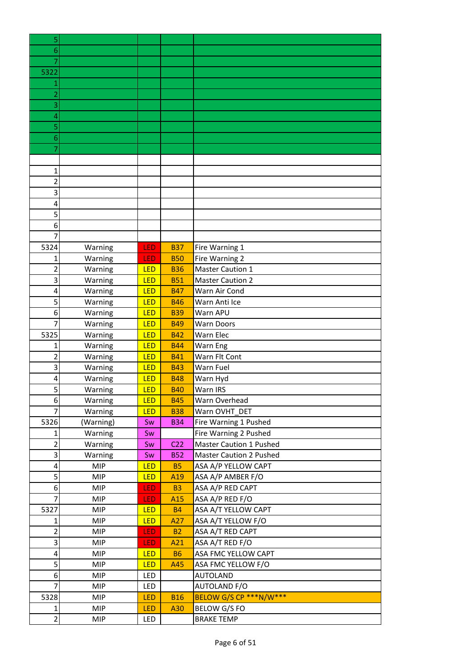| 5              |            |            |                 |                         |
|----------------|------------|------------|-----------------|-------------------------|
| 6              |            |            |                 |                         |
| 7              |            |            |                 |                         |
| 5322           |            |            |                 |                         |
| 1              |            |            |                 |                         |
| 2              |            |            |                 |                         |
| 3              |            |            |                 |                         |
| 4              |            |            |                 |                         |
| 5              |            |            |                 |                         |
| 6              |            |            |                 |                         |
|                |            |            |                 |                         |
|                |            |            |                 |                         |
| 1              |            |            |                 |                         |
| $\overline{2}$ |            |            |                 |                         |
| 3              |            |            |                 |                         |
| 4              |            |            |                 |                         |
| 5              |            |            |                 |                         |
| 6              |            |            |                 |                         |
| 7              |            |            |                 |                         |
| 5324           | Warning    | LED        | <b>B37</b>      | Fire Warning 1          |
| 1              | Warning    | LED        | <b>B50</b>      | Fire Warning 2          |
| $\overline{2}$ | Warning    | LED        | <b>B36</b>      | <b>Master Caution 1</b> |
| 3              | Warning    | LED        | <b>B51</b>      | <b>Master Caution 2</b> |
| 4              | Warning    | LED        | <b>B47</b>      | Warn Air Cond           |
| 5              | Warning    | LED        | <b>B46</b>      | Warn Anti Ice           |
| 6              | Warning    | LED        | <b>B39</b>      | Warn APU                |
| 7              | Warning    | LED        | <b>B49</b>      | <b>Warn Doors</b>       |
| 5325           | Warning    | LED        | <b>B42</b>      | Warn Elec               |
| 1              | Warning    | LED        | <b>B44</b>      | Warn Eng                |
| 2              | Warning    | LED        | <b>B41</b>      | Warn Flt Cont           |
| 3              | Warning    | LED        | <b>B43</b>      | Warn Fuel               |
| 4              | Warning    | <b>LED</b> | <b>B48</b>      | Warn Hyd                |
| 5              | Warning    | LED        | <b>B40</b>      | Warn IRS                |
| 6              | Warning    | LED        | <b>B45</b>      | Warn Overhead           |
| $\overline{7}$ | Warning    | LED        | <b>B38</b>      | Warn OVHT DET           |
| 5326           | (Warning)  | Sw         | <b>B34</b>      | Fire Warning 1 Pushed   |
| 1              | Warning    | Sw         |                 | Fire Warning 2 Pushed   |
| $\overline{2}$ | Warning    | Sw         | C <sub>22</sub> | Master Caution 1 Pushed |
| 3              | Warning    | Sw         | <b>B52</b>      | Master Caution 2 Pushed |
| 4              | <b>MIP</b> | LED        | <b>B5</b>       | ASA A/P YELLOW CAPT     |
| 5              | <b>MIP</b> | <b>LED</b> | A <sub>19</sub> | ASA A/P AMBER F/O       |
| 6              | <b>MIP</b> | <b>LED</b> | <b>B3</b>       | ASA A/P RED CAPT        |
| $\overline{7}$ | <b>MIP</b> | LED        | A <sub>15</sub> | ASA A/P RED F/O         |
| 5327           | <b>MIP</b> | LED        | <b>B4</b>       | ASA A/T YELLOW CAPT     |
| $\mathbf{1}$   | <b>MIP</b> | LED        | A27             | ASA A/T YELLOW F/O      |
| $\mathbf 2$    | <b>MIP</b> | LED        | <b>B2</b>       | ASA A/T RED CAPT        |
| 3              | <b>MIP</b> | <b>LED</b> | A21             | ASA A/T RED F/O         |
| 4              | <b>MIP</b> | LED        | <b>B6</b>       | ASA FMC YELLOW CAPT     |
| 5              | <b>MIP</b> | <b>LED</b> | A45             | ASA FMC YELLOW F/O      |
| 6              | <b>MIP</b> | LED        |                 | <b>AUTOLAND</b>         |
| $\overline{7}$ | <b>MIP</b> | LED        |                 | <b>AUTOLAND F/O</b>     |
| 5328           | <b>MIP</b> | <b>LED</b> | <b>B16</b>      | BELOW G/S CP ***N/W***  |
| $\mathbf{1}$   | <b>MIP</b> | <b>LED</b> | A30             | BELOW G/S FO            |
| $\overline{2}$ | <b>MIP</b> | LED        |                 | <b>BRAKE TEMP</b>       |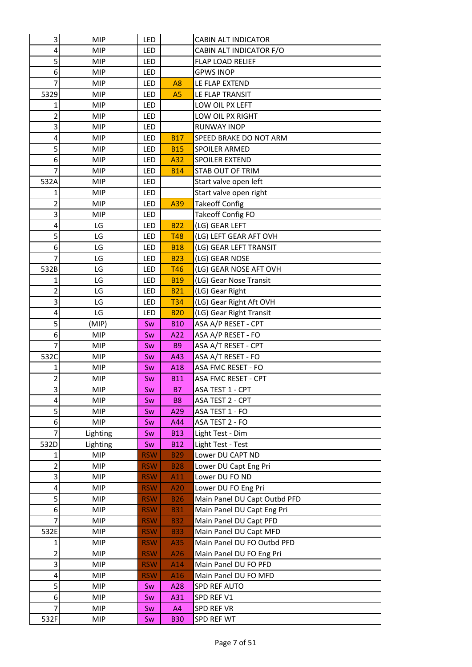| 3              | <b>MIP</b>               | LED        |                | CABIN ALT INDICATOR                         |
|----------------|--------------------------|------------|----------------|---------------------------------------------|
| 4              | <b>MIP</b>               | LED        |                | CABIN ALT INDICATOR F/O                     |
| 5              | <b>MIP</b>               | LED        |                | FLAP LOAD RELIEF                            |
| 6              | <b>MIP</b>               | LED        |                | <b>GPWS INOP</b>                            |
| 7              | <b>MIP</b>               | LED        | A <sub>8</sub> | LE FLAP EXTEND                              |
| 5329           | <b>MIP</b>               | LED        | A <sub>5</sub> | LE FLAP TRANSIT                             |
| 1              | <b>MIP</b>               | LED        |                | LOW OIL PX LEFT                             |
| 2              | <b>MIP</b>               | LED        |                | LOW OIL PX RIGHT                            |
| 3              | <b>MIP</b>               | LED        |                | <b>RUNWAY INOP</b>                          |
| 4              | <b>MIP</b>               | LED        | <b>B17</b>     | SPEED BRAKE DO NOT ARM                      |
| 5              | <b>MIP</b>               | LED        | <b>B15</b>     | <b>SPOILER ARMED</b>                        |
| 6              | <b>MIP</b>               | LED        | A32            | SPOILER EXTEND                              |
| 7              | <b>MIP</b>               | LED        | <b>B14</b>     | STAB OUT OF TRIM                            |
| 532A           | <b>MIP</b>               | LED        |                | Start valve open left                       |
| 1              | <b>MIP</b>               | LED        |                | Start valve open right                      |
| 2              | <b>MIP</b>               | LED        | A39            | <b>Takeoff Config</b>                       |
| 3              | <b>MIP</b>               | LED        |                | <b>Takeoff Config FO</b>                    |
| 4              | LG                       | LED        | <b>B22</b>     | (LG) GEAR LEFT                              |
| 5              | LG                       | LED        | <b>T48</b>     | (LG) LEFT GEAR AFT OVH                      |
| 6              | LG                       | LED        | <b>B18</b>     | (LG) GEAR LEFT TRANSIT                      |
|                | LG                       | LED        | <b>B23</b>     | (LG) GEAR NOSE                              |
| 532B           | LG                       | LED        | <b>T46</b>     | (LG) GEAR NOSE AFT OVH                      |
| 1              | LG                       | LED        | <b>B19</b>     | (LG) Gear Nose Transit                      |
| 2              | LG                       | LED        | <b>B21</b>     | (LG) Gear Right                             |
| 3              | LG                       | LED        | <b>T34</b>     | (LG) Gear Right Aft OVH                     |
| 4              | LG                       | LED        | <b>B20</b>     | (LG) Gear Right Transit                     |
| 5              | (MIP)                    | Sw         | <b>B10</b>     | ASA A/P RESET - CPT                         |
| 6              | <b>MIP</b>               | Sw         | A22            | ASA A/P RESET - FO                          |
| 7              | <b>MIP</b>               | Sw         | <b>B9</b>      | ASA A/T RESET - CPT                         |
| 532C           | MIP                      | Sw         | A43            | ASA A/T RESET - FO                          |
| 1              | <b>MIP</b>               | Sw         | A18            | ASA FMC RESET - FO                          |
| 2              | <b>MIP</b>               | Sw         | <b>B11</b>     | ASA FMC RESET - CPT                         |
| 3              | MIP                      | Sw         | <b>B7</b>      | ASA TEST 1 - CPT                            |
| 4              | MIP                      | Sw         | B <sub>8</sub> | ASA TEST 2 - CPT                            |
| 5              | <b>MIP</b>               | Sw         | A29            | ASA TEST 1 - FO                             |
| 6              | <b>MIP</b>               | Sw         | A44            | ASA TEST 2 - FO                             |
| $\overline{7}$ | Lighting                 | Sw         | <b>B13</b>     | Light Test - Dim                            |
| 532D           | Lighting                 | Sw         | <b>B12</b>     | Light Test - Test                           |
| 1              | <b>MIP</b>               | <b>RSW</b> | <b>B29</b>     | Lower DU CAPT ND                            |
| $\overline{2}$ | <b>MIP</b>               | <b>RSW</b> | <b>B28</b>     | Lower DU Capt Eng Pri                       |
| 3              | <b>MIP</b>               | <b>RSW</b> | A11            | Lower DU FO ND                              |
| 4              | <b>MIP</b>               | <b>RSW</b> | A20            | Lower DU FO Eng Pri                         |
| 5              | MIP                      | <b>RSW</b> | <b>B26</b>     | Main Panel DU Capt Outbd PFD                |
| 6              | <b>MIP</b>               | <b>RSW</b> | <b>B31</b>     | Main Panel DU Capt Eng Pri                  |
| 7              | <b>MIP</b>               | <b>RSW</b> | <b>B32</b>     | Main Panel DU Capt PFD                      |
| 532E           | <b>MIP</b>               | <b>RSW</b> | <b>B33</b>     | Main Panel DU Capt MFD                      |
| 1              | <b>MIP</b>               | <b>RSW</b> | A35            | Main Panel DU FO Outbd PFD                  |
| 2              | <b>MIP</b>               | <b>RSW</b> | A26            | Main Panel DU FO Eng Pri                    |
| 3              | <b>MIP</b>               | <b>RSW</b> | A14            | Main Panel DU FO PFD                        |
| 4<br>5         | <b>MIP</b><br><b>MIP</b> | <b>RSW</b> | A16            | Main Panel DU FO MFD<br><b>SPD REF AUTO</b> |
| 6              | <b>MIP</b>               | Sw<br>Sw   | A28<br>A31     | SPD REF V1                                  |
| 7              | MIP                      | Sw         | A4             | SPD REF VR                                  |
| 532F           | <b>MIP</b>               | Sw         | <b>B30</b>     | SPD REF WT                                  |
|                |                          |            |                |                                             |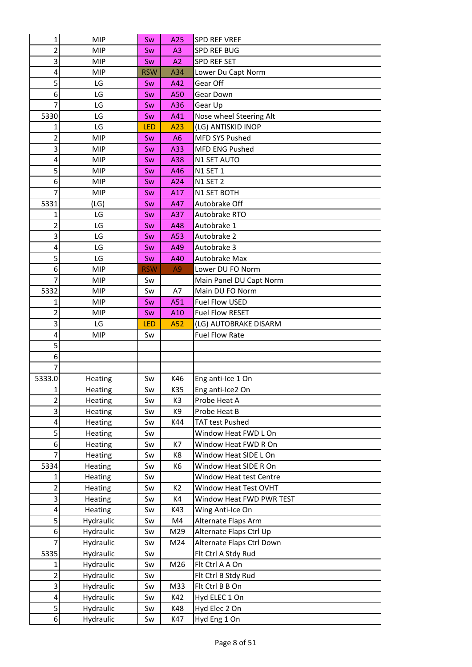| 1              | <b>MIP</b> | Sw         | A25            | SPD REF VREF              |
|----------------|------------|------------|----------------|---------------------------|
| 2              | MIP        | Sw         | A3             | <b>SPD REF BUG</b>        |
| 3              | MIP        | Sw         | A2             | SPD REF SET               |
| 4              | <b>MIP</b> | <b>RSW</b> | A34            | Lower Du Capt Norm        |
| 5              | LG         | Sw         | A42            | Gear Off                  |
| 6              | LG         | Sw         | A50            | Gear Down                 |
| 7              | LG         | Sw         | A36            | Gear Up                   |
| 5330           | LG         | Sw         | A41            | Nose wheel Steering Alt   |
| 1              | LG         | LED        | A23            | (LG) ANTISKID INOP        |
| $\overline{2}$ | MIP        | Sw         | A <sub>6</sub> | <b>MFD SYS Pushed</b>     |
| 3              | MIP        | Sw         | A33            | <b>MFD ENG Pushed</b>     |
| 4              | MIP        | Sw         | A38            | N1 SET AUTO               |
| 5              | MIP        | Sw         | A46            | <b>N1 SET 1</b>           |
| 6              | MIP        | Sw         | A24            | N1 SET 2                  |
| 7              | <b>MIP</b> | Sw         | A17            | N1 SET BOTH               |
| 5331           | (LG)       | Sw         | A47            | Autobrake Off             |
| 1              | LG         | Sw         | A37            | Autobrake RTO             |
| 2              | LG         | Sw         | A48            | Autobrake 1               |
| 3              | LG         | Sw         | A53            | Autobrake 2               |
| 4              | LG         | Sw         | A49            | Autobrake 3               |
| 5              | LG         | Sw         | A40            | Autobrake Max             |
| 6              | MIP        | <b>RSW</b> | A <sub>9</sub> | Lower DU FO Norm          |
| 7              | MIP        | Sw         |                | Main Panel DU Capt Norm   |
| 5332           | <b>MIP</b> | Sw         | A7             | Main DU FO Norm           |
| 1              | <b>MIP</b> | Sw         | A51            | Fuel Flow USED            |
| 2              | MIP        | Sw         | A10            | <b>Fuel Flow RESET</b>    |
| 3              | LG         | LED        | A52            | (LG) AUTOBRAKE DISARM     |
| 4              | MIP        | Sw         |                | <b>Fuel Flow Rate</b>     |
| 5              |            |            |                |                           |
| 6              |            |            |                |                           |
| 7              |            |            |                |                           |
| 5333.0         | Heating    | Sw         | K46            | Eng anti-Ice 1 On         |
| $\mathbf{1}$   | Heating    | Sw         | K35            | Eng anti-Ice2 On          |
| $\overline{2}$ | Heating    | Sw         | K3             | Probe Heat A              |
| 3              | Heating    | Sw         | K9             | Probe Heat B              |
| 4              | Heating    | Sw         | K44            | <b>TAT test Pushed</b>    |
| 5              | Heating    | Sw         |                | Window Heat FWD L On      |
| 6              | Heating    | Sw         | K7             | Window Heat FWD R On      |
| 7              | Heating    | Sw         | K8             | Window Heat SIDE L On     |
| 5334           | Heating    | Sw         | K6             | Window Heat SIDE R On     |
| 1              | Heating    | Sw         |                | Window Heat test Centre   |
| 2              | Heating    | Sw         | K <sub>2</sub> | Window Heat Test OVHT     |
| 3              | Heating    | Sw         | K4             | Window Heat FWD PWR TEST  |
| 4              | Heating    | Sw         | K43            | Wing Anti-Ice On          |
| $\overline{5}$ | Hydraulic  | Sw         | M4             | Alternate Flaps Arm       |
| 6              | Hydraulic  | Sw         | M29            | Alternate Flaps Ctrl Up   |
| 7              | Hydraulic  | Sw         | M24            | Alternate Flaps Ctrl Down |
| 5335           | Hydraulic  | Sw         |                | Flt Ctrl A Stdy Rud       |
| 1              | Hydraulic  | Sw         | M26            | Flt Ctrl A A On           |
| 2              | Hydraulic  | Sw         |                | Flt Ctrl B Stdy Rud       |
| 3              | Hydraulic  | Sw         | M33            | Flt Ctrl B B On           |
| $\pmb{4}$      | Hydraulic  | Sw         | K42            | Hyd ELEC 1 On             |
| 5              | Hydraulic  | Sw         | K48            | Hyd Elec 2 On             |
| $6 \mid$       | Hydraulic  | Sw         | K47            | Hyd Eng 1 On              |
|                |            |            |                |                           |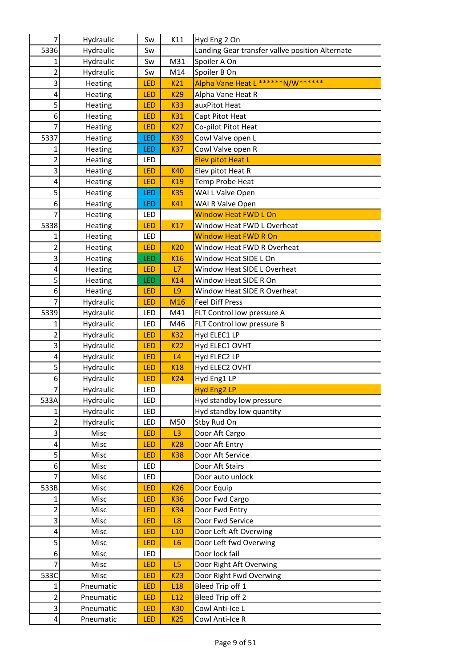| 7                       | Hydraulic | Sw         | K11             | Hyd Eng 2 On                                    |
|-------------------------|-----------|------------|-----------------|-------------------------------------------------|
| 5336                    | Hydraulic | Sw         |                 | Landing Gear transfer vallve position Alternate |
|                         | Hydraulic | Sw         | M31             | Spoiler A On                                    |
| 2                       | Hydraulic | Sw         | M14             | Spoiler B On                                    |
| 3                       | Heating   | LED        | K21             | Alpha Vane Heat L ******N/W******               |
| 4                       | Heating   | LED        | <b>K29</b>      | Alpha Vane Heat R                               |
| 5                       | Heating   | <b>LED</b> | <b>K33</b>      | auxPitot Heat                                   |
| 6                       | Heating   | <b>LED</b> | <b>K31</b>      | Capt Pitot Heat                                 |
| 7                       | Heating   | LED        | <b>K27</b>      | Co-pilot Pitot Heat                             |
| 5337                    | Heating   | LED        | <b>K39</b>      | Cowl Valve open L                               |
| 1                       | Heating   | LED        | <b>K37</b>      | Cowl Valve open R                               |
| 2                       | Heating   | LED        |                 | <b>Elev pitot Heat L</b>                        |
| 3                       | Heating   | <b>LED</b> | <b>K40</b>      | Elev pitot Heat R                               |
| 4                       | Heating   | <b>LED</b> | K <sub>19</sub> | Temp Probe Heat                                 |
| 5                       | Heating   | LED        | <b>K35</b>      | WAI L Valve Open                                |
| 6                       | Heating   | LED        | K41             | WAI R Valve Open                                |
| 7                       | Heating   | LED        |                 | <b>Window Heat FWD L On</b>                     |
| 5338                    | Heating   | <b>LED</b> | <b>K17</b>      | Window Heat FWD L Overheat                      |
| 1                       | Heating   | LED        |                 | <b>Window Heat FWD R On</b>                     |
| 2                       | Heating   | LED        | <b>K20</b>      | Window Heat FWD R Overheat                      |
| 3                       | Heating   | LED        | K <sub>16</sub> | Window Heat SIDE L On                           |
| 4                       | Heating   | LED        | L7              | Window Heat SIDE L Overheat                     |
| 5                       | Heating   | LED        | K14             | Window Heat SIDE R On                           |
| 6                       | Heating   | <b>LED</b> | L <sub>9</sub>  | Window Heat SIDE R Overheat                     |
| 7                       | Hydraulic | LED        | M16             | <b>Feel Diff Press</b>                          |
| 5339                    | Hydraulic | LED        | M41             | FLT Control low pressure A                      |
| 1                       | Hydraulic | LED        | M46             | FLT Control low pressure B                      |
| 2                       | Hydraulic | <b>LED</b> | <b>K32</b>      | Hyd ELEC1 LP                                    |
| 3                       | Hydraulic | LED        | <b>K22</b>      | Hyd ELEC1 OVHT                                  |
| 4                       | Hydraulic | LED        | L4              | Hyd ELEC2 LP                                    |
| 5                       | Hydraulic | LED        | <b>K18</b>      | Hyd ELEC2 OVHT                                  |
| 6                       | Hydraulic | LED        | <b>K24</b>      | Hyd Eng1 LP                                     |
| 7                       | Hydraulic | LED        |                 | Hyd Eng2 LP                                     |
| 533A                    | Hydraulic | LED        |                 | Hyd standby low pressure                        |
| 1                       | Hydraulic | LED        |                 | Hyd standby low quantity                        |
| 2                       | Hydraulic | LED        | M50             | Stby Rud On                                     |
| 3                       | Misc      | LED        | L3              | Door Aft Cargo                                  |
| 4                       | Misc      | LED        | <b>K28</b>      | Door Aft Entry                                  |
| 5                       | Misc      | LED        | <b>K38</b>      | Door Aft Service                                |
| 6                       | Misc      | LED        |                 | Door Aft Stairs                                 |
| 7                       | Misc      | LED        |                 | Door auto unlock                                |
| 533B                    | Misc      | LED        | <b>K26</b>      | Door Equip                                      |
| 1                       | Misc      | <b>LED</b> | <b>K36</b>      | Door Fwd Cargo                                  |
| 2                       | Misc      | <b>LED</b> | <b>K34</b>      | Door Fwd Entry                                  |
| 3                       | Misc      | LED        | L8              | Door Fwd Service                                |
| $\overline{\mathbf{4}}$ | Misc      | LED        | L10             | Door Left Aft Overwing                          |
| 5                       | Misc      | <b>LED</b> | L <sub>6</sub>  | Door Left fwd Overwing                          |
| 6                       | Misc      | LED        |                 | Door lock fail                                  |
| 7                       | Misc      | LED        | L5              | Door Right Aft Overwing                         |
| 533C                    | Misc      | LED        | <b>K23</b>      | Door Right Fwd Overwing                         |
| 1                       | Pneumatic | LED        | L18             | Bleed Trip off 1                                |
| 2                       | Pneumatic | LED        | L12             | Bleed Trip off 2                                |
| 3                       | Pneumatic | <b>LED</b> | <b>K30</b>      | Cowl Anti-Ice L                                 |
| $\overline{a}$          | Pneumatic | <b>LED</b> | <b>K25</b>      | Cowl Anti-Ice R                                 |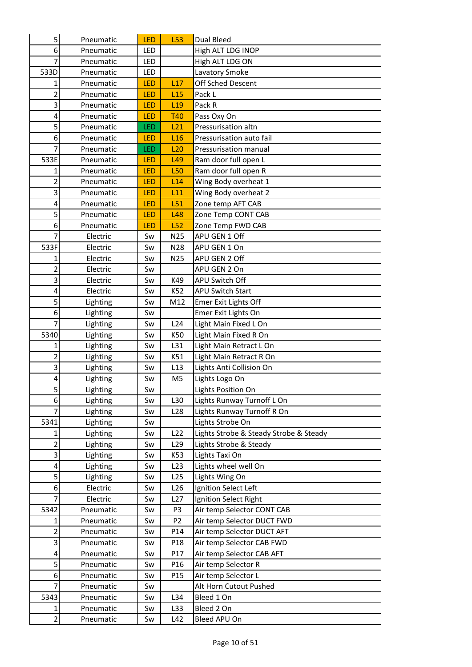| 5              | Pneumatic | LED        | L53             | Dual Bleed                             |
|----------------|-----------|------------|-----------------|----------------------------------------|
| 6              | Pneumatic | LED        |                 | High ALT LDG INOP                      |
| 7              | Pneumatic | LED        |                 | High ALT LDG ON                        |
| 533D           | Pneumatic | LED        |                 | Lavatory Smoke                         |
| 1              | Pneumatic | LED        | L17             | Off Sched Descent                      |
| $\overline{2}$ | Pneumatic | LED        | L15             | Pack L                                 |
| 3              | Pneumatic | LED        | L19             | Pack R                                 |
| 4              | Pneumatic | LED        | <b>T40</b>      | Pass Oxy On                            |
| 5              | Pneumatic | LED        | L21             | Pressurisation altn                    |
| 6              | Pneumatic | LED        | L16             | Pressurisation auto fail               |
| 7              | Pneumatic | LED        | L20             | Pressurisation manual                  |
| 533E           | Pneumatic | LED        | L <sub>49</sub> | Ram door full open L                   |
| 1              | Pneumatic | LED        | <b>L50</b>      | Ram door full open R                   |
| $\overline{2}$ | Pneumatic | LED        | L14             | Wing Body overheat 1                   |
| 3              | Pneumatic | LED        | L11             | Wing Body overheat 2                   |
| 4              | Pneumatic | LED        | L51             | Zone temp AFT CAB                      |
| 5              | Pneumatic | <b>LED</b> | L48             | Zone Temp CONT CAB                     |
| 6              | Pneumatic | <b>LED</b> | L52             | Zone Temp FWD CAB                      |
| 7              | Electric  | Sw         | N25             | APU GEN 1 Off                          |
| 533F           | Electric  | Sw         | N28             | APU GEN 1 On                           |
| 1              | Electric  | Sw         | N <sub>25</sub> | APU GEN 2 Off                          |
| 2              | Electric  | Sw         |                 | APU GEN 2 On                           |
| 3              | Electric  | Sw         | K49             | APU Switch Off                         |
| 4              | Electric  | Sw         | K52             | APU Switch Start                       |
| 5              | Lighting  | Sw         | M12             | Emer Exit Lights Off                   |
| 6              | Lighting  | Sw         |                 | Emer Exit Lights On                    |
| $\overline{7}$ | Lighting  | Sw         | L24             | Light Main Fixed L On                  |
| 5340           | Lighting  | Sw         | K50             | Light Main Fixed R On                  |
| $\mathbf{1}$   | Lighting  | Sw         | L31             | Light Main Retract L On                |
| 2              | Lighting  | Sw         | K51             | Light Main Retract R On                |
| 3              | Lighting  | Sw         | L13             | Lights Anti Collision On               |
| 4              | Lighting  | Sw         | M <sub>5</sub>  | Lights Logo On                         |
| $\overline{5}$ | Lighting  | Sw         |                 | Lights Position On                     |
| 6              | Lighting  | Sw         | L <sub>30</sub> | Lights Runway Turnoff L On             |
| 7              | Lighting  | Sw         | L <sub>28</sub> | Lights Runway Turnoff R On             |
| 5341           | Lighting  | Sw         |                 | Lights Strobe On                       |
| 1              | Lighting  | Sw         | L22             | Lights Strobe & Steady Strobe & Steady |
| $\overline{c}$ | Lighting  | Sw         | L <sub>29</sub> | Lights Strobe & Steady                 |
| 3              | Lighting  | Sw         | K53             | Lights Taxi On                         |
| 4              | Lighting  | Sw         | L23             | Lights wheel well On                   |
| 5              | Lighting  | Sw         | L <sub>25</sub> | Lights Wing On                         |
| 6              | Electric  | Sw         | L26             | Ignition Select Left                   |
| 7              | Electric  | Sw         | L27             | Ignition Select Right                  |
| 5342           | Pneumatic | Sw         | P <sub>3</sub>  | Air temp Selector CONT CAB             |
| 1              | Pneumatic | Sw         | P <sub>2</sub>  | Air temp Selector DUCT FWD             |
| $\overline{2}$ | Pneumatic | Sw         | P14             | Air temp Selector DUCT AFT             |
| 3              | Pneumatic | Sw         | P <sub>18</sub> | Air temp Selector CAB FWD              |
| 4              | Pneumatic | Sw         | P17             | Air temp Selector CAB AFT              |
| 5              | Pneumatic | Sw         | P <sub>16</sub> | Air temp Selector R                    |
| 6              | Pneumatic | Sw         | P <sub>15</sub> | Air temp Selector L                    |
| 7              | Pneumatic | Sw         |                 | Alt Horn Cutout Pushed                 |
| 5343           | Pneumatic | Sw         | L34             | Bleed 1 On                             |
| 1              | Pneumatic | Sw         | L33             | Bleed 2 On                             |
| $\overline{2}$ | Pneumatic | Sw         | L42             | Bleed APU On                           |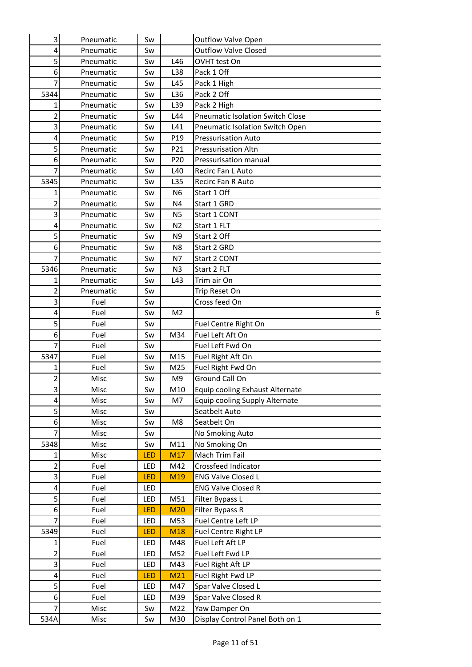| 3                            | Pneumatic    | Sw               |                 | <b>Outflow Valve Open</b>                       |   |
|------------------------------|--------------|------------------|-----------------|-------------------------------------------------|---|
| 4                            | Pneumatic    | Sw               |                 | <b>Outflow Valve Closed</b>                     |   |
| 5                            | Pneumatic    | Sw               | L46             | OVHT test On                                    |   |
| 6                            | Pneumatic    | Sw               | L38             | Pack 1 Off                                      |   |
| 7                            | Pneumatic    | Sw               | L45             | Pack 1 High                                     |   |
| 5344                         | Pneumatic    | Sw               | L36             | Pack 2 Off                                      |   |
| 1                            | Pneumatic    | Sw               | L <sub>39</sub> | Pack 2 High                                     |   |
| 2                            | Pneumatic    | Sw               | L44             | <b>Pneumatic Isolation Switch Close</b>         |   |
| 3                            | Pneumatic    | Sw               | L41             | Pneumatic Isolation Switch Open                 |   |
| 4                            | Pneumatic    | Sw               | P <sub>19</sub> | <b>Pressurisation Auto</b>                      |   |
| 5                            | Pneumatic    | Sw               | P21             | <b>Pressurisation Altn</b>                      |   |
| 6                            | Pneumatic    | Sw               | P20             | Pressurisation manual                           |   |
| 7                            | Pneumatic    | Sw               | L40             | Recirc Fan L Auto                               |   |
| 5345                         | Pneumatic    | Sw               | L <sub>35</sub> | Recirc Fan R Auto                               |   |
| 1                            | Pneumatic    | Sw               | N <sub>6</sub>  | Start 1 Off                                     |   |
| 2                            | Pneumatic    | Sw               | N4              | Start 1 GRD                                     |   |
| 3                            | Pneumatic    | Sw               | N <sub>5</sub>  | Start 1 CONT                                    |   |
| $\overline{4}$               | Pneumatic    | Sw               | N <sub>2</sub>  | Start 1 FLT                                     |   |
| 5                            | Pneumatic    | Sw               | N <sub>9</sub>  | Start 2 Off                                     |   |
| 6                            | Pneumatic    | Sw               | N <sub>8</sub>  | Start 2 GRD                                     |   |
| 7                            | Pneumatic    | Sw               | N7              | Start 2 CONT                                    |   |
| 5346                         | Pneumatic    | Sw               | N <sub>3</sub>  | Start 2 FLT                                     |   |
| 1                            | Pneumatic    | Sw               | L43             | Trim air On                                     |   |
| 2                            | Pneumatic    | Sw               |                 | Trip Reset On                                   |   |
| 3                            | Fuel         | Sw               |                 | Cross feed On                                   |   |
| 4                            | Fuel         | Sw               | M <sub>2</sub>  |                                                 | 6 |
| 5                            | Fuel         | Sw               |                 | Fuel Centre Right On                            |   |
| 6                            | Fuel         | Sw               | M34             | Fuel Left Aft On                                |   |
| 7                            | Fuel         | Sw               |                 | Fuel Left Fwd On                                |   |
| 5347                         | Fuel         | Sw               | M15             | Fuel Right Aft On                               |   |
| 1                            | Fuel         | Sw               | M25             | Fuel Right Fwd On                               |   |
| $\overline{2}$               | Misc         | Sw               | M9              | Ground Call On                                  |   |
| $\overline{\mathbf{3}}$<br>4 | Misc         | Sw               | M10             | Equip cooling Exhaust Alternate                 |   |
| 5                            | Misc         | Sw               | M7              | Equip cooling Supply Alternate<br>Seatbelt Auto |   |
| 6                            | Misc         | Sw               |                 | Seatbelt On                                     |   |
| $\overline{7}$               | Misc         | Sw               | M8              |                                                 |   |
| 5348                         | Misc<br>Misc | Sw               | M11             | No Smoking Auto<br>No Smoking On                |   |
| 1                            | Misc         | Sw<br><b>LED</b> | M17             | Mach Trim Fail                                  |   |
| $\overline{2}$               | Fuel         | LED              | M42             | Crossfeed Indicator                             |   |
| 3                            | Fuel         | <b>LED</b>       | M19             | <b>ENG Valve Closed L</b>                       |   |
| $\overline{\mathbf{4}}$      | Fuel         | LED              |                 | <b>ENG Valve Closed R</b>                       |   |
| 5                            | Fuel         | LED              | M51             | Filter Bypass L                                 |   |
| 6                            | Fuel         | <b>LED</b>       | <b>M20</b>      | Filter Bypass R                                 |   |
| 7                            | Fuel         | LED              | M53             | Fuel Centre Left LP                             |   |
| 5349                         | Fuel         | <b>LED</b>       | M18             | Fuel Centre Right LP                            |   |
| 1                            | Fuel         | LED              | M48             | Fuel Left Aft LP                                |   |
| 2                            | Fuel         | LED              | M52             | Fuel Left Fwd LP                                |   |
| 3                            | Fuel         | LED              | M43             | Fuel Right Aft LP                               |   |
| 4                            | Fuel         | <b>LED</b>       | M21             | Fuel Right Fwd LP                               |   |
| 5                            | Fuel         | LED              | M47             | Spar Valve Closed L                             |   |
| 6                            | Fuel         | LED              | M39             | Spar Valve Closed R                             |   |
| 7                            | Misc         | Sw               | M22             | Yaw Damper On                                   |   |
| 534A                         | Misc         | Sw               | M30             | Display Control Panel Both on 1                 |   |
|                              |              |                  |                 |                                                 |   |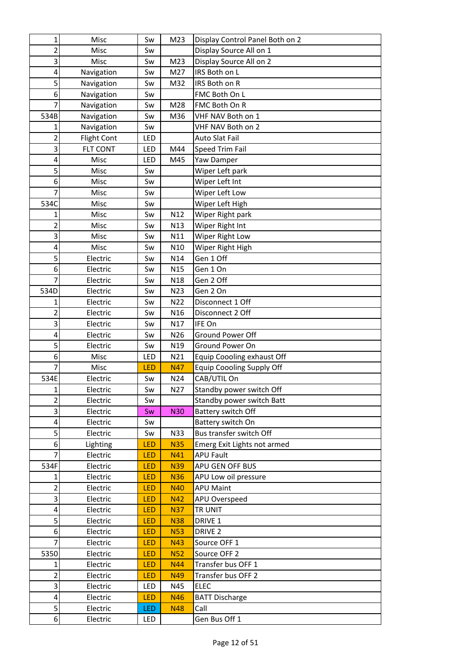| 1                       | Misc               | Sw         | M23             | Display Control Panel Both on 2  |
|-------------------------|--------------------|------------|-----------------|----------------------------------|
| 2                       | Misc               | Sw         |                 | Display Source All on 1          |
| 3                       | Misc               | Sw         | M23             | Display Source All on 2          |
| 4                       | Navigation         | Sw         | M27             | IRS Both on L                    |
| 5                       | Navigation         | Sw         | M32             | IRS Both on R                    |
| 6                       | Navigation         | Sw         |                 | FMC Both On L                    |
| 7                       | Navigation         | Sw         | M28             | FMC Both On R                    |
| 534B                    | Navigation         | Sw         | M36             | VHF NAV Both on 1                |
| 1                       | Navigation         | Sw         |                 | VHF NAV Both on 2                |
| 2                       | <b>Flight Cont</b> | LED        |                 | <b>Auto Slat Fail</b>            |
| 3                       | FLT CONT           | LED        | M44             | <b>Speed Trim Fail</b>           |
| 4                       | Misc               | LED        | M45             | Yaw Damper                       |
| 5                       | Misc               | Sw         |                 | Wiper Left park                  |
| 6                       | Misc               | Sw         |                 | Wiper Left Int                   |
| 7                       | Misc               | Sw         |                 | Wiper Left Low                   |
| 534C                    | Misc               | Sw         |                 | Wiper Left High                  |
| 1                       | Misc               | Sw         | N12             | Wiper Right park                 |
| $\overline{2}$          | Misc               | Sw         | N13             | Wiper Right Int                  |
| $\overline{\mathbf{3}}$ | Misc               | Sw         | N11             | Wiper Right Low                  |
| 4                       | Misc               | Sw         | N <sub>10</sub> | Wiper Right High                 |
| 5                       | Electric           | Sw         | N14             | Gen 1 Off                        |
| 6                       | Electric           | Sw         | N <sub>15</sub> | Gen 1 On                         |
| 7                       | Electric           | Sw         | N18             | Gen 2 Off                        |
| 534D                    | Electric           | Sw         | N <sub>23</sub> | Gen 2 On                         |
| 1                       | Electric           | Sw         | N22             | Disconnect 1 Off                 |
| $\overline{2}$          | Electric           | Sw         | N <sub>16</sub> | Disconnect 2 Off                 |
| 3                       | Electric           | Sw         | N17             | IFE On                           |
| 4                       | Electric           | Sw         | N26             | Ground Power Off                 |
| $\overline{5}$          | Electric           | Sw         | N <sub>19</sub> | Ground Power On                  |
| 6                       | Misc               | LED        | N21             | Equip Coooling exhaust Off       |
| 7                       | Misc               | LED        | <b>N47</b>      | <b>Equip Coooling Supply Off</b> |
| 534E                    | Electric           | Sw         | N24             | CAB/UTIL On                      |
| $\mathbf{1}$            | Electric           | Sw         | N27             | Standby power switch Off         |
| $\overline{2}$          | Electric           | Sw         |                 | Standby power switch Batt        |
| 3                       | Electric           | Sw         | <b>N30</b>      | Battery switch Off               |
| 4                       | Electric           | Sw         |                 | Battery switch On                |
| 5                       | Electric           | Sw         | N33             | Bus transfer switch Off          |
| $6 \mid$                | Lighting           | LED        | <b>N35</b>      | Emerg Exit Lights not armed      |
| $\overline{7}$          | Electric           | LED        | N41             | <b>APU Fault</b>                 |
| 534F                    | Electric           | LED        | <b>N39</b>      | APU GEN OFF BUS                  |
| 1                       | Electric           | LED        | <b>N36</b>      | APU Low oil pressure             |
| $\overline{\mathbf{c}}$ | Electric           | LED        | <b>N40</b>      | <b>APU Maint</b>                 |
| 3                       | Electric           | <b>LED</b> | N42             | APU Overspeed                    |
| 4                       | Electric           | LED        | <b>N37</b>      | TR UNIT                          |
| $\overline{5}$          | Electric           | LED        | <b>N38</b>      | DRIVE 1                          |
| 6                       | Electric           | LED        | <b>N53</b>      | DRIVE <sub>2</sub>               |
| 7                       | Electric           | <b>LED</b> | <b>N43</b>      | Source OFF 1                     |
| 5350                    | Electric           | LED        | <b>N52</b>      | Source OFF 2                     |
| 1                       | Electric           | LED        | <b>N44</b>      | Transfer bus OFF 1               |
| $\overline{c}$          | Electric           | <b>LED</b> | <b>N49</b>      | Transfer bus OFF 2               |
| 3                       | Electric           | LED        | N45             | <b>ELEC</b>                      |
| 4                       | Electric           | LED        | <b>N46</b>      | <b>BATT Discharge</b>            |
| $\mathsf{S}$            | Electric           | LED.       | <b>N48</b>      | Call                             |
| $6 \mid$                | Electric           | LED        |                 | Gen Bus Off 1                    |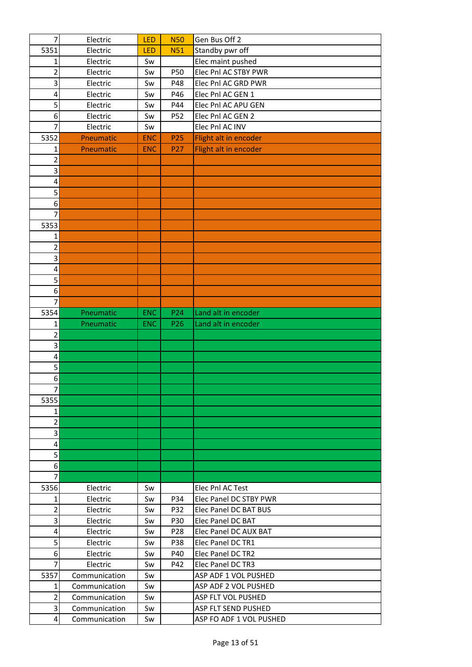| 7                   | Electric               | LED                      | <b>N50</b>             | Gen Bus Off 2                              |
|---------------------|------------------------|--------------------------|------------------------|--------------------------------------------|
| 5351                | Electric               | LED                      | <b>N51</b>             | Standby pwr off                            |
| 1                   | Electric               | Sw                       |                        | Elec maint pushed                          |
| 2                   | Electric               | Sw                       | P50                    | Elec Pnl AC STBY PWR                       |
| 3                   | Electric               | Sw                       | P48                    | Elec Pnl AC GRD PWR                        |
| 4                   | Electric               | Sw                       | P46                    | Elec Pnl AC GEN 1                          |
| 5                   | Electric               | Sw                       | P44                    | Elec Pnl AC APU GEN                        |
| 6                   | Electric               | Sw                       | P52                    | Elec Pnl AC GEN 2                          |
| 7                   | Electric               | Sw                       |                        | Elec Pnl AC INV                            |
| 5352                | Pneumatic              | <b>ENC</b>               | P <sub>25</sub>        | Flight alt in encoder                      |
| 1                   | Pneumatic              | <b>ENC</b>               | P <sub>27</sub>        | Flight alt in encoder                      |
| 2                   |                        |                          |                        |                                            |
| 3                   |                        |                          |                        |                                            |
| 4                   |                        |                          |                        |                                            |
| 5                   |                        |                          |                        |                                            |
| 6                   |                        |                          |                        |                                            |
| $\overline{7}$      |                        |                          |                        |                                            |
| 5353                |                        |                          |                        |                                            |
| 1                   |                        |                          |                        |                                            |
| 2                   |                        |                          |                        |                                            |
| 3                   |                        |                          |                        |                                            |
| 4                   |                        |                          |                        |                                            |
| 5                   |                        |                          |                        |                                            |
| 6<br>$\overline{7}$ |                        |                          |                        |                                            |
|                     |                        |                          |                        |                                            |
| 5354<br>1           | Pneumatic<br>Pneumatic | <b>ENC</b><br><b>ENC</b> | P24<br>P <sub>26</sub> | Land alt in encoder<br>Land alt in encoder |
| 2                   |                        |                          |                        |                                            |
| 3                   |                        |                          |                        |                                            |
| 4                   |                        |                          |                        |                                            |
| 5                   |                        |                          |                        |                                            |
| $\boldsymbol{6}$    |                        |                          |                        |                                            |
| $\overline{7}$      |                        |                          |                        |                                            |
| 5355                |                        |                          |                        |                                            |
| $\mathbf{1}$        |                        |                          |                        |                                            |
| $\overline{2}$      |                        |                          |                        |                                            |
| 3                   |                        |                          |                        |                                            |
| 4                   |                        |                          |                        |                                            |
| $\overline{5}$      |                        |                          |                        |                                            |
| 6                   |                        |                          |                        |                                            |
| 7                   |                        |                          |                        |                                            |
| 5356                | Electric               | Sw                       |                        | Elec Pnl AC Test                           |
| 1                   | Electric               | Sw                       | P34                    | Elec Panel DC STBY PWR                     |
| 2                   | Electric               | Sw                       | P32                    | Elec Panel DC BAT BUS                      |
| 3                   | Electric               | Sw                       | P30                    | Elec Panel DC BAT                          |
| 4                   | Electric               | Sw                       | P <sub>28</sub>        | Elec Panel DC AUX BAT                      |
| 5                   | Electric               | Sw                       | <b>P38</b>             | Elec Panel DC TR1                          |
| 6                   | Electric               | Sw                       | P40                    | Elec Panel DC TR2                          |
| 7                   | Electric               | Sw                       | P42                    | Elec Panel DC TR3                          |
| 5357                | Communication          | Sw                       |                        | ASP ADF 1 VOL PUSHED                       |
| 1                   | Communication          | Sw                       |                        | ASP ADF 2 VOL PUSHED                       |
| 2                   | Communication          | Sw                       |                        | <b>ASP FLT VOL PUSHED</b>                  |
| 3                   | Communication          | Sw                       |                        | <b>ASP FLT SEND PUSHED</b>                 |
| 4                   | Communication          | Sw                       |                        | ASP FO ADF 1 VOL PUSHED                    |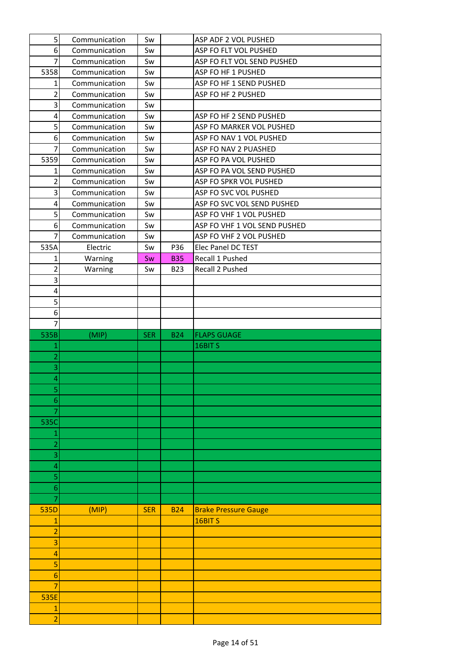| 5 <sup>1</sup>          | Communication | Sw         |            | ASP ADF 2 VOL PUSHED         |
|-------------------------|---------------|------------|------------|------------------------------|
| 6                       | Communication | Sw         |            | ASP FO FLT VOL PUSHED        |
| $\overline{7}$          | Communication | Sw         |            | ASP FO FLT VOL SEND PUSHED   |
| 5358                    | Communication | Sw         |            | ASP FO HF 1 PUSHED           |
| 1                       | Communication | Sw         |            | ASP FO HF 1 SEND PUSHED      |
| $\overline{2}$          | Communication | Sw         |            | ASP FO HF 2 PUSHED           |
| 3                       | Communication | Sw         |            |                              |
| 4                       | Communication | Sw         |            | ASP FO HF 2 SEND PUSHED      |
| 5                       | Communication | Sw         |            | ASP FO MARKER VOL PUSHED     |
| 6                       | Communication | Sw         |            | ASP FO NAV 1 VOL PUSHED      |
| 7                       | Communication | Sw         |            | ASP FO NAV 2 PUASHED         |
| 5359                    | Communication | Sw         |            | ASP FO PA VOL PUSHED         |
| 1                       | Communication | Sw         |            | ASP FO PA VOL SEND PUSHED    |
| $\overline{2}$          | Communication | Sw         |            | ASP FO SPKR VOL PUSHED       |
| 3                       | Communication | Sw         |            | ASP FO SVC VOL PUSHED        |
| $\overline{\mathbf{4}}$ | Communication | Sw         |            | ASP FO SVC VOL SEND PUSHED   |
| 5                       | Communication | Sw         |            | ASP FO VHF 1 VOL PUSHED      |
| 6                       | Communication | Sw         |            | ASP FO VHF 1 VOL SEND PUSHED |
| $\overline{7}$          | Communication | Sw         |            | ASP FO VHF 2 VOL PUSHED      |
| 535A                    | Electric      | Sw         | P36        | Elec Panel DC TEST           |
| 1                       | Warning       | Sw         | <b>B35</b> | Recall 1 Pushed              |
| $\overline{2}$          | Warning       | Sw         | <b>B23</b> | Recall 2 Pushed              |
| 3                       |               |            |            |                              |
| 4                       |               |            |            |                              |
| 5                       |               |            |            |                              |
| 6                       |               |            |            |                              |
|                         |               |            |            |                              |
| $\overline{7}$          |               |            |            |                              |
| 535B                    | (MIP)         | <b>SER</b> | <b>B24</b> | <b>FLAPS GUAGE</b>           |
| 1                       |               |            |            | 16BIT <sub>S</sub>           |
| $\overline{2}$          |               |            |            |                              |
| 3                       |               |            |            |                              |
| 4                       |               |            |            |                              |
| $\overline{\mathbf{5}}$ |               |            |            |                              |
| 6                       |               |            |            |                              |
| 7                       |               |            |            |                              |
| 535C                    |               |            |            |                              |
| 1                       |               |            |            |                              |
| $\overline{a}$          |               |            |            |                              |
| 3                       |               |            |            |                              |
| 4                       |               |            |            |                              |
| 5                       |               |            |            |                              |
| $\boldsymbol{6}$        |               |            |            |                              |
| 7                       |               |            |            |                              |
| 535D                    | (MIP)         | <b>SER</b> | <b>B24</b> | <b>Brake Pressure Gauge</b>  |
| $\mathbf{1}$            |               |            |            | 16BIT <sub>S</sub>           |
| $\overline{2}$          |               |            |            |                              |
| 3                       |               |            |            |                              |
| 4                       |               |            |            |                              |
| 5                       |               |            |            |                              |
| 6                       |               |            |            |                              |
| 7                       |               |            |            |                              |
| 535E                    |               |            |            |                              |
| 1                       |               |            |            |                              |
| $\overline{2}$          |               |            |            |                              |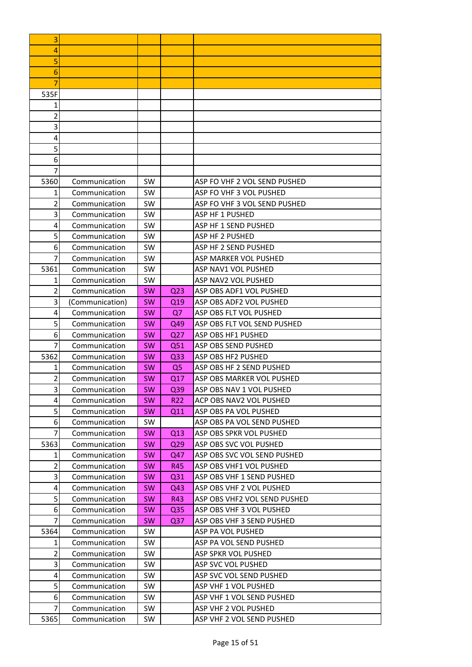| 3      |                                |           |                 |                                               |
|--------|--------------------------------|-----------|-----------------|-----------------------------------------------|
| 4      |                                |           |                 |                                               |
| 5      |                                |           |                 |                                               |
| 6      |                                |           |                 |                                               |
| 7      |                                |           |                 |                                               |
| 535F   |                                |           |                 |                                               |
| 1      |                                |           |                 |                                               |
| 2      |                                |           |                 |                                               |
| 3      |                                |           |                 |                                               |
| 4      |                                |           |                 |                                               |
| 5      |                                |           |                 |                                               |
| 6      |                                |           |                 |                                               |
| 7      |                                |           |                 |                                               |
| 5360   | Communication                  | <b>SW</b> |                 | ASP FO VHF 2 VOL SEND PUSHED                  |
| 1      | Communication                  | <b>SW</b> |                 | ASP FO VHF 3 VOL PUSHED                       |
| 2      | Communication                  | <b>SW</b> |                 | ASP FO VHF 3 VOL SEND PUSHED                  |
| 3      | Communication                  | <b>SW</b> |                 | ASP HF 1 PUSHED                               |
| 4      | Communication                  | <b>SW</b> |                 | ASP HF 1 SEND PUSHED                          |
| 5      | Communication                  | <b>SW</b> |                 | <b>ASP HF 2 PUSHED</b>                        |
| 6      | Communication                  | <b>SW</b> |                 | ASP HF 2 SEND PUSHED                          |
|        | Communication                  | <b>SW</b> |                 | <b>ASP MARKER VOL PUSHED</b>                  |
| 5361   | Communication                  | SW        |                 | ASP NAV1 VOL PUSHED                           |
| 1      | Communication                  | <b>SW</b> |                 | ASP NAV2 VOL PUSHED                           |
| 2      | Communication                  | SW.       | Q <sub>23</sub> | ASP OBS ADF1 VOL PUSHED                       |
| 3      | (Communication)                | <b>SW</b> | Q <sub>19</sub> | ASP OBS ADF2 VOL PUSHED                       |
| 4      | Communication                  | <b>SW</b> | Q7              | ASP OBS FLT VOL PUSHED                        |
| 5      | Communication                  | <b>SW</b> | Q49             | ASP OBS FLT VOL SEND PUSHED                   |
| 6      | Communication                  | <b>SW</b> | Q <sub>27</sub> | ASP OBS HF1 PUSHED                            |
| 7      | Communication                  | <b>SW</b> | Q51             | ASP OBS SEND PUSHED                           |
| 5362   | Communication                  | <b>SW</b> | Q <sub>33</sub> | ASP OBS HF2 PUSHED                            |
| 1      | Communication                  | <b>SW</b> | Q <sub>5</sub>  | ASP OBS HF 2 SEND PUSHED                      |
| 2      | Communication                  | <b>SW</b> | Q17             | ASP OBS MARKER VOL PUSHED                     |
| 3      | Communication                  | <b>SW</b> | Q39             | ASP OBS NAV 1 VOL PUSHED                      |
| 4      | Communication                  | <b>SW</b> | R <sub>22</sub> | ACP OBS NAV2 VOL PUSHED                       |
| 5      | Communication                  | <b>SW</b> | Q11             | ASP OBS PA VOL PUSHED                         |
| 6      | Communication                  | SW        |                 | ASP OBS PA VOL SEND PUSHED                    |
| 7      | Communication                  | <b>SW</b> | Q13             | ASP OBS SPKR VOL PUSHED                       |
| 5363   | Communication                  | <b>SW</b> | Q <sub>29</sub> | ASP OBS SVC VOL PUSHED                        |
| 1      | Communication                  | SW        | Q47             | ASP OBS SVC VOL SEND PUSHED                   |
| 2      | Communication                  | <b>SW</b> | R45             | ASP OBS VHF1 VOL PUSHED                       |
| 3      | Communication                  | <b>SW</b> | Q <sub>31</sub> | ASP OBS VHF 1 SEND PUSHED                     |
| 4      | Communication                  | <b>SW</b> | Q43             | ASP OBS VHF 2 VOL PUSHED                      |
| 5      | Communication                  | <b>SW</b> | R43             | ASP OBS VHF2 VOL SEND PUSHED                  |
| 6<br>7 | Communication                  | <b>SW</b> | Q <sub>35</sub> | ASP OBS VHF 3 VOL PUSHED                      |
|        | Communication                  | <b>SW</b> | Q <sub>37</sub> | ASP OBS VHF 3 SEND PUSHED                     |
| 5364   | Communication                  | SW        |                 | ASP PA VOL PUSHED                             |
| 1<br>2 | Communication<br>Communication | SW<br>SW  |                 | ASP PA VOL SEND PUSHED<br>ASP SPKR VOL PUSHED |
| 3      | Communication                  | SW        |                 | ASP SVC VOL PUSHED                            |
| 4      | Communication                  | SW        |                 | ASP SVC VOL SEND PUSHED                       |
| 5      | Communication                  | SW        |                 | ASP VHF 1 VOL PUSHED                          |
| 6      | Communication                  | SW        |                 | ASP VHF 1 VOL SEND PUSHED                     |
| 7      | Communication                  | SW        |                 | ASP VHF 2 VOL PUSHED                          |
| 5365   | Communication                  | SW        |                 | ASP VHF 2 VOL SEND PUSHED                     |
|        |                                |           |                 |                                               |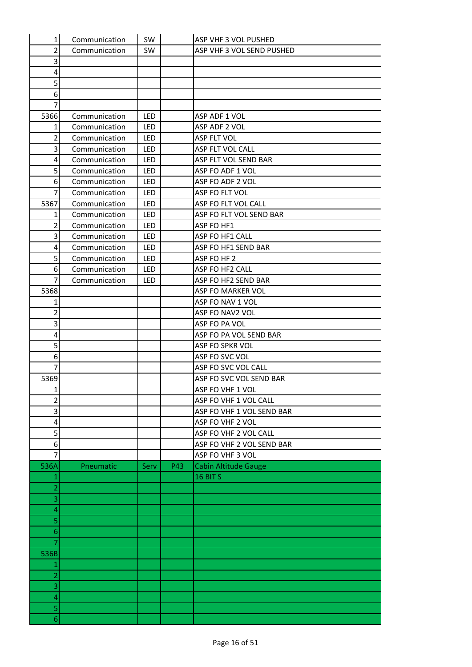| $\mathbf{1}$        | Communication | SW         |     | ASP VHF 3 VOL PUSHED        |
|---------------------|---------------|------------|-----|-----------------------------|
| 2                   | Communication | SW         |     | ASP VHF 3 VOL SEND PUSHED   |
| 3                   |               |            |     |                             |
| 4                   |               |            |     |                             |
| 5                   |               |            |     |                             |
| 6                   |               |            |     |                             |
| 7                   |               |            |     |                             |
| 5366                | Communication | <b>LED</b> |     | ASP ADF 1 VOL               |
| 1                   | Communication | LED        |     | ASP ADF 2 VOL               |
| 2                   | Communication | <b>LED</b> |     | ASP FLT VOL                 |
| 3                   | Communication | LED        |     | ASP FLT VOL CALL            |
| 4                   | Communication | LED        |     | ASP FLT VOL SEND BAR        |
| 5                   | Communication | <b>LED</b> |     | ASP FO ADF 1 VOL            |
| 6                   | Communication | LED        |     | ASP FO ADF 2 VOL            |
| 7                   | Communication | <b>LED</b> |     | ASP FO FLT VOL              |
| 5367                | Communication | LED        |     | ASP FO FLT VOL CALL         |
| 1                   | Communication | LED        |     | ASP FO FLT VOL SEND BAR     |
| $\overline{2}$      | Communication | <b>LED</b> |     | ASP FO HF1                  |
| 3                   | Communication | LED        |     | ASP FO HF1 CALL             |
| 4                   | Communication | <b>LED</b> |     | ASP FO HF1 SEND BAR         |
| 5                   | Communication | LED        |     | ASP FO HF 2                 |
| 6                   | Communication | LED        |     | ASP FO HF2 CALL             |
| $\overline{7}$      | Communication | <b>LED</b> |     | ASP FO HF2 SEND BAR         |
| 5368                |               |            |     | ASP FO MARKER VOL           |
| 1                   |               |            |     | ASP FO NAV 1 VOL            |
| 2                   |               |            |     | ASP FO NAV2 VOL             |
| 3                   |               |            |     | ASP FO PA VOL               |
| 4                   |               |            |     | ASP FO PA VOL SEND BAR      |
| 5                   |               |            |     | ASP FO SPKR VOL             |
| 6                   |               |            |     | ASP FO SVC VOL              |
| $\overline{7}$      |               |            |     | ASP FO SVC VOL CALL         |
| 5369                |               |            |     | ASP FO SVC VOL SEND BAR     |
| $\mathbf{1}$        |               |            |     | ASP FO VHF 1 VOL            |
| $\overline{2}$      |               |            |     | ASP FO VHF 1 VOL CALL       |
| 3                   |               |            |     | ASP FO VHF 1 VOL SEND BAR   |
| 4                   |               |            |     | ASP FO VHF 2 VOL            |
| 5                   |               |            |     | ASP FO VHF 2 VOL CALL       |
| 6                   |               |            |     | ASP FO VHF 2 VOL SEND BAR   |
| 7                   |               |            |     | ASP FO VHF 3 VOL            |
| 536A                | Pneumatic     | Serv       | P43 | <b>Cabin Altitude Gauge</b> |
| 1                   |               |            |     | 16 BIT S                    |
| $\overline{a}$      |               |            |     |                             |
| 3                   |               |            |     |                             |
| 4                   |               |            |     |                             |
| 5                   |               |            |     |                             |
| 6                   |               |            |     |                             |
| $\overline{7}$      |               |            |     |                             |
| 536B                |               |            |     |                             |
| 1<br>$\overline{a}$ |               |            |     |                             |
| 3                   |               |            |     |                             |
| 4                   |               |            |     |                             |
| 5                   |               |            |     |                             |
| 6                   |               |            |     |                             |
|                     |               |            |     |                             |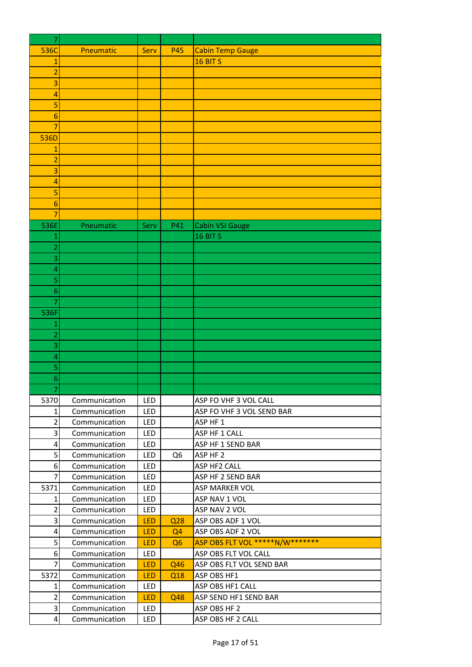| 7               |               |            |                 |                                 |
|-----------------|---------------|------------|-----------------|---------------------------------|
| 536C            | Pneumatic     | Serv       | <b>P45</b>      | <b>Cabin Temp Gauge</b>         |
| 1               |               |            |                 | 16 BIT S                        |
| $\overline{c}$  |               |            |                 |                                 |
| 3               |               |            |                 |                                 |
| 4               |               |            |                 |                                 |
| 5               |               |            |                 |                                 |
| 6               |               |            |                 |                                 |
| $\overline{7}$  |               |            |                 |                                 |
| 536D            |               |            |                 |                                 |
| 1               |               |            |                 |                                 |
| 2               |               |            |                 |                                 |
| 3               |               |            |                 |                                 |
| 4               |               |            |                 |                                 |
| 5               |               |            |                 |                                 |
| 6               |               |            |                 |                                 |
| 7               |               |            |                 |                                 |
| 536E            | Pneumatic     | Serv       | P41             | Cabin VSI Gauge                 |
| 1               |               |            |                 | 16 BIT S                        |
| $\overline{2}$  |               |            |                 |                                 |
| 3               |               |            |                 |                                 |
| 4               |               |            |                 |                                 |
| 5               |               |            |                 |                                 |
| 6               |               |            |                 |                                 |
| 7               |               |            |                 |                                 |
| 536F            |               |            |                 |                                 |
| 1               |               |            |                 |                                 |
| 2               |               |            |                 |                                 |
| 3<br>4          |               |            |                 |                                 |
| 5               |               |            |                 |                                 |
| 6               |               |            |                 |                                 |
|                 |               |            |                 |                                 |
| 5370            | Communication | <b>LED</b> |                 | ASP FO VHF 3 VOL CALL           |
| 1               | Communication | LED        |                 | ASP FO VHF 3 VOL SEND BAR       |
| $\overline{2}$  | Communication | LED        |                 | ASP HF 1                        |
| 3               | Communication | LED        |                 | ASP HF 1 CALL                   |
| 4               | Communication | LED        |                 | ASP HF 1 SEND BAR               |
| 5               | Communication | LED        | Q <sub>6</sub>  | ASP HF 2                        |
| 6               | Communication | LED        |                 | ASP HF2 CALL                    |
| 7               | Communication | LED        |                 | ASP HF 2 SEND BAR               |
| 5371            | Communication | LED        |                 | ASP MARKER VOL                  |
| 1               | Communication | LED        |                 | ASP NAV 1 VOL                   |
| 2               | Communication | LED        |                 | ASP NAV 2 VOL                   |
| 3               | Communication | <b>LED</b> | Q <sub>28</sub> | ASP OBS ADF 1 VOL               |
| 4               | Communication | <b>LED</b> | Q <sub>4</sub>  | ASP OBS ADF 2 VOL               |
| 5               | Communication | <b>LED</b> | Q <sub>6</sub>  | ASP OBS FLT VOL *****N/W******* |
| 6               | Communication | LED        |                 | ASP OBS FLT VOL CALL            |
| $\overline{7}$  | Communication | <b>LED</b> | Q46             | ASP OBS FLT VOL SEND BAR        |
| 5372            | Communication | <b>LED</b> | Q18             | ASP OBS HF1                     |
| 1               | Communication | LED        |                 | ASP OBS HF1 CALL                |
| $\overline{2}$  | Communication | <b>LED</b> | Q48             | ASP SEND HF1 SEND BAR           |
| 3               | Communication | LED        |                 | ASP OBS HF 2                    |
| $\vert 4 \vert$ | Communication | LED        |                 | ASP OBS HF 2 CALL               |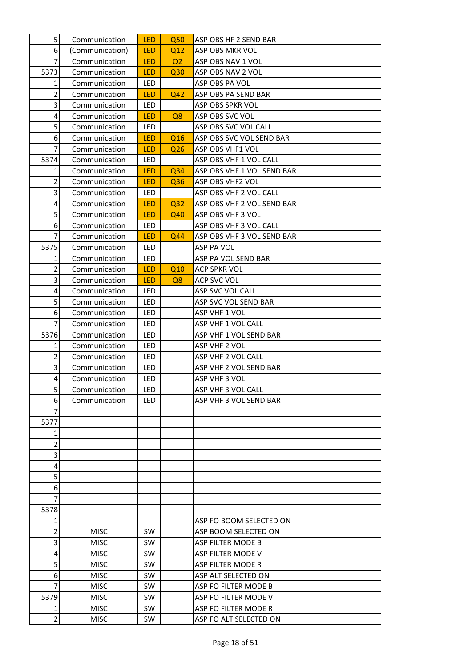| 5              | Communication              | <b>LED</b> | Q <sub>50</sub> | ASP OBS HF 2 SEND BAR                  |
|----------------|----------------------------|------------|-----------------|----------------------------------------|
| 6              | (Communication)            | <b>LED</b> | Q12             | ASP OBS MKR VOL                        |
| $\overline{7}$ | Communication              | <b>LED</b> | Q <sub>2</sub>  | ASP OBS NAV 1 VOL                      |
| 5373           | Communication              | <b>LED</b> | Q <sub>30</sub> | ASP OBS NAV 2 VOL                      |
| 1              | Communication              | <b>LED</b> |                 | ASP OBS PA VOL                         |
| $\overline{2}$ | Communication              | <b>LED</b> | Q42             | ASP OBS PA SEND BAR                    |
| 3              | Communication              | LED.       |                 | ASP OBS SPKR VOL                       |
| 4              | Communication              | <b>LED</b> | Q8              | ASP OBS SVC VOL                        |
| 5              | Communication              | LED        |                 | ASP OBS SVC VOL CALL                   |
| 6              | Communication              | <b>LED</b> | Q <sub>16</sub> | ASP OBS SVC VOL SEND BAR               |
| $\overline{7}$ | Communication              | <b>LED</b> | Q <sub>26</sub> | ASP OBS VHF1 VOL                       |
| 5374           | Communication              | <b>LED</b> |                 | ASP OBS VHF 1 VOL CALL                 |
| 1              | Communication              | <b>LED</b> | Q34             | ASP OBS VHF 1 VOL SEND BAR             |
| $\overline{2}$ | Communication              | <b>LED</b> | Q36             | ASP OBS VHF2 VOL                       |
| 3              | Communication              | <b>LED</b> |                 | ASP OBS VHF 2 VOL CALL                 |
| 4              | Communication              | <b>LED</b> | Q <sub>32</sub> | ASP OBS VHF 2 VOL SEND BAR             |
| 5              | Communication              | <b>LED</b> | Q40             | ASP OBS VHF 3 VOL                      |
| 6              | Communication              | <b>LED</b> |                 | ASP OBS VHF 3 VOL CALL                 |
| $\overline{7}$ | Communication              | <b>LED</b> | Q44             | ASP OBS VHF 3 VOL SEND BAR             |
| 5375           | Communication              | <b>LED</b> |                 | ASP PA VOL                             |
| 1              | Communication              | LED.       |                 | ASP PA VOL SEND BAR                    |
| $\overline{2}$ | Communication              | <b>LED</b> | Q10             | ACP SPKR VOL                           |
| 3              | Communication              | <b>LED</b> | Q8              | ACP SVC VOL                            |
| 4              | Communication              | <b>LED</b> |                 | ASP SVC VOL CALL                       |
| 5              | Communication              | <b>LED</b> |                 | ASP SVC VOL SEND BAR                   |
| 6              | Communication              | <b>LED</b> |                 | ASP VHF 1 VOL                          |
| 7              | Communication              | LED.       |                 | ASP VHF 1 VOL CALL                     |
| 5376           | Communication              | LED        |                 | ASP VHF 1 VOL SEND BAR                 |
| 1              | Communication              | LED        |                 | ASP VHF 2 VOL                          |
| $\overline{2}$ | Communication              | LED        |                 | ASP VHF 2 VOL CALL                     |
| 3              | Communication              | LED.       |                 | ASP VHF 2 VOL SEND BAR                 |
| 4              | Communication              | <b>LED</b> |                 | ASP VHF 3 VOL                          |
| 5              | Communication              | LED        |                 | ASP VHF 3 VOL CALL                     |
| 6              | Communication              | LED        |                 | ASP VHF 3 VOL SEND BAR                 |
| 7              |                            |            |                 |                                        |
| 5377           |                            |            |                 |                                        |
| 1              |                            |            |                 |                                        |
| 2              |                            |            |                 |                                        |
| 3              |                            |            |                 |                                        |
| 4              |                            |            |                 |                                        |
| 5              |                            |            |                 |                                        |
| 6<br>7         |                            |            |                 |                                        |
| 5378           |                            |            |                 |                                        |
| 1              |                            |            |                 | ASP FO BOOM SELECTED ON                |
| 2              | <b>MISC</b>                | SW.        |                 | ASP BOOM SELECTED ON                   |
| 3              |                            |            |                 |                                        |
| 4              | <b>MISC</b><br><b>MISC</b> | SW<br>SW.  |                 | ASP FILTER MODE B<br>ASP FILTER MODE V |
| 5              | <b>MISC</b>                | <b>SW</b>  |                 | ASP FILTER MODE R                      |
| 6              | <b>MISC</b>                | <b>SW</b>  |                 | ASP ALT SELECTED ON                    |
| 7              | <b>MISC</b>                | SW         |                 | ASP FO FILTER MODE B                   |
| 5379           | <b>MISC</b>                | SW.        |                 | ASP FO FILTER MODE V                   |
| 1              | <b>MISC</b>                | <b>SW</b>  |                 | ASP FO FILTER MODE R                   |
| $\overline{2}$ | <b>MISC</b>                | <b>SW</b>  |                 | ASP FO ALT SELECTED ON                 |
|                |                            |            |                 |                                        |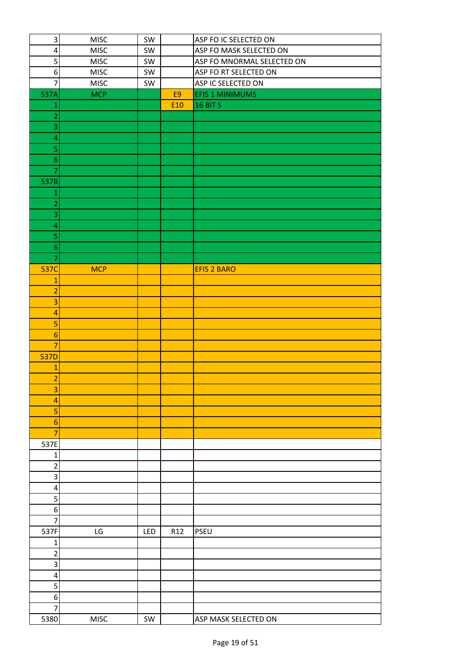| $\overline{\mathbf{3}}$ | <b>MISC</b> | SW  |     | ASP FO IC SELECTED ON      |
|-------------------------|-------------|-----|-----|----------------------------|
| $\overline{\mathbf{4}}$ | <b>MISC</b> | SW  |     | ASP FO MASK SELECTED ON    |
| 5                       | MISC        | SW  |     | ASP FO MNORMAL SELECTED ON |
| $\boldsymbol{6}$        | <b>MISC</b> | SW  |     | ASP FO RT SELECTED ON      |
| 7                       | <b>MISC</b> | SW  |     | ASP IC SELECTED ON         |
| 537A                    | <b>MCP</b>  |     | E9  | <b>EFIS 1 MINIMUMS</b>     |
| 1                       |             |     | E10 | <b>16 BIT S</b>            |
| $\overline{2}$          |             |     |     |                            |
| 3                       |             |     |     |                            |
| $\overline{a}$          |             |     |     |                            |
| 5                       |             |     |     |                            |
| $\boldsymbol{6}$        |             |     |     |                            |
| 7                       |             |     |     |                            |
| 537B                    |             |     |     |                            |
| 1                       |             |     |     |                            |
| $\overline{c}$          |             |     |     |                            |
| 3                       |             |     |     |                            |
| $\overline{a}$          |             |     |     |                            |
| 5                       |             |     |     |                            |
| $\boldsymbol{6}$        |             |     |     |                            |
| 7                       |             |     |     |                            |
| 537C                    | <b>MCP</b>  |     |     | <b>EFIS 2 BARO</b>         |
| $\mathbf{1}$            |             |     |     |                            |
| $\overline{a}$          |             |     |     |                            |
| 3                       |             |     |     |                            |
| $\overline{a}$          |             |     |     |                            |
| 5                       |             |     |     |                            |
| $6\phantom{1}6$         |             |     |     |                            |
| $\overline{7}$          |             |     |     |                            |
| <b>537D</b>             |             |     |     |                            |
| 1                       |             |     |     |                            |
| $\overline{a}$          |             |     |     |                            |
| 3                       |             |     |     |                            |
| $\overline{a}$          |             |     |     |                            |
| 5                       |             |     |     |                            |
| $\boldsymbol{6}$        |             |     |     |                            |
| $\overline{7}$          |             |     |     |                            |
| 537E                    |             |     |     |                            |
| 1                       |             |     |     |                            |
| $\overline{\mathbf{c}}$ |             |     |     |                            |
| 3                       |             |     |     |                            |
| 4                       |             |     |     |                            |
| 5                       |             |     |     |                            |
| $\boldsymbol{6}$        |             |     |     |                            |
| $\overline{7}$          |             |     |     |                            |
| 537F                    | LG          | LED | R12 | PSEU                       |
| 1                       |             |     |     |                            |
| 2                       |             |     |     |                            |
| 3                       |             |     |     |                            |
| $\overline{\mathbf{4}}$ |             |     |     |                            |
| 5                       |             |     |     |                            |
| 6                       |             |     |     |                            |
| $\overline{7}$          |             |     |     |                            |
| 5380                    | <b>MISC</b> | SW  |     | ASP MASK SELECTED ON       |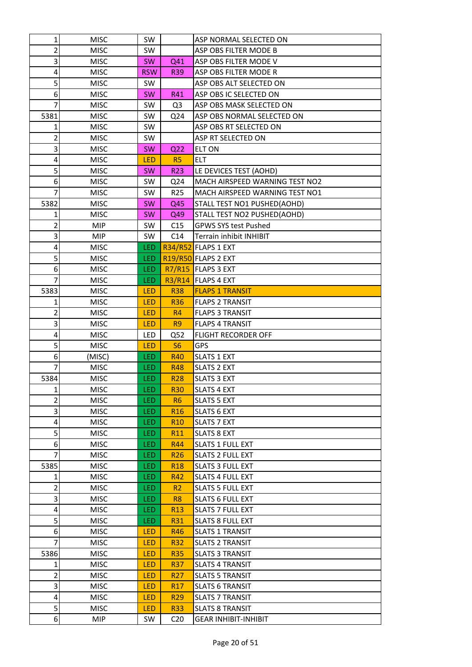| 1              | <b>MISC</b> | <b>SW</b>  |                 | ASP NORMAL SELECTED ON         |
|----------------|-------------|------------|-----------------|--------------------------------|
| 2              | <b>MISC</b> | SW         |                 | ASP OBS FILTER MODE B          |
| 3              | <b>MISC</b> | <b>SW</b>  | Q41             | ASP OBS FILTER MODE V          |
| 4              | <b>MISC</b> | <b>RSW</b> | <b>R39</b>      | ASP OBS FILTER MODE R          |
| 5              | <b>MISC</b> | <b>SW</b>  |                 | ASP OBS ALT SELECTED ON        |
| 6              | <b>MISC</b> | <b>SW</b>  | R41             | ASP OBS IC SELECTED ON         |
| 7              | <b>MISC</b> | <b>SW</b>  | Q <sub>3</sub>  | ASP OBS MASK SELECTED ON       |
| 5381           | <b>MISC</b> | <b>SW</b>  | Q <sub>24</sub> | ASP OBS NORMAL SELECTED ON     |
| 1              | <b>MISC</b> | <b>SW</b>  |                 | ASP OBS RT SELECTED ON         |
| 2              | <b>MISC</b> | <b>SW</b>  |                 | ASP RT SELECTED ON             |
| 3              | <b>MISC</b> | <b>SW</b>  | Q <sub>22</sub> | <b>ELT ON</b>                  |
| 4              | <b>MISC</b> | <b>LED</b> | R5              | <b>ELT</b>                     |
| 5              | <b>MISC</b> | <b>SW</b>  | R <sub>23</sub> | LE DEVICES TEST (AOHD)         |
| 6              | <b>MISC</b> | <b>SW</b>  | Q24             | MACH AIRSPEED WARNING TEST NO2 |
| 7              | <b>MISC</b> | <b>SW</b>  | R <sub>25</sub> | MACH AIRSPEED WARNING TEST NO1 |
| 5382           | <b>MISC</b> | <b>SW</b>  | Q45             | STALL TEST NO1 PUSHED(AOHD)    |
| 1              | <b>MISC</b> | <b>SW</b>  | Q49             | STALL TEST NO2 PUSHED(AOHD)    |
| 2              | <b>MIP</b>  | <b>SW</b>  | C15             | <b>GPWS SYS test Pushed</b>    |
| 3              | <b>MIP</b>  | <b>SW</b>  | C14             | Terrain inhibit INHIBIT        |
| 4              | <b>MISC</b> | LED        | R34/R52         | <b>FLAPS 1 EXT</b>             |
| 5              | <b>MISC</b> | LED        |                 | R19/R50 FLAPS 2 EXT            |
| 6              | <b>MISC</b> | <b>LED</b> |                 | R7/R15 FLAPS 3 EXT             |
| 7              | <b>MISC</b> | LED        | R3/R14          | <b>FLAPS 4 EXT</b>             |
| 5383           | <b>MISC</b> | <b>LED</b> | <b>R38</b>      | <b>FLAPS 1 TRANSIT</b>         |
| 1              | <b>MISC</b> | LED        | <b>R36</b>      | <b>FLAPS 2 TRANSIT</b>         |
| 2              | <b>MISC</b> | <b>LED</b> | R <sub>4</sub>  | <b>FLAPS 3 TRANSIT</b>         |
| 3              | <b>MISC</b> | <b>LED</b> | R <sub>9</sub>  | <b>FLAPS 4 TRANSIT</b>         |
| 4              | <b>MISC</b> | <b>LED</b> | Q52             | <b>FLIGHT RECORDER OFF</b>     |
| 5              | <b>MISC</b> | <b>LED</b> | S <sub>6</sub>  | <b>GPS</b>                     |
| 6              | (MISC)      | <b>LED</b> | <b>R40</b>      | <b>SLATS 1 EXT</b>             |
| 7              | <b>MISC</b> | LED        | <b>R48</b>      | <b>SLATS 2 EXT</b>             |
| 5384           | <b>MISC</b> | LED        | <b>R28</b>      | <b>SLATS 3 EXT</b>             |
| $1\vert$       | <b>MISC</b> | LED.       | <b>R30</b>      | <b>SLATS 4 EXT</b>             |
|                |             |            |                 |                                |
| 2              | <b>MISC</b> | <b>LED</b> | R6              | <b>SLATS 5 EXT</b>             |
| 3              | <b>MISC</b> | <b>LED</b> | R <sub>16</sub> | <b>SLATS 6 EXT</b>             |
| 4              | <b>MISC</b> | <b>LED</b> | <b>R10</b>      | <b>SLATS 7 EXT</b>             |
| 5              | <b>MISC</b> | LED        | R11             | <b>SLATS 8 EXT</b>             |
| 6              | <b>MISC</b> | <b>LED</b> | R44             | <b>SLATS 1 FULL EXT</b>        |
| 7              | <b>MISC</b> | <b>LED</b> | R <sub>26</sub> | <b>SLATS 2 FULL EXT</b>        |
| 5385           | <b>MISC</b> | <b>LED</b> | R <sub>18</sub> | <b>SLATS 3 FULL EXT</b>        |
| 1              | <b>MISC</b> | <b>LED</b> | R42             | <b>SLATS 4 FULL EXT</b>        |
| 2              | <b>MISC</b> | <b>LED</b> | R <sub>2</sub>  | <b>SLATS 5 FULL EXT</b>        |
| 3              | <b>MISC</b> | LED.       | R <sub>8</sub>  | <b>SLATS 6 FULL EXT</b>        |
| 4              | <b>MISC</b> | <b>LED</b> | R <sub>13</sub> | <b>SLATS 7 FULL EXT</b>        |
| 5              | <b>MISC</b> | <b>LED</b> | R31             | <b>SLATS 8 FULL EXT</b>        |
| 6              | <b>MISC</b> | <b>LED</b> | R46             | <b>SLATS 1 TRANSIT</b>         |
| 7              | <b>MISC</b> | <b>LED</b> | <b>R32</b>      | <b>SLATS 2 TRANSIT</b>         |
| 5386           | <b>MISC</b> | <b>LED</b> | <b>R35</b>      | <b>SLATS 3 TRANSIT</b>         |
| 1              | <b>MISC</b> | <b>LED</b> | <b>R37</b>      | <b>SLATS 4 TRANSIT</b>         |
| 2              | <b>MISC</b> | <b>LED</b> | R <sub>27</sub> | <b>SLATS 5 TRANSIT</b>         |
| 3              | <b>MISC</b> | <b>LED</b> | R <sub>17</sub> | <b>SLATS 6 TRANSIT</b>         |
| 4              | <b>MISC</b> | <b>LED</b> | R <sub>29</sub> | <b>SLATS 7 TRANSIT</b>         |
| $\overline{5}$ | <b>MISC</b> | <b>LED</b> | <b>R33</b>      | <b>SLATS 8 TRANSIT</b>         |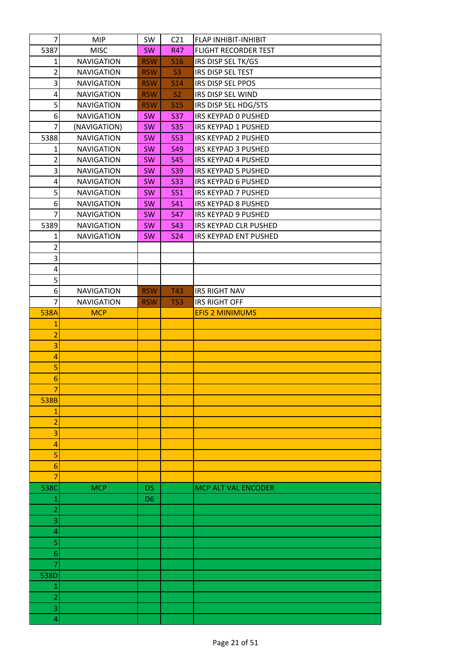| $\overline{7}$          | <b>MIP</b>        | SW             | C <sub>21</sub> | <b>FLAP INHIBIT-INHIBIT</b> |
|-------------------------|-------------------|----------------|-----------------|-----------------------------|
| 5387                    | <b>MISC</b>       | <b>SW</b>      | <b>R47</b>      | FLIGHT RECORDER TEST        |
| 1                       | <b>NAVIGATION</b> | <b>RSW</b>     | <b>S16</b>      | IRS DISP SEL TK/GS          |
| $\overline{c}$          | <b>NAVIGATION</b> | <b>RSW</b>     | S <sub>3</sub>  | IRS DISP SEL TEST           |
| 3                       | <b>NAVIGATION</b> | <b>RSW</b>     | <b>S14</b>      | IRS DISP SEL PPOS           |
| $\overline{\mathbf{4}}$ | <b>NAVIGATION</b> | <b>RSW</b>     | S <sub>2</sub>  | IRS DISP SEL WIND           |
| 5                       | <b>NAVIGATION</b> | <b>RSW</b>     | <b>S15</b>      | IRS DISP SEL HDG/STS        |
| 6                       | <b>NAVIGATION</b> | <b>SW</b>      | <b>S37</b>      | IRS KEYPAD O PUSHED         |
| $\overline{7}$          | (NAVIGATION)      | SW             | <b>S35</b>      | IRS KEYPAD 1 PUSHED         |
| 5388                    | <b>NAVIGATION</b> | <b>SW</b>      | <b>S53</b>      | IRS KEYPAD 2 PUSHED         |
| 1                       | <b>NAVIGATION</b> | <b>SW</b>      | <b>S49</b>      | IRS KEYPAD 3 PUSHED         |
| $\overline{2}$          | <b>NAVIGATION</b> | SW             | <b>S45</b>      | IRS KEYPAD 4 PUSHED         |
| 3                       | <b>NAVIGATION</b> | SW             | <b>S39</b>      | IRS KEYPAD 5 PUSHED         |
| $\overline{\mathbf{4}}$ | <b>NAVIGATION</b> | <b>SW</b>      | <b>S33</b>      | IRS KEYPAD 6 PUSHED         |
| 5                       | <b>NAVIGATION</b> | SW             | <b>S51</b>      | IRS KEYPAD 7 PUSHED         |
| 6                       | <b>NAVIGATION</b> | SW             | S41             | IRS KEYPAD 8 PUSHED         |
| $\overline{7}$          | <b>NAVIGATION</b> | <b>SW</b>      | <b>S47</b>      | IRS KEYPAD 9 PUSHED         |
| 5389                    | <b>NAVIGATION</b> | SW             | <b>S43</b>      | IRS KEYPAD CLR PUSHED       |
| 1                       | <b>NAVIGATION</b> | <b>SW</b>      | <b>S24</b>      | IRS KEYPAD ENT PUSHED       |
| 2                       |                   |                |                 |                             |
| 3                       |                   |                |                 |                             |
| $\overline{\mathbf{4}}$ |                   |                |                 |                             |
| 5                       |                   |                |                 |                             |
| 6                       | <b>NAVIGATION</b> | <b>RSW</b>     | T43             | <b>IRS RIGHT NAV</b>        |
| 7                       | <b>NAVIGATION</b> | <b>RSW</b>     | <b>T53</b>      | <b>IRS RIGHT OFF</b>        |
| 538A                    | <b>MCP</b>        |                |                 | <b>EFIS 2 MINIMUMS</b>      |
| 1                       |                   |                |                 |                             |
| $\overline{a}$          |                   |                |                 |                             |
| 3                       |                   |                |                 |                             |
| $\overline{a}$          |                   |                |                 |                             |
| 5                       |                   |                |                 |                             |
| 6                       |                   |                |                 |                             |
| 7                       |                   |                |                 |                             |
| 538B                    |                   |                |                 |                             |
| 1                       |                   |                |                 |                             |
| $\overline{2}$          |                   |                |                 |                             |
| 3                       |                   |                |                 |                             |
| 4<br>5                  |                   |                |                 |                             |
| 6                       |                   |                |                 |                             |
| 7                       |                   |                |                 |                             |
| 538C                    | <b>MCP</b>        | D <sub>5</sub> |                 | MCP ALT VAL ENCODER         |
| 1                       |                   | D <sub>6</sub> |                 |                             |
| $\overline{a}$          |                   |                |                 |                             |
| 3                       |                   |                |                 |                             |
| 4                       |                   |                |                 |                             |
| 5                       |                   |                |                 |                             |
| 6                       |                   |                |                 |                             |
| 7                       |                   |                |                 |                             |
| 538D                    |                   |                |                 |                             |
| 1                       |                   |                |                 |                             |
| $\overline{2}$          |                   |                |                 |                             |
| 3                       |                   |                |                 |                             |
| 4                       |                   |                |                 |                             |
|                         |                   |                |                 |                             |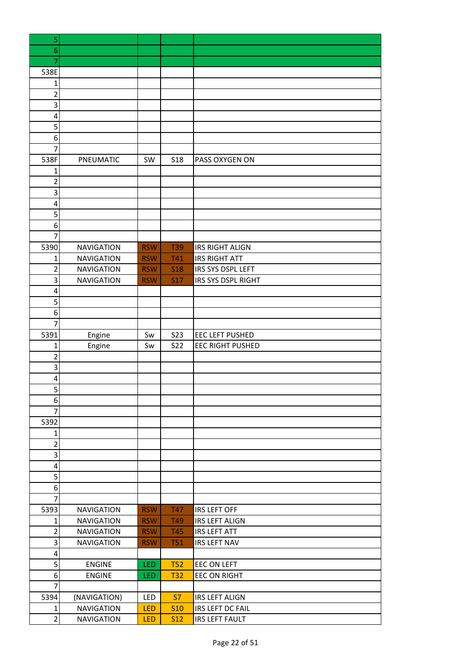| 5              |                   |            |            |                         |
|----------------|-------------------|------------|------------|-------------------------|
| 6              |                   |            |            |                         |
| 7              |                   |            |            |                         |
| 538E           |                   |            |            |                         |
| $\mathbf{1}$   |                   |            |            |                         |
| $\overline{2}$ |                   |            |            |                         |
| 3              |                   |            |            |                         |
| 4              |                   |            |            |                         |
| 5              |                   |            |            |                         |
| 6              |                   |            |            |                         |
| 7              |                   |            |            |                         |
| 538F           | PNEUMATIC         | SW         | <b>S18</b> | PASS OXYGEN ON          |
| 1              |                   |            |            |                         |
| $\overline{2}$ |                   |            |            |                         |
| 3              |                   |            |            |                         |
| 4              |                   |            |            |                         |
| 5              |                   |            |            |                         |
| 6              |                   |            |            |                         |
| $\overline{7}$ |                   |            |            |                         |
| 5390           | <b>NAVIGATION</b> | <b>RSW</b> | <b>T39</b> | <b>IRS RIGHT ALIGN</b>  |
| $\mathbf{1}$   | <b>NAVIGATION</b> | <b>RSW</b> | <b>T41</b> | <b>IRS RIGHT ATT</b>    |
| $\overline{2}$ | <b>NAVIGATION</b> | <b>RSW</b> | <b>S18</b> | IRS SYS DSPL LEFT       |
| 3              | <b>NAVIGATION</b> | <b>RSW</b> | <b>S17</b> | IRS SYS DSPL RIGHT      |
| 4              |                   |            |            |                         |
| 5              |                   |            |            |                         |
| 6              |                   |            |            |                         |
| $\overline{7}$ |                   |            |            |                         |
| 5391           | Engine            | Sw         | <b>S23</b> | EEC LEFT PUSHED         |
| $\mathbf{1}$   |                   | Sw         | <b>S22</b> | <b>EEC RIGHT PUSHED</b> |
| $\overline{2}$ | Engine            |            |            |                         |
| 3              |                   |            |            |                         |
|                |                   |            |            |                         |
| 4              |                   |            |            |                         |
| 5              |                   |            |            |                         |
| 6              |                   |            |            |                         |
| $\overline{7}$ |                   |            |            |                         |
| 5392           |                   |            |            |                         |
| 1              |                   |            |            |                         |
| $\overline{2}$ |                   |            |            |                         |
| 3              |                   |            |            |                         |
| $\pmb{4}$      |                   |            |            |                         |
| 5              |                   |            |            |                         |
| 6              |                   |            |            |                         |
| $\overline{7}$ |                   |            |            |                         |
| 5393           | <b>NAVIGATION</b> | <b>RSW</b> | <b>T47</b> | <b>IRS LEFT OFF</b>     |
| $\mathbf{1}$   | <b>NAVIGATION</b> | <b>RSW</b> | T49        | <b>IRS LEFT ALIGN</b>   |
| $\overline{2}$ | <b>NAVIGATION</b> | <b>RSW</b> | <b>T45</b> | <b>IRS LEFT ATT</b>     |
| $\mathsf 3$    | <b>NAVIGATION</b> | <b>RSW</b> | <b>T51</b> | <b>IRS LEFT NAV</b>     |
| 4              |                   |            |            |                         |
| 5              | <b>ENGINE</b>     | <b>LED</b> | <b>T52</b> | <b>EEC ON LEFT</b>      |
| 6              | <b>ENGINE</b>     | LED        | <b>T32</b> | <b>EEC ON RIGHT</b>     |
| $\overline{7}$ |                   |            |            |                         |
| 5394           | (NAVIGATION)      | LED        | <b>S7</b>  | <b>IRS LEFT ALIGN</b>   |
| $\mathbf 1$    | <b>NAVIGATION</b> | <b>LED</b> | <b>S10</b> | IRS LEFT DC FAIL        |
| $\overline{2}$ | <b>NAVIGATION</b> | LED        | <b>S12</b> | <b>IRS LEFT FAULT</b>   |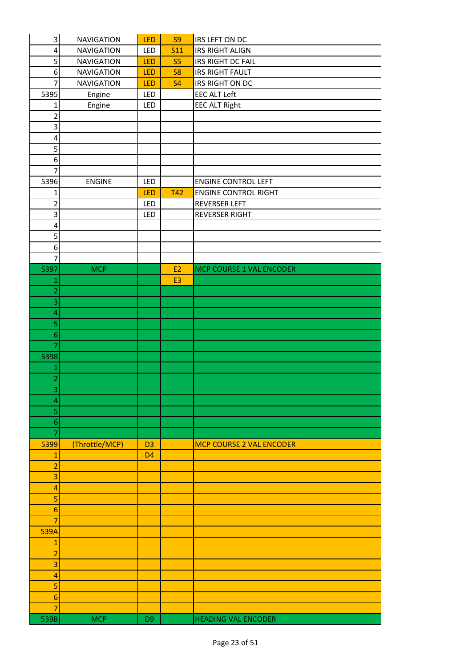| 3                       | <b>NAVIGATION</b> | LED            | S <sub>9</sub> | IRS LEFT ON DC                  |
|-------------------------|-------------------|----------------|----------------|---------------------------------|
| 4                       | <b>NAVIGATION</b> | LED            | <b>S11</b>     | <b>IRS RIGHT ALIGN</b>          |
| 5                       | <b>NAVIGATION</b> | LED            | S <sub>5</sub> | IRS RIGHT DC FAIL               |
| 6                       | <b>NAVIGATION</b> | LED            | S <sub>8</sub> | <b>IRS RIGHT FAULT</b>          |
| $\overline{7}$          | <b>NAVIGATION</b> | LED            | <b>S4</b>      | IRS RIGHT ON DC                 |
| 5395                    | Engine            | LED            |                | <b>EEC ALT Left</b>             |
| 1                       | Engine            | LED            |                | <b>EEC ALT Right</b>            |
| $\overline{2}$          |                   |                |                |                                 |
| 3                       |                   |                |                |                                 |
| 4                       |                   |                |                |                                 |
| 5                       |                   |                |                |                                 |
| 6                       |                   |                |                |                                 |
| $\overline{7}$          |                   |                |                |                                 |
| 5396                    | <b>ENGINE</b>     | LED            |                | <b>ENGINE CONTROL LEFT</b>      |
| 1                       |                   | LED            | <b>T42</b>     | <b>ENGINE CONTROL RIGHT</b>     |
| $\overline{2}$          |                   | LED            |                | REVERSER LEFT                   |
| 3                       |                   | LED            |                | <b>REVERSER RIGHT</b>           |
| $\overline{\mathbf{4}}$ |                   |                |                |                                 |
| 5                       |                   |                |                |                                 |
| 6                       |                   |                |                |                                 |
| $\overline{7}$          |                   |                |                |                                 |
| 5397                    | <b>MCP</b>        |                | E <sub>2</sub> | MCP COURSE 1 VAL ENCODER        |
| 1                       |                   |                | E <sub>3</sub> |                                 |
| $\overline{2}$          |                   |                |                |                                 |
| 3                       |                   |                |                |                                 |
| 4                       |                   |                |                |                                 |
| 5                       |                   |                |                |                                 |
| $6 \overline{6}$        |                   |                |                |                                 |
| $\overline{7}$          |                   |                |                |                                 |
| 5398                    |                   |                |                |                                 |
| $\mathbf 1$             |                   |                |                |                                 |
| $\overline{c}$          |                   |                |                |                                 |
| $\overline{\mathbf{3}}$ |                   |                |                |                                 |
| 4                       |                   |                |                |                                 |
| 5                       |                   |                |                |                                 |
| $\boldsymbol{6}$        |                   |                |                |                                 |
| $\overline{7}$          |                   |                |                |                                 |
| 5399                    | (Throttle/MCP)    | D <sub>3</sub> |                | <b>MCP COURSE 2 VAL ENCODER</b> |
| $\mathbf{1}$            |                   | D <sub>4</sub> |                |                                 |
| $\overline{a}$          |                   |                |                |                                 |
| 3                       |                   |                |                |                                 |
| 4                       |                   |                |                |                                 |
| 5                       |                   |                |                |                                 |
| 6                       |                   |                |                |                                 |
| $\overline{7}$          |                   |                |                |                                 |
| 539A                    |                   |                |                |                                 |
| 1                       |                   |                |                |                                 |
| $\overline{2}$          |                   |                |                |                                 |
| 3                       |                   |                |                |                                 |
| 4                       |                   |                |                |                                 |
| 5                       |                   |                |                |                                 |
| 6                       |                   |                |                |                                 |
| $\overline{7}$          |                   |                |                |                                 |
| 539B                    | <b>MCP</b>        | D <sub>9</sub> |                | <b>HEADING VAL ENCODER</b>      |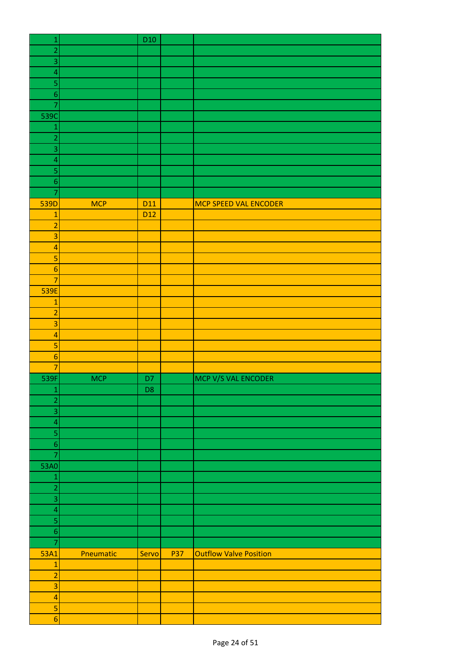| $\mathbf 1$              |            | D <sub>10</sub> |            |                               |
|--------------------------|------------|-----------------|------------|-------------------------------|
| $\overline{a}$           |            |                 |            |                               |
| 3                        |            |                 |            |                               |
| $\overline{\mathcal{L}}$ |            |                 |            |                               |
| 5                        |            |                 |            |                               |
| $\boldsymbol{6}$         |            |                 |            |                               |
| $\overline{7}$           |            |                 |            |                               |
| 539C                     |            |                 |            |                               |
| $\mathbf{1}$             |            |                 |            |                               |
| $\overline{a}$           |            |                 |            |                               |
| 3                        |            |                 |            |                               |
| $\overline{a}$           |            |                 |            |                               |
| 5                        |            |                 |            |                               |
| $\boldsymbol{6}$         |            |                 |            |                               |
| $\overline{7}$           |            |                 |            |                               |
| 539D                     | <b>MCP</b> | D <sub>11</sub> |            | MCP SPEED VAL ENCODER         |
| $\mathbf{1}$             |            | D <sub>12</sub> |            |                               |
| $\overline{a}$           |            |                 |            |                               |
| 3                        |            |                 |            |                               |
|                          |            |                 |            |                               |
| $\overline{a}$           |            |                 |            |                               |
| 5                        |            |                 |            |                               |
| $\boldsymbol{6}$         |            |                 |            |                               |
| $\overline{7}$           |            |                 |            |                               |
| 539E                     |            |                 |            |                               |
| $\mathbf{1}$             |            |                 |            |                               |
| $\overline{a}$           |            |                 |            |                               |
| $\overline{3}$           |            |                 |            |                               |
| $\overline{a}$           |            |                 |            |                               |
| 5                        |            |                 |            |                               |
| $\boldsymbol{6}$         |            |                 |            |                               |
| $\overline{7}$           |            |                 |            |                               |
| 539F                     | <b>MCP</b> | D7              |            | MCP V/S VAL ENCODER           |
| $\mathbf{1}$             |            | D <sub>8</sub>  |            |                               |
| $\overline{2}$           |            |                 |            |                               |
| $\overline{3}$           |            |                 |            |                               |
| $\overline{a}$           |            |                 |            |                               |
| 5                        |            |                 |            |                               |
| $\boldsymbol{6}$         |            |                 |            |                               |
| $\overline{7}$           |            |                 |            |                               |
| 53A0                     |            |                 |            |                               |
| $\mathbf 1$              |            |                 |            |                               |
| $\overline{a}$           |            |                 |            |                               |
| $\overline{3}$           |            |                 |            |                               |
| $\overline{a}$           |            |                 |            |                               |
| 5                        |            |                 |            |                               |
| $\sqrt{6}$               |            |                 |            |                               |
| $\overline{7}$           |            |                 |            |                               |
| 53A1                     | Pneumatic  | Servo           | <b>P37</b> | <b>Outflow Valve Position</b> |
| $\mathbf 1$              |            |                 |            |                               |
| $\overline{a}$           |            |                 |            |                               |
| $\overline{\mathbf{3}}$  |            |                 |            |                               |
| $\overline{\mathbf{4}}$  |            |                 |            |                               |
| $\mathsf S$              |            |                 |            |                               |
| $6 \overline{6}$         |            |                 |            |                               |
|                          |            |                 |            |                               |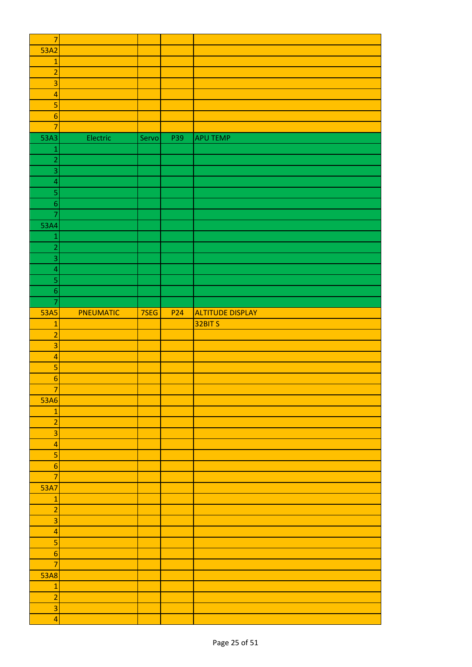| $\overline{7}$           |           |       |                 |                         |
|--------------------------|-----------|-------|-----------------|-------------------------|
| 53A2                     |           |       |                 |                         |
| $\mathbf{1}$             |           |       |                 |                         |
| $\overline{a}$           |           |       |                 |                         |
| 3                        |           |       |                 |                         |
| $\overline{a}$           |           |       |                 |                         |
|                          |           |       |                 |                         |
| 5                        |           |       |                 |                         |
| $\boldsymbol{6}$         |           |       |                 |                         |
| $\overline{7}$           |           |       |                 |                         |
| 53A3                     | Electric  | Servo | P39             | <b>APU TEMP</b>         |
| $\mathbf{1}$             |           |       |                 |                         |
| $\overline{2}$           |           |       |                 |                         |
| $\overline{3}$           |           |       |                 |                         |
| $\overline{\mathcal{L}}$ |           |       |                 |                         |
| 5                        |           |       |                 |                         |
| $\sqrt{6}$               |           |       |                 |                         |
| $\overline{7}$           |           |       |                 |                         |
| 53A4                     |           |       |                 |                         |
| $\mathbf{1}$             |           |       |                 |                         |
| $\overline{a}$           |           |       |                 |                         |
| 3                        |           |       |                 |                         |
|                          |           |       |                 |                         |
| $\overline{\mathbf{4}}$  |           |       |                 |                         |
| 5                        |           |       |                 |                         |
| $\boldsymbol{6}$         |           |       |                 |                         |
| $\overline{\mathbf{7}}$  |           |       |                 |                         |
| <b>53A5</b>              | PNEUMATIC | 7SEG  | P <sub>24</sub> | <b>ALTITUDE DISPLAY</b> |
| $\mathbf{1}$             |           |       |                 | 32BIT S                 |
| $\overline{a}$           |           |       |                 |                         |
| $\overline{\mathbf{3}}$  |           |       |                 |                         |
| $\overline{a}$           |           |       |                 |                         |
| 5                        |           |       |                 |                         |
| $\boldsymbol{6}$         |           |       |                 |                         |
| -7                       |           |       |                 |                         |
| 53A6                     |           |       |                 |                         |
| $\mathbf 1$              |           |       |                 |                         |
| $\overline{2}$           |           |       |                 |                         |
| 3                        |           |       |                 |                         |
|                          |           |       |                 |                         |
| $\overline{4}$           |           |       |                 |                         |
| 5                        |           |       |                 |                         |
| $6 \overline{6}$         |           |       |                 |                         |
| $\overline{7}$           |           |       |                 |                         |
| 53A7                     |           |       |                 |                         |
| $\mathbf{1}$             |           |       |                 |                         |
| $\overline{2}$           |           |       |                 |                         |
| $\overline{\mathbf{3}}$  |           |       |                 |                         |
| $\overline{4}$           |           |       |                 |                         |
| 5                        |           |       |                 |                         |
| $6 \overline{6}$         |           |       |                 |                         |
| $\overline{7}$           |           |       |                 |                         |
| <b>53A8</b>              |           |       |                 |                         |
| $\mathbf{1}$             |           |       |                 |                         |
| $\overline{2}$           |           |       |                 |                         |
| $\overline{\mathbf{3}}$  |           |       |                 |                         |
|                          |           |       |                 |                         |
| $\overline{\mathbf{4}}$  |           |       |                 |                         |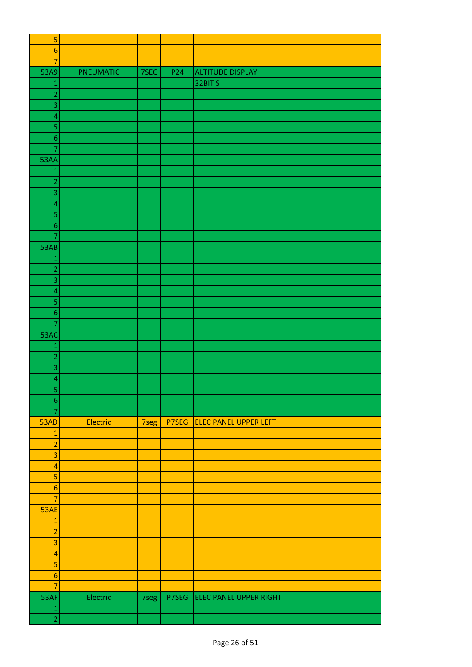| 5                                  |           |      |                 |                               |
|------------------------------------|-----------|------|-----------------|-------------------------------|
| $\boldsymbol{6}$                   |           |      |                 |                               |
| 7                                  |           |      |                 |                               |
| 53A9                               | PNEUMATIC | 7SEG | P <sub>24</sub> | <b>ALTITUDE DISPLAY</b>       |
| $\mathbf{1}$                       |           |      |                 | 32BIT S                       |
| $\overline{2}$                     |           |      |                 |                               |
| 3                                  |           |      |                 |                               |
| 4                                  |           |      |                 |                               |
| 5                                  |           |      |                 |                               |
| $\sqrt{6}$                         |           |      |                 |                               |
| $\overline{7}$                     |           |      |                 |                               |
| 53AA                               |           |      |                 |                               |
| $\mathbf{1}$                       |           |      |                 |                               |
| $\overline{a}$                     |           |      |                 |                               |
| 3                                  |           |      |                 |                               |
| $\overline{\mathbf{4}}$            |           |      |                 |                               |
| 5                                  |           |      |                 |                               |
| $\boldsymbol{6}$                   |           |      |                 |                               |
| $\overline{7}$                     |           |      |                 |                               |
| 53AB                               |           |      |                 |                               |
| $\mathbf{1}$                       |           |      |                 |                               |
| $\overline{c}$                     |           |      |                 |                               |
| 3                                  |           |      |                 |                               |
| $\overline{a}$                     |           |      |                 |                               |
| 5                                  |           |      |                 |                               |
|                                    |           |      |                 |                               |
| $\boldsymbol{6}$<br>$\overline{7}$ |           |      |                 |                               |
|                                    |           |      |                 |                               |
| 53AC                               |           |      |                 |                               |
| $\mathbf{1}$                       |           |      |                 |                               |
| $\overline{c}$                     |           |      |                 |                               |
| 3                                  |           |      |                 |                               |
| $\overline{\mathcal{A}}$           |           |      |                 |                               |
| $\overline{\mathbf{5}}$            |           |      |                 |                               |
| $\overline{6}$                     |           |      |                 |                               |
| $\overline{7}$                     |           |      |                 |                               |
| 53AD                               | Electric  | 7seg | P7SEG           | <b>ELEC PANEL UPPER LEFT</b>  |
| $\mathbf 1$                        |           |      |                 |                               |
| $\overline{a}$                     |           |      |                 |                               |
| 3                                  |           |      |                 |                               |
| $\overline{\mathbf{4}}$            |           |      |                 |                               |
| 5                                  |           |      |                 |                               |
| $\boldsymbol{6}$                   |           |      |                 |                               |
| $\overline{7}$                     |           |      |                 |                               |
| 53AE                               |           |      |                 |                               |
| $\mathbf 1$                        |           |      |                 |                               |
| $\overline{a}$                     |           |      |                 |                               |
| 3                                  |           |      |                 |                               |
| $\overline{a}$                     |           |      |                 |                               |
| 5                                  |           |      |                 |                               |
| $\boldsymbol{6}$                   |           |      |                 |                               |
| 7                                  |           |      |                 |                               |
| 53AF                               | Electric  | 7seg | P7SEG           | <b>ELEC PANEL UPPER RIGHT</b> |
| $\mathbf{1}$                       |           |      |                 |                               |
| $\overline{2}$                     |           |      |                 |                               |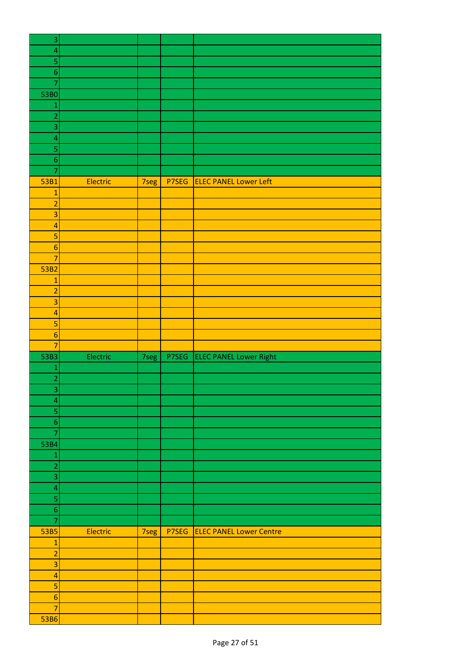| $\ensuremath{\mathsf{3}}$                                           |  |
|---------------------------------------------------------------------|--|
| $\overline{\mathcal{L}}$                                            |  |
| 5                                                                   |  |
| $\boldsymbol{6}$                                                    |  |
| $\overline{7}$                                                      |  |
| 53B0                                                                |  |
| $\mathbf{1}$                                                        |  |
| $\overline{c}$                                                      |  |
| 3                                                                   |  |
| $\overline{a}$                                                      |  |
| 5                                                                   |  |
| $\overline{6}$                                                      |  |
|                                                                     |  |
| $\overline{7}$                                                      |  |
| Electric<br>P7SEG<br><b>ELEC PANEL Lower Left</b><br>53B1<br>7seg   |  |
| $\mathbf{1}$                                                        |  |
| $\overline{a}$                                                      |  |
| $\overline{3}$                                                      |  |
| $\overline{a}$                                                      |  |
| 5                                                                   |  |
| $\boldsymbol{6}$                                                    |  |
| $\overline{7}$                                                      |  |
| 53B2                                                                |  |
| $\mathbf{1}$                                                        |  |
| $\overline{a}$                                                      |  |
| 3                                                                   |  |
| $\overline{a}$                                                      |  |
| 5                                                                   |  |
| $\boldsymbol{6}$                                                    |  |
| $\overline{7}$                                                      |  |
| <b>ELEC PANEL Lower Right</b><br>Electric<br>P7SEG<br>53B3<br>7seg  |  |
| $\mathbf{1}$                                                        |  |
| $\overline{a}$                                                      |  |
| $\vert 3 \vert$                                                     |  |
| 4                                                                   |  |
| 5                                                                   |  |
| $\boldsymbol{6}$                                                    |  |
|                                                                     |  |
| 7                                                                   |  |
| 53B4                                                                |  |
| $\mathbf{1}$                                                        |  |
| $\overline{a}$                                                      |  |
| 3                                                                   |  |
| $\overline{a}$                                                      |  |
| 5                                                                   |  |
| $\overline{6}$                                                      |  |
| $\overline{7}$                                                      |  |
| Electric<br>53B5<br><b>ELEC PANEL Lower Centre</b><br>P7SEG<br>7seg |  |
| $\mathbf{1}$                                                        |  |
| $\overline{\mathbf{c}}$                                             |  |
| 3                                                                   |  |
|                                                                     |  |
| $\overline{a}$                                                      |  |
| 5                                                                   |  |
|                                                                     |  |
| $\boldsymbol{6}$<br>$\overline{7}$                                  |  |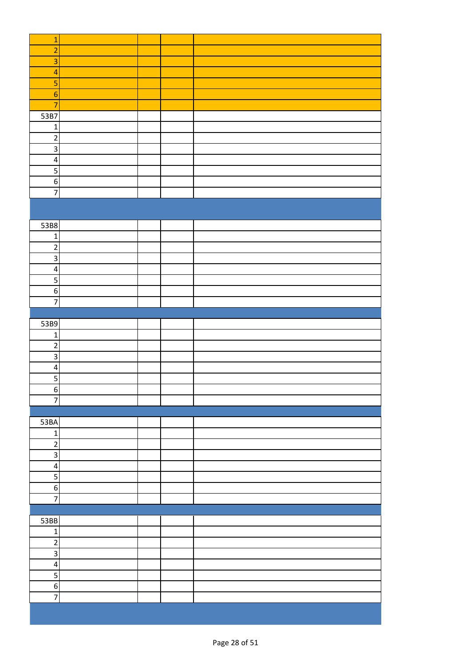| $\mathbf{1}$            |  |  |
|-------------------------|--|--|
| $\overline{a}$          |  |  |
| 3                       |  |  |
| $\overline{\mathbf{r}}$ |  |  |
| 5                       |  |  |
|                         |  |  |
| $\overline{6}$          |  |  |
| $\overline{7}$          |  |  |
| 53B7                    |  |  |
| $\mathbf 1$             |  |  |
| $\overline{c}$          |  |  |
| $\overline{3}$          |  |  |
| $\overline{\mathbf{4}}$ |  |  |
| $\overline{\mathbf{5}}$ |  |  |
| $\overline{6}$          |  |  |
| $\overline{7}$          |  |  |
|                         |  |  |
|                         |  |  |
| 53B8                    |  |  |
| $\mathbf 1$             |  |  |
| $\overline{c}$          |  |  |
|                         |  |  |
| $\overline{\mathbf{a}}$ |  |  |
| $\overline{\mathbf{4}}$ |  |  |
| $\overline{\mathbf{5}}$ |  |  |
| $\sigma$                |  |  |
| $\overline{7}$          |  |  |
|                         |  |  |
| 53B9                    |  |  |
| $\mathbf{1}$            |  |  |
| $\overline{2}$          |  |  |
| $\overline{\mathsf{a}}$ |  |  |
| $\overline{\mathbf{4}}$ |  |  |
| $\overline{5}$          |  |  |
| $\boldsymbol{6}$        |  |  |
| $\overline{7}$          |  |  |
|                         |  |  |
| 53BA                    |  |  |
| $\mathbf 1$             |  |  |
| $\overline{\mathbf{c}}$ |  |  |
| ن                       |  |  |
| $\overline{\mathbf{A}}$ |  |  |
|                         |  |  |
| $\overline{5}$          |  |  |
| $6 \mid$                |  |  |
| $\overline{7}$          |  |  |
|                         |  |  |
| 53BB                    |  |  |
| $\mathbf 1$             |  |  |
| $\overline{2}$          |  |  |
| $\overline{\mathbf{3}}$ |  |  |
| $\pmb{4}$               |  |  |
| $\overline{5}$          |  |  |
| $\boldsymbol{6}$        |  |  |
| $\overline{7}$          |  |  |
|                         |  |  |
|                         |  |  |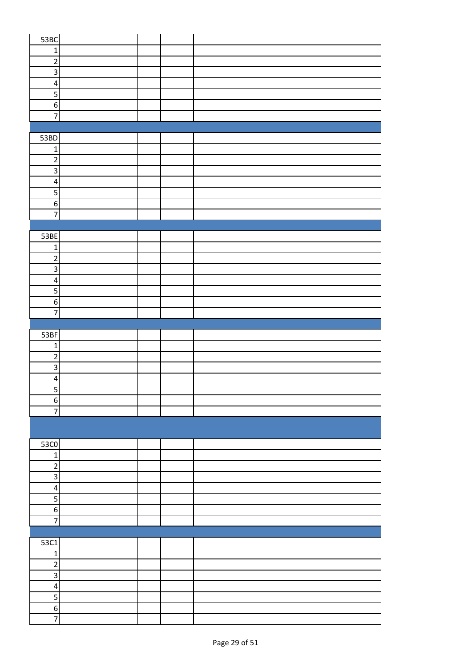| 53BC                    |  |  |
|-------------------------|--|--|
| $\mathbf 1$             |  |  |
| $\overline{\mathbf{c}}$ |  |  |
| $\overline{3}$          |  |  |
| $\overline{\mathbf{4}}$ |  |  |
| $\overline{5}$          |  |  |
| $\overline{6}$          |  |  |
| $\overline{7}$          |  |  |
|                         |  |  |
| 53BD                    |  |  |
| $\mathbf 1$             |  |  |
| $\overline{c}$          |  |  |
| 3                       |  |  |
| $\overline{4}$          |  |  |
| $\overline{5}$          |  |  |
| $\overline{6}$          |  |  |
| $\overline{7}$          |  |  |
|                         |  |  |
| 53BE                    |  |  |
| $\mathbf 1$             |  |  |
| $\overline{\mathbf{c}}$ |  |  |
| $\overline{3}$          |  |  |
| $\overline{\mathbf{r}}$ |  |  |
| $\overline{\mathbf{5}}$ |  |  |
| $\overline{6}$          |  |  |
| $\overline{7}$          |  |  |
|                         |  |  |
| 53BF                    |  |  |
| $\mathbf{1}$            |  |  |
| $\overline{2}$          |  |  |
| $\overline{\mathbf{3}}$ |  |  |
| 4                       |  |  |
| 5                       |  |  |
| $\overline{6}$          |  |  |
| $\overline{7}$          |  |  |
|                         |  |  |
|                         |  |  |
| $\overline{53}$ CO      |  |  |
| $\mathbf 1$             |  |  |
| $\overline{2}$          |  |  |
| $\overline{3}$          |  |  |
| $\pmb{4}$               |  |  |
| 5                       |  |  |
| $\overline{6}$          |  |  |
| $\overline{7}$          |  |  |
|                         |  |  |
| 53C1                    |  |  |
| $\mathbf 1$             |  |  |
| $\overline{2}$          |  |  |
| $\overline{\mathbf{3}}$ |  |  |
| $\pmb{4}$               |  |  |
| 5                       |  |  |
| $\,$ 6 $\,$             |  |  |
| $\overline{7}$          |  |  |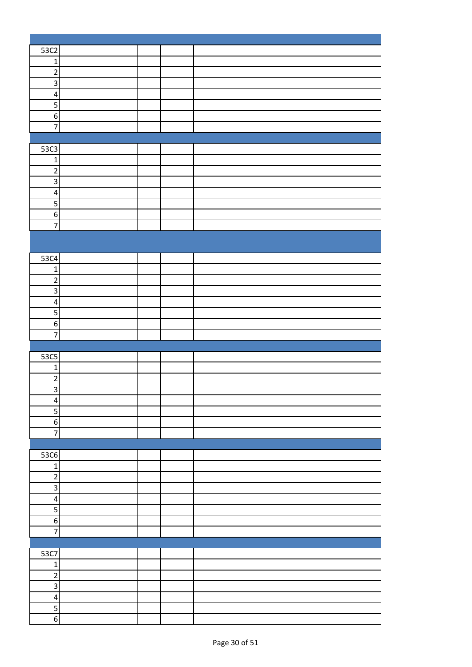| 53C2                    |  |  |
|-------------------------|--|--|
| $\mathbf 1$             |  |  |
| $\overline{2}$          |  |  |
| $\overline{\mathbf{3}}$ |  |  |
| $\overline{\mathbf{4}}$ |  |  |
| $\overline{\mathbf{5}}$ |  |  |
| $\overline{6}$          |  |  |
| $\overline{7}$          |  |  |
|                         |  |  |
|                         |  |  |
| 53C3                    |  |  |
| $\mathbf 1$             |  |  |
| $\overline{2}$          |  |  |
| $\overline{\mathbf{3}}$ |  |  |
| $\pmb{4}$               |  |  |
| 5                       |  |  |
| $6 \mid$                |  |  |
| $\overline{7}$          |  |  |
|                         |  |  |
|                         |  |  |
| 53C4                    |  |  |
| $\mathbf 1$             |  |  |
| $\overline{2}$          |  |  |
| $\overline{\mathbf{3}}$ |  |  |
| $\pmb{4}$               |  |  |
| 5                       |  |  |
| $\boldsymbol{6}$        |  |  |
| $\overline{7}$          |  |  |
|                         |  |  |
| 53C5                    |  |  |
| $\mathbf 1$             |  |  |
| $\sqrt{2}$              |  |  |
| $\overline{3}$          |  |  |
| $\overline{\mathbf{r}}$ |  |  |
| $\overline{5}$          |  |  |
| $6 \mid$                |  |  |
| $\overline{z}$          |  |  |
|                         |  |  |
| 53C6                    |  |  |
| $\mathbf 1$             |  |  |
| $\overline{2}$          |  |  |
| $\overline{3}$          |  |  |
| $\pmb{4}$               |  |  |
| $\overline{\mathbf{5}}$ |  |  |
| $6 \mid$                |  |  |
| $\overline{7}$          |  |  |
|                         |  |  |
| 53C7                    |  |  |
| $\mathbf 1$             |  |  |
| $\overline{2}$          |  |  |
| ن                       |  |  |
|                         |  |  |
| $\overline{\mathbf{r}}$ |  |  |
| $\overline{\mathbf{5}}$ |  |  |
| $\overline{6}$          |  |  |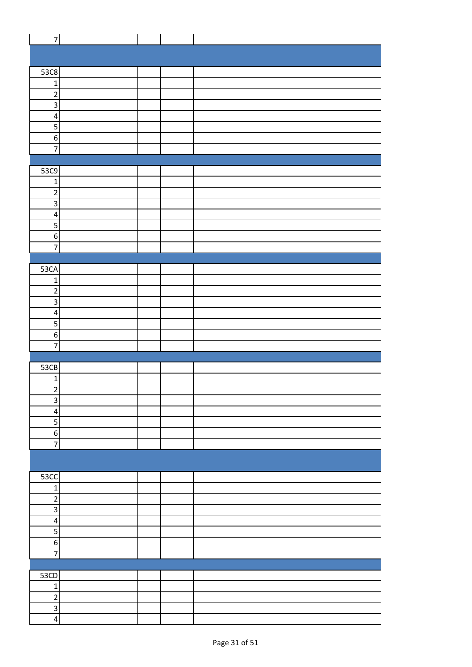| $\overline{7}$          |  |  |
|-------------------------|--|--|
|                         |  |  |
|                         |  |  |
| 53C8                    |  |  |
|                         |  |  |
| $\mathbf 1$             |  |  |
| $\overline{2}$          |  |  |
| $\overline{\mathbf{3}}$ |  |  |
| $\pmb{4}$               |  |  |
| 5                       |  |  |
| $\boldsymbol{6}$        |  |  |
| $\overline{7}$          |  |  |
|                         |  |  |
| 53C9                    |  |  |
| $\mathbf 1$             |  |  |
| $\overline{\mathbf{c}}$ |  |  |
| $\overline{\mathbf{3}}$ |  |  |
| $\overline{\mathbf{4}}$ |  |  |
|                         |  |  |
| $\mathsf S$             |  |  |
| $\boldsymbol{6}$        |  |  |
| $\overline{7}$          |  |  |
|                         |  |  |
| 53CA                    |  |  |
| $\mathbf 1$             |  |  |
| $\mathbf 2$             |  |  |
| $\mathsf 3$             |  |  |
| $\overline{\mathbf{4}}$ |  |  |
| 5                       |  |  |
| $\boldsymbol{6}$        |  |  |
| 7                       |  |  |
|                         |  |  |
| 53CB                    |  |  |
| $\mathbf 1$             |  |  |
|                         |  |  |
| $\overline{c}$          |  |  |
| $\mathsf 3$             |  |  |
| $\pmb{4}$               |  |  |
| 5                       |  |  |
| $\boldsymbol{6}$        |  |  |
| $\overline{7}$          |  |  |
|                         |  |  |
|                         |  |  |
| <b>53CC</b>             |  |  |
| $\mathbf 1$             |  |  |
| $\sqrt{2}$              |  |  |
| $\mathsf 3$             |  |  |
| $\pmb{4}$               |  |  |
| 5                       |  |  |
| $\boldsymbol{6}$        |  |  |
| $\overline{7}$          |  |  |
|                         |  |  |
|                         |  |  |
| 53CD                    |  |  |
| $\mathbf 1$             |  |  |
| $\overline{2}$          |  |  |
| $\overline{\mathbf{3}}$ |  |  |
| $\overline{\mathbf{4}}$ |  |  |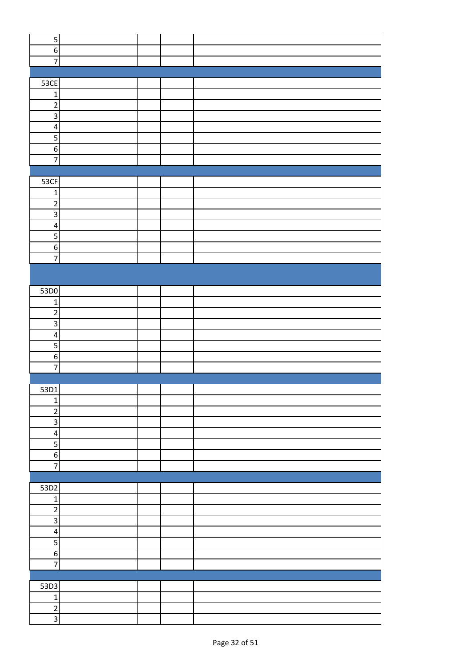| $\overline{\mathbf{5}}$ |  |  |
|-------------------------|--|--|
|                         |  |  |
| $\boldsymbol{6}$        |  |  |
| $\overline{7}$          |  |  |
|                         |  |  |
| <b>53CE</b>             |  |  |
| $\mathbf{1}$            |  |  |
| $\overline{2}$          |  |  |
|                         |  |  |
| Ψ                       |  |  |
| $\overline{\mathbf{4}}$ |  |  |
| $\overline{5}$          |  |  |
| $6 \overline{6}$        |  |  |
| $\overline{7}$          |  |  |
|                         |  |  |
|                         |  |  |
| 53CF                    |  |  |
| $\mathbf 1$             |  |  |
| $\overline{2}$          |  |  |
| $\overline{3}$          |  |  |
| $\overline{\mathbf{4}}$ |  |  |
| $\overline{5}$          |  |  |
|                         |  |  |
| $\overline{6}$          |  |  |
| $\overline{7}$          |  |  |
|                         |  |  |
|                         |  |  |
| 53D0                    |  |  |
| $\mathbf{1}$            |  |  |
|                         |  |  |
| $\overline{\mathbf{c}}$ |  |  |
| $\overline{3}$          |  |  |
| $\overline{\mathbf{4}}$ |  |  |
| $\overline{5}$          |  |  |
| $\overline{6}$          |  |  |
| $\overline{7}$          |  |  |
|                         |  |  |
| 53D1                    |  |  |
|                         |  |  |
| $\mathbf{1}$            |  |  |
| $\overline{2}$          |  |  |
| $\overline{\mathbf{3}}$ |  |  |
| $\overline{\mathbf{r}}$ |  |  |
| $\overline{\mathbf{5}}$ |  |  |
| $6 \overline{6}$        |  |  |
| $\overline{7}$          |  |  |
|                         |  |  |
|                         |  |  |
| 53D2                    |  |  |
| $1\vert$                |  |  |
| $\overline{2}$          |  |  |
| $\overline{\mathbf{3}}$ |  |  |
| $\overline{4}$          |  |  |
|                         |  |  |
| $\overline{\mathbf{5}}$ |  |  |
| $6 \overline{6}$        |  |  |
| $\overline{7}$          |  |  |
|                         |  |  |
| 53D3                    |  |  |
| $1\vert$                |  |  |
| $\overline{2}$          |  |  |
|                         |  |  |
| $\overline{3}$          |  |  |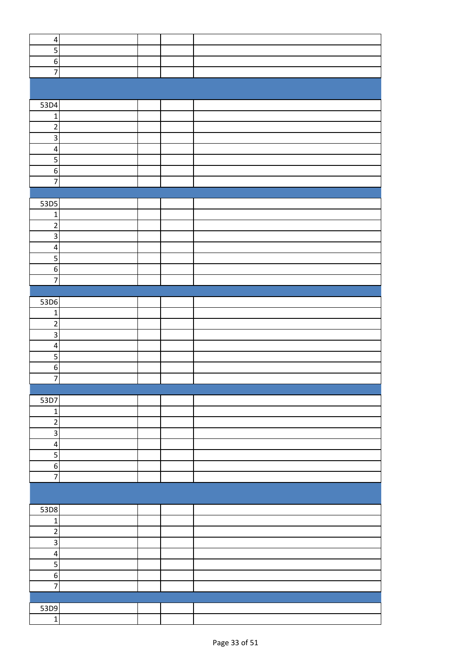| $\overline{\mathbf{4}}$ |  |  |
|-------------------------|--|--|
| $\overline{\mathbf{5}}$ |  |  |
| $\overline{6}$          |  |  |
| $\overline{7}$          |  |  |
|                         |  |  |
|                         |  |  |
| 53D4                    |  |  |
| $\mathbf 1$             |  |  |
| $\overline{2}$          |  |  |
| $\overline{\mathbf{3}}$ |  |  |
| $\overline{\mathbf{4}}$ |  |  |
| $\overline{\mathbf{5}}$ |  |  |
| $\overline{6}$          |  |  |
| $\overline{7}$          |  |  |
|                         |  |  |
|                         |  |  |
| 53D5                    |  |  |
| $\mathbf 1$             |  |  |
| $\overline{c}$          |  |  |
| $\overline{3}$          |  |  |
| $\overline{4}$          |  |  |
| 5                       |  |  |
| $\overline{6}$          |  |  |
| $\overline{7}$          |  |  |
|                         |  |  |
| 53D6                    |  |  |
| $\mathbf 1$             |  |  |
| $\overline{2}$          |  |  |
| $\overline{3}$          |  |  |
| $\overline{\mathbf{4}}$ |  |  |
| $\overline{\mathbf{5}}$ |  |  |
| $\boldsymbol{6}$        |  |  |
| $\overline{7}$          |  |  |
|                         |  |  |
| 53D7                    |  |  |
| $\mathbf 1$             |  |  |
| $\overline{\mathbf{c}}$ |  |  |
| $\overline{\mathbf{3}}$ |  |  |
| $\overline{\mathbf{r}}$ |  |  |
| 5                       |  |  |
| $\overline{6}$          |  |  |
| $\overline{7}$          |  |  |
|                         |  |  |
|                         |  |  |
| 53D8                    |  |  |
| $\mathbf 1$             |  |  |
| $\overline{c}$          |  |  |
| $\overline{\mathbf{3}}$ |  |  |
| $\overline{\mathbf{r}}$ |  |  |
| $\overline{\mathbf{5}}$ |  |  |
| $\overline{6}$          |  |  |
| $\overline{7}$          |  |  |
|                         |  |  |
|                         |  |  |
| 53D9                    |  |  |
| $\mathbf 1$             |  |  |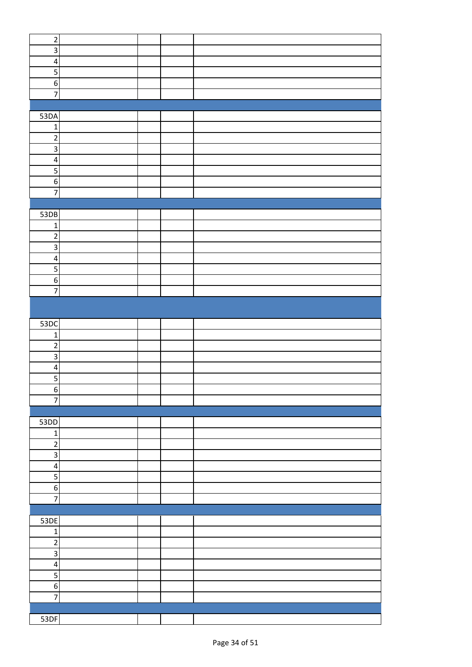| $\sqrt{2}$              |  |  |
|-------------------------|--|--|
|                         |  |  |
| $\overline{3}$          |  |  |
| $\overline{\mathbf{r}}$ |  |  |
|                         |  |  |
| 5                       |  |  |
| $\overline{6}$          |  |  |
| $\overline{7}$          |  |  |
|                         |  |  |
|                         |  |  |
| 53DA                    |  |  |
|                         |  |  |
| $\mathbf{1}$            |  |  |
| $\overline{2}$          |  |  |
| $\overline{\mathbf{3}}$ |  |  |
|                         |  |  |
| $\overline{\mathbf{r}}$ |  |  |
| $\overline{\mathbf{5}}$ |  |  |
| $\overline{6}$          |  |  |
|                         |  |  |
| $\overline{7}$          |  |  |
|                         |  |  |
| 53DB                    |  |  |
|                         |  |  |
| $\mathbf 1$             |  |  |
| $\overline{2}$          |  |  |
| $\overline{\mathbf{3}}$ |  |  |
|                         |  |  |
| $\overline{\mathbf{r}}$ |  |  |
| $\overline{\mathbf{5}}$ |  |  |
| $\overline{6}$          |  |  |
|                         |  |  |
| $\overline{7}$          |  |  |
|                         |  |  |
|                         |  |  |
|                         |  |  |
| 53DC                    |  |  |
| $\mathbf 1$             |  |  |
| $\overline{2}$          |  |  |
|                         |  |  |
| $\overline{\mathbf{3}}$ |  |  |
| $\overline{\mathbf{r}}$ |  |  |
| $\overline{\mathbf{5}}$ |  |  |
|                         |  |  |
| $\boldsymbol{6}$        |  |  |
| $\overline{7}$          |  |  |
|                         |  |  |
|                         |  |  |
| 53DD                    |  |  |
| $\mathbf 1$             |  |  |
| $\sqrt{2}$              |  |  |
|                         |  |  |
| 3                       |  |  |
| $\overline{\mathbf{4}}$ |  |  |
| 5                       |  |  |
|                         |  |  |
| $\boldsymbol{6}$        |  |  |
| $\overline{7}$          |  |  |
|                         |  |  |
|                         |  |  |
| 53DE                    |  |  |
| $\mathbf 1$             |  |  |
| $\overline{2}$          |  |  |
|                         |  |  |
| $\overline{\mathbf{3}}$ |  |  |
| $\overline{\mathbf{r}}$ |  |  |
|                         |  |  |
| 5                       |  |  |
| $\boldsymbol{6}$        |  |  |
| $\overline{7}$          |  |  |
|                         |  |  |
|                         |  |  |
| 53DF                    |  |  |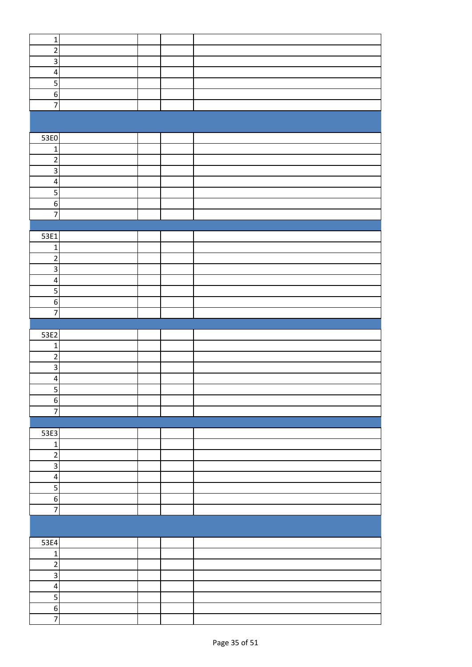| $\mathbf 1$                |  |  |
|----------------------------|--|--|
| $\mathbf 2$                |  |  |
| $\mathsf 3$                |  |  |
| $\pmb{4}$                  |  |  |
| $\overline{5}$             |  |  |
|                            |  |  |
| $\boldsymbol{6}$           |  |  |
| $\overline{7}$             |  |  |
|                            |  |  |
|                            |  |  |
| 53E0                       |  |  |
| $\mathbf 1$                |  |  |
| $\overline{c}$             |  |  |
| $\mathsf 3$                |  |  |
|                            |  |  |
| $\overline{\mathbf{4}}$    |  |  |
| $\overline{5}$             |  |  |
| $\boldsymbol{6}$           |  |  |
| $\overline{7}$             |  |  |
|                            |  |  |
| 53E1                       |  |  |
| $\mathbf 1$                |  |  |
| $\mathbf 2$                |  |  |
| $\mathbf{3}$               |  |  |
| $\pmb{4}$                  |  |  |
|                            |  |  |
| 5                          |  |  |
| $\boldsymbol{6}$           |  |  |
| $\overline{7}$             |  |  |
|                            |  |  |
|                            |  |  |
| 53E2                       |  |  |
| $\mathbf 1$                |  |  |
| $\overline{c}$             |  |  |
| $\overline{\mathsf{a}}$    |  |  |
| $\overline{\mathbf{r}}$    |  |  |
|                            |  |  |
| $\overline{\mathbf{5}}$    |  |  |
| $\overline{6}$             |  |  |
| $\overline{7}$             |  |  |
|                            |  |  |
| 53E3                       |  |  |
| $\mathbf 1$                |  |  |
| $\overline{2}$             |  |  |
| $\overline{\mathbf{3}}$    |  |  |
| $\pmb{4}$                  |  |  |
| $\overline{5}$             |  |  |
| $6 \mid$                   |  |  |
| $\overline{7}$             |  |  |
|                            |  |  |
|                            |  |  |
|                            |  |  |
| 53E4                       |  |  |
| $\mathbf 1$                |  |  |
| $\overline{2}$             |  |  |
| ن                          |  |  |
| $\pmb{4}$                  |  |  |
| 5                          |  |  |
| $6 \mid$<br>$\overline{7}$ |  |  |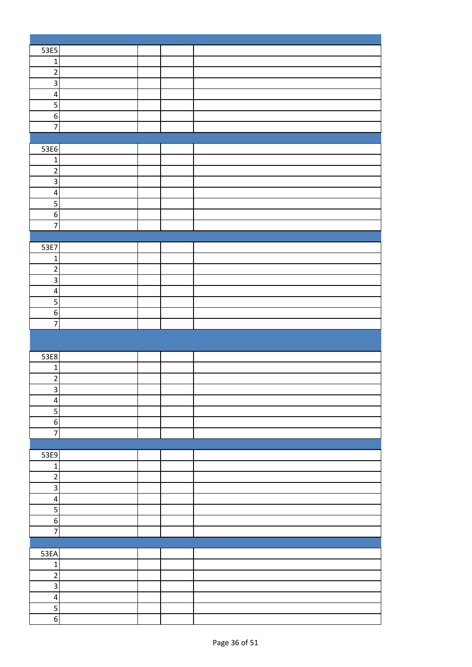| 53E5                             |  |  |
|----------------------------------|--|--|
| $\mathbf 1$                      |  |  |
| $\overline{2}$                   |  |  |
| $\overline{\mathbf{3}}$          |  |  |
|                                  |  |  |
| $\overline{\mathbf{4}}$          |  |  |
| $\overline{\mathbf{5}}$          |  |  |
| $\overline{6}$                   |  |  |
| $\overline{7}$                   |  |  |
|                                  |  |  |
| 53E6                             |  |  |
| $\mathbf 1$                      |  |  |
| $\overline{2}$                   |  |  |
| $\overline{3}$                   |  |  |
| $\overline{\mathbf{r}}$          |  |  |
|                                  |  |  |
| $\overline{\mathbf{5}}$          |  |  |
| $6 \mid$                         |  |  |
| $\overline{7}$                   |  |  |
|                                  |  |  |
| 53E7                             |  |  |
| $\mathbf{1}$                     |  |  |
| $\sqrt{2}$                       |  |  |
| $\overline{\mathbf{3}}$          |  |  |
| $\overline{\mathbf{4}}$          |  |  |
| $\overline{5}$                   |  |  |
| $6 \mid$                         |  |  |
| $\overline{7}$                   |  |  |
|                                  |  |  |
|                                  |  |  |
|                                  |  |  |
|                                  |  |  |
| 53E8                             |  |  |
| $\mathbf{1}$                     |  |  |
| $\overline{\mathbf{c}}$          |  |  |
| $\overline{\mathbf{3}}$          |  |  |
| $\overline{4}$                   |  |  |
| $\overline{\mathbf{5}}$          |  |  |
|                                  |  |  |
| $6 \mid$                         |  |  |
| $\overline{7}$                   |  |  |
|                                  |  |  |
| 53E9                             |  |  |
| $1\vert$                         |  |  |
| $\overline{2}$                   |  |  |
| $\mathsf 3$                      |  |  |
| $\overline{4}$                   |  |  |
| $\overline{5}$                   |  |  |
| $\overline{6}$                   |  |  |
| $\overline{7}$                   |  |  |
|                                  |  |  |
| 53EA                             |  |  |
| $\mathbf 1$                      |  |  |
|                                  |  |  |
| $\overline{2}$                   |  |  |
| $\overline{3}$                   |  |  |
| $\overline{\mathbf{4}}$          |  |  |
| $\overline{5}$<br>$\overline{6}$ |  |  |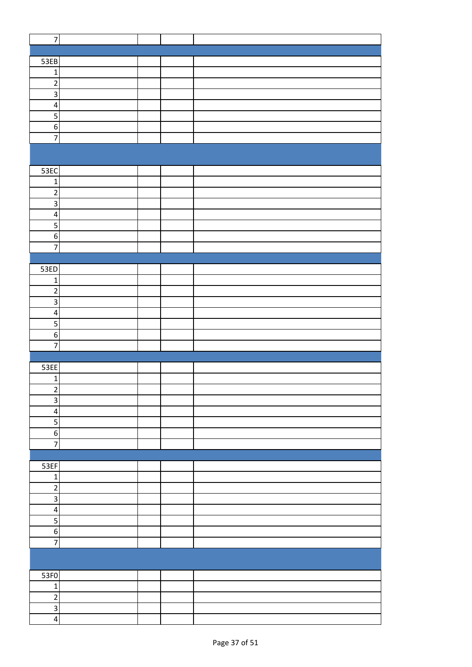| $\overline{7}$          |  |  |
|-------------------------|--|--|
|                         |  |  |
| 53EB                    |  |  |
| $\mathbf{1}$            |  |  |
| $\overline{2}$          |  |  |
|                         |  |  |
| $\overline{3}$          |  |  |
| $\overline{\mathbf{r}}$ |  |  |
| 5                       |  |  |
| $\sigma$                |  |  |
| $\overline{7}$          |  |  |
|                         |  |  |
|                         |  |  |
| 53EC                    |  |  |
| $\mathbf{1}$            |  |  |
| $\overline{2}$          |  |  |
| $\overline{\mathbf{3}}$ |  |  |
| $\overline{\mathbf{r}}$ |  |  |
|                         |  |  |
| 5                       |  |  |
| $\overline{6}$          |  |  |
| $\overline{7}$          |  |  |
|                         |  |  |
| 53ED                    |  |  |
| $\mathbf 1$             |  |  |
| $\overline{c}$          |  |  |
| $\overline{\mathbf{3}}$ |  |  |
| $\overline{\mathbf{4}}$ |  |  |
| $\overline{\mathbf{5}}$ |  |  |
| $\,$ 6 $\,$             |  |  |
| $\overline{7}$          |  |  |
|                         |  |  |
|                         |  |  |
| 53EE                    |  |  |
| $\mathbf 1$             |  |  |
| 2                       |  |  |
| $\overline{3}$          |  |  |
| $\pmb{4}$               |  |  |
| 5                       |  |  |
| $\,$ 6 $\,$             |  |  |
| $\overline{7}$          |  |  |
|                         |  |  |
| 53EF                    |  |  |
| $\mathbf 1$             |  |  |
| $\mathbf 2$             |  |  |
| $\overline{3}$          |  |  |
|                         |  |  |
| $\overline{\mathbf{r}}$ |  |  |
| 5                       |  |  |
| $\boldsymbol{6}$        |  |  |
| $\overline{7}$          |  |  |
|                         |  |  |
|                         |  |  |
| 53F0                    |  |  |
| $\mathbf 1$             |  |  |
| $\mathbf 2$             |  |  |
| $\overline{3}$          |  |  |
| $\overline{\mathbf{r}}$ |  |  |
|                         |  |  |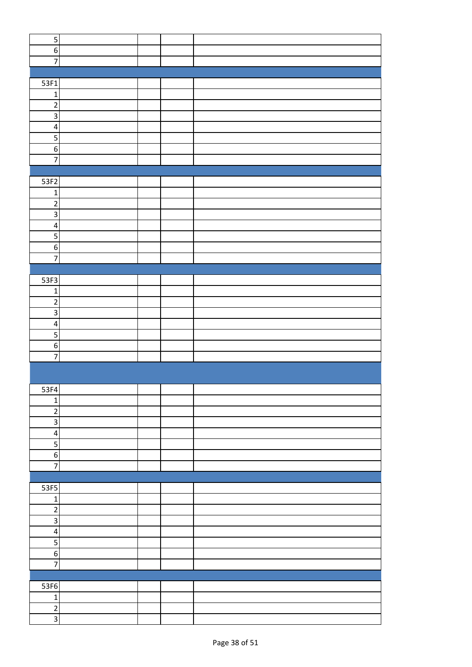| $\mathsf S$             |  |  |
|-------------------------|--|--|
| $\,$ 6 $\,$             |  |  |
| $\overline{7}$          |  |  |
|                         |  |  |
|                         |  |  |
| 53F1                    |  |  |
| $\mathbf{1}$            |  |  |
| $\overline{2}$          |  |  |
| $\overline{\mathbf{3}}$ |  |  |
| $\overline{\mathbf{r}}$ |  |  |
| 5                       |  |  |
|                         |  |  |
| $\boldsymbol{6}$        |  |  |
| $\overline{7}$          |  |  |
|                         |  |  |
| $\overline{53F2}$       |  |  |
| $\mathbf 1$             |  |  |
| $\mathbf 2$             |  |  |
| $\overline{3}$          |  |  |
| $\overline{\mathbf{r}}$ |  |  |
|                         |  |  |
| $\overline{5}$          |  |  |
| $\boldsymbol{6}$        |  |  |
| $\overline{7}$          |  |  |
|                         |  |  |
| 53F3                    |  |  |
| $\mathbf 1$             |  |  |
| $\sqrt{2}$              |  |  |
| 3                       |  |  |
| $\overline{\mathbf{4}}$ |  |  |
| $\overline{\mathbf{5}}$ |  |  |
|                         |  |  |
| $\boldsymbol{6}$        |  |  |
| $\overline{7}$          |  |  |
|                         |  |  |
|                         |  |  |
| 53F4                    |  |  |
| $\mathbf 1$             |  |  |
| $\mathbf 2$             |  |  |
| $\mathsf{3}$            |  |  |
| $\pmb{4}$               |  |  |
| 5                       |  |  |
|                         |  |  |
| $\,$ 6 $\,$             |  |  |
| $\overline{7}$          |  |  |
|                         |  |  |
| 53F5                    |  |  |
| $\mathbf 1$             |  |  |
| $\overline{2}$          |  |  |
| $\mathsf 3$             |  |  |
| $\pmb{4}$               |  |  |
| 5                       |  |  |
|                         |  |  |
| $\boldsymbol{6}$        |  |  |
| $\overline{7}$          |  |  |
|                         |  |  |
| 53F6                    |  |  |
| $\mathbf 1$             |  |  |
|                         |  |  |
| $\overline{2}$          |  |  |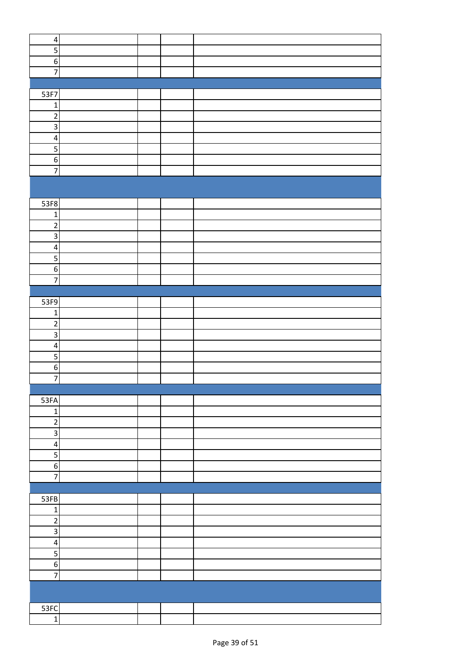| $\pmb{4}$               |  |  |
|-------------------------|--|--|
| 5                       |  |  |
| $\boldsymbol{6}$        |  |  |
| $\overline{7}$          |  |  |
|                         |  |  |
|                         |  |  |
| 53F7                    |  |  |
| $\mathbf 1$             |  |  |
| $\mathbf 2$             |  |  |
| $\mathbf{3}$            |  |  |
| $\overline{\mathbf{r}}$ |  |  |
| 5                       |  |  |
| $\,$ 6 $\,$             |  |  |
|                         |  |  |
| $\overline{7}$          |  |  |
|                         |  |  |
|                         |  |  |
| 53F8                    |  |  |
| $\mathbf{1}$            |  |  |
| $\overline{c}$          |  |  |
| $\mathbf{3}$            |  |  |
|                         |  |  |
| $\overline{\mathbf{r}}$ |  |  |
| 5                       |  |  |
| $\,$ 6 $\,$             |  |  |
| $\overline{7}$          |  |  |
|                         |  |  |
| 53F9                    |  |  |
| $\mathbf 1$             |  |  |
| $\overline{c}$          |  |  |
|                         |  |  |
| $\mathsf 3$             |  |  |
| $\pmb{4}$               |  |  |
| 5                       |  |  |
| $\boldsymbol{6}$        |  |  |
| $\overline{7}$          |  |  |
|                         |  |  |
| 53FA                    |  |  |
| $\mathbf 1$             |  |  |
|                         |  |  |
| $\overline{\mathbf{c}}$ |  |  |
| $\overline{3}$          |  |  |
| $\pmb{4}$               |  |  |
| $\overline{\mathbf{5}}$ |  |  |
| $\sigma$                |  |  |
| $\overline{7}$          |  |  |
|                         |  |  |
| 53FB                    |  |  |
|                         |  |  |
| $\mathbf 1$             |  |  |
| $\sqrt{2}$              |  |  |
| $\overline{\mathbf{3}}$ |  |  |
| $\overline{\mathbf{4}}$ |  |  |
| 5                       |  |  |
| $\boldsymbol{6}$        |  |  |
| $\overline{7}$          |  |  |
|                         |  |  |
|                         |  |  |
| 53FC                    |  |  |
| $\overline{1}$          |  |  |
|                         |  |  |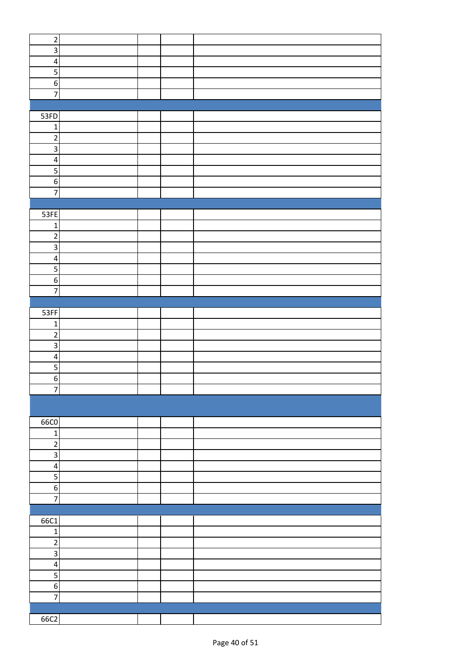| $\mathbf 2$             |  |  |
|-------------------------|--|--|
|                         |  |  |
| $\mathsf 3$             |  |  |
| $\overline{\mathbf{4}}$ |  |  |
|                         |  |  |
| 5                       |  |  |
| $\boldsymbol{6}$        |  |  |
| $\overline{7}$          |  |  |
|                         |  |  |
|                         |  |  |
| 53FD                    |  |  |
| $\mathbf 1$             |  |  |
|                         |  |  |
| $\overline{2}$          |  |  |
| $\overline{\mathbf{3}}$ |  |  |
| $\pmb{4}$               |  |  |
|                         |  |  |
| $\sf 5$                 |  |  |
| $\overline{6}$          |  |  |
| $\overline{7}$          |  |  |
|                         |  |  |
|                         |  |  |
| 53FE                    |  |  |
| $\mathbf 1$             |  |  |
| $\overline{2}$          |  |  |
|                         |  |  |
| $\mathbf{3}$            |  |  |
| $\overline{\mathbf{4}}$ |  |  |
| 5                       |  |  |
|                         |  |  |
| $\boldsymbol{6}$        |  |  |
| $\overline{7}$          |  |  |
|                         |  |  |
|                         |  |  |
| 53FF                    |  |  |
| $\mathbf 1$             |  |  |
| $\mathbf 2$             |  |  |
|                         |  |  |
| $\mathbf{3}$            |  |  |
| $\pmb{4}$               |  |  |
| 5                       |  |  |
| $\boldsymbol{6}$        |  |  |
|                         |  |  |
| $\overline{z}$          |  |  |
|                         |  |  |
|                         |  |  |
|                         |  |  |
| 66C0                    |  |  |
| $\mathbf 1$             |  |  |
| $\overline{2}$          |  |  |
|                         |  |  |
| $\mathbf{3}$            |  |  |
| $\pmb{4}$               |  |  |
| 5                       |  |  |
|                         |  |  |
| $\,$ 6 $\,$             |  |  |
| $\overline{7}$          |  |  |
|                         |  |  |
| 66C1                    |  |  |
|                         |  |  |
| $\mathbf 1$             |  |  |
| $\overline{2}$          |  |  |
| $\mathsf 3$             |  |  |
|                         |  |  |
| $\pmb{4}$               |  |  |
| 5                       |  |  |
| $\boldsymbol{6}$        |  |  |
|                         |  |  |
| $\overline{7}$          |  |  |
|                         |  |  |
|                         |  |  |
| 66C2                    |  |  |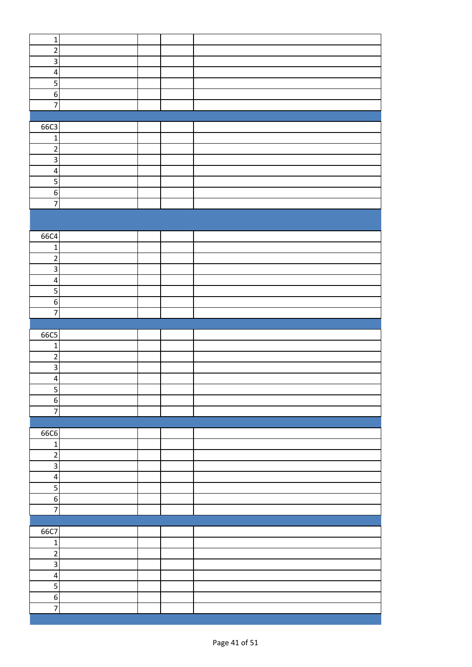| $\overline{2}$<br>$\overline{3}$<br>$\overline{\mathbf{4}}$<br>$\overline{\mathbf{5}}$<br>$6 \mid$<br>$\overline{7}$<br>66C3<br>$\mathbf{1}$<br>$\overline{c}$<br>$\overline{3}$<br>$\overline{\mathbf{4}}$<br>$\overline{5}$<br>$6 \overline{6}$<br>$\overline{7}$<br>66C4<br>$\mathbf{1}$<br>$\overline{\mathbf{c}}$<br>$\overline{3}$<br>$\overline{\mathbf{4}}$<br>5<br>$6 \overline{6}$<br>$\overline{7}$<br>66C5<br>$\mathbf{1}$<br>$\overline{2}$<br>3<br>$\overline{\mathbf{4}}$<br>5<br>$6 \mid$<br>$\overline{7}$<br>66C6<br>$\mathbf 1$<br>$\overline{2}$<br>$\overline{3}$<br>$\pmb{4}$<br>$\overline{5}$<br>$6 \mid$<br>$\overline{7}$<br>66C7<br>$\mathbf 1$<br>$\overline{c}$<br>$\overline{\mathbf{3}}$<br>$\overline{\mathbf{4}}$<br>$\mathsf S$<br>$6 \mid$<br>$\overline{7}$ |              |  |  |
|-------------------------------------------------------------------------------------------------------------------------------------------------------------------------------------------------------------------------------------------------------------------------------------------------------------------------------------------------------------------------------------------------------------------------------------------------------------------------------------------------------------------------------------------------------------------------------------------------------------------------------------------------------------------------------------------------------------------------------------------------------------------------------------------------|--------------|--|--|
|                                                                                                                                                                                                                                                                                                                                                                                                                                                                                                                                                                                                                                                                                                                                                                                                 | $\mathbf{1}$ |  |  |
|                                                                                                                                                                                                                                                                                                                                                                                                                                                                                                                                                                                                                                                                                                                                                                                                 |              |  |  |
|                                                                                                                                                                                                                                                                                                                                                                                                                                                                                                                                                                                                                                                                                                                                                                                                 |              |  |  |
|                                                                                                                                                                                                                                                                                                                                                                                                                                                                                                                                                                                                                                                                                                                                                                                                 |              |  |  |
|                                                                                                                                                                                                                                                                                                                                                                                                                                                                                                                                                                                                                                                                                                                                                                                                 |              |  |  |
|                                                                                                                                                                                                                                                                                                                                                                                                                                                                                                                                                                                                                                                                                                                                                                                                 |              |  |  |
|                                                                                                                                                                                                                                                                                                                                                                                                                                                                                                                                                                                                                                                                                                                                                                                                 |              |  |  |
|                                                                                                                                                                                                                                                                                                                                                                                                                                                                                                                                                                                                                                                                                                                                                                                                 |              |  |  |
|                                                                                                                                                                                                                                                                                                                                                                                                                                                                                                                                                                                                                                                                                                                                                                                                 |              |  |  |
|                                                                                                                                                                                                                                                                                                                                                                                                                                                                                                                                                                                                                                                                                                                                                                                                 |              |  |  |
|                                                                                                                                                                                                                                                                                                                                                                                                                                                                                                                                                                                                                                                                                                                                                                                                 |              |  |  |
|                                                                                                                                                                                                                                                                                                                                                                                                                                                                                                                                                                                                                                                                                                                                                                                                 |              |  |  |
|                                                                                                                                                                                                                                                                                                                                                                                                                                                                                                                                                                                                                                                                                                                                                                                                 |              |  |  |
|                                                                                                                                                                                                                                                                                                                                                                                                                                                                                                                                                                                                                                                                                                                                                                                                 |              |  |  |
|                                                                                                                                                                                                                                                                                                                                                                                                                                                                                                                                                                                                                                                                                                                                                                                                 |              |  |  |
|                                                                                                                                                                                                                                                                                                                                                                                                                                                                                                                                                                                                                                                                                                                                                                                                 |              |  |  |
|                                                                                                                                                                                                                                                                                                                                                                                                                                                                                                                                                                                                                                                                                                                                                                                                 |              |  |  |
|                                                                                                                                                                                                                                                                                                                                                                                                                                                                                                                                                                                                                                                                                                                                                                                                 |              |  |  |
|                                                                                                                                                                                                                                                                                                                                                                                                                                                                                                                                                                                                                                                                                                                                                                                                 |              |  |  |
|                                                                                                                                                                                                                                                                                                                                                                                                                                                                                                                                                                                                                                                                                                                                                                                                 |              |  |  |
|                                                                                                                                                                                                                                                                                                                                                                                                                                                                                                                                                                                                                                                                                                                                                                                                 |              |  |  |
|                                                                                                                                                                                                                                                                                                                                                                                                                                                                                                                                                                                                                                                                                                                                                                                                 |              |  |  |
|                                                                                                                                                                                                                                                                                                                                                                                                                                                                                                                                                                                                                                                                                                                                                                                                 |              |  |  |
|                                                                                                                                                                                                                                                                                                                                                                                                                                                                                                                                                                                                                                                                                                                                                                                                 |              |  |  |
|                                                                                                                                                                                                                                                                                                                                                                                                                                                                                                                                                                                                                                                                                                                                                                                                 |              |  |  |
|                                                                                                                                                                                                                                                                                                                                                                                                                                                                                                                                                                                                                                                                                                                                                                                                 |              |  |  |
|                                                                                                                                                                                                                                                                                                                                                                                                                                                                                                                                                                                                                                                                                                                                                                                                 |              |  |  |
|                                                                                                                                                                                                                                                                                                                                                                                                                                                                                                                                                                                                                                                                                                                                                                                                 |              |  |  |
|                                                                                                                                                                                                                                                                                                                                                                                                                                                                                                                                                                                                                                                                                                                                                                                                 |              |  |  |
|                                                                                                                                                                                                                                                                                                                                                                                                                                                                                                                                                                                                                                                                                                                                                                                                 |              |  |  |
|                                                                                                                                                                                                                                                                                                                                                                                                                                                                                                                                                                                                                                                                                                                                                                                                 |              |  |  |
|                                                                                                                                                                                                                                                                                                                                                                                                                                                                                                                                                                                                                                                                                                                                                                                                 |              |  |  |
|                                                                                                                                                                                                                                                                                                                                                                                                                                                                                                                                                                                                                                                                                                                                                                                                 |              |  |  |
|                                                                                                                                                                                                                                                                                                                                                                                                                                                                                                                                                                                                                                                                                                                                                                                                 |              |  |  |
|                                                                                                                                                                                                                                                                                                                                                                                                                                                                                                                                                                                                                                                                                                                                                                                                 |              |  |  |
|                                                                                                                                                                                                                                                                                                                                                                                                                                                                                                                                                                                                                                                                                                                                                                                                 |              |  |  |
|                                                                                                                                                                                                                                                                                                                                                                                                                                                                                                                                                                                                                                                                                                                                                                                                 |              |  |  |
|                                                                                                                                                                                                                                                                                                                                                                                                                                                                                                                                                                                                                                                                                                                                                                                                 |              |  |  |
|                                                                                                                                                                                                                                                                                                                                                                                                                                                                                                                                                                                                                                                                                                                                                                                                 |              |  |  |
|                                                                                                                                                                                                                                                                                                                                                                                                                                                                                                                                                                                                                                                                                                                                                                                                 |              |  |  |
|                                                                                                                                                                                                                                                                                                                                                                                                                                                                                                                                                                                                                                                                                                                                                                                                 |              |  |  |
|                                                                                                                                                                                                                                                                                                                                                                                                                                                                                                                                                                                                                                                                                                                                                                                                 |              |  |  |
|                                                                                                                                                                                                                                                                                                                                                                                                                                                                                                                                                                                                                                                                                                                                                                                                 |              |  |  |
|                                                                                                                                                                                                                                                                                                                                                                                                                                                                                                                                                                                                                                                                                                                                                                                                 |              |  |  |
|                                                                                                                                                                                                                                                                                                                                                                                                                                                                                                                                                                                                                                                                                                                                                                                                 |              |  |  |
|                                                                                                                                                                                                                                                                                                                                                                                                                                                                                                                                                                                                                                                                                                                                                                                                 |              |  |  |
|                                                                                                                                                                                                                                                                                                                                                                                                                                                                                                                                                                                                                                                                                                                                                                                                 |              |  |  |
|                                                                                                                                                                                                                                                                                                                                                                                                                                                                                                                                                                                                                                                                                                                                                                                                 |              |  |  |
|                                                                                                                                                                                                                                                                                                                                                                                                                                                                                                                                                                                                                                                                                                                                                                                                 |              |  |  |
|                                                                                                                                                                                                                                                                                                                                                                                                                                                                                                                                                                                                                                                                                                                                                                                                 |              |  |  |
|                                                                                                                                                                                                                                                                                                                                                                                                                                                                                                                                                                                                                                                                                                                                                                                                 |              |  |  |
|                                                                                                                                                                                                                                                                                                                                                                                                                                                                                                                                                                                                                                                                                                                                                                                                 |              |  |  |
|                                                                                                                                                                                                                                                                                                                                                                                                                                                                                                                                                                                                                                                                                                                                                                                                 |              |  |  |
|                                                                                                                                                                                                                                                                                                                                                                                                                                                                                                                                                                                                                                                                                                                                                                                                 |              |  |  |
|                                                                                                                                                                                                                                                                                                                                                                                                                                                                                                                                                                                                                                                                                                                                                                                                 |              |  |  |
|                                                                                                                                                                                                                                                                                                                                                                                                                                                                                                                                                                                                                                                                                                                                                                                                 |              |  |  |
|                                                                                                                                                                                                                                                                                                                                                                                                                                                                                                                                                                                                                                                                                                                                                                                                 |              |  |  |
|                                                                                                                                                                                                                                                                                                                                                                                                                                                                                                                                                                                                                                                                                                                                                                                                 |              |  |  |
|                                                                                                                                                                                                                                                                                                                                                                                                                                                                                                                                                                                                                                                                                                                                                                                                 |              |  |  |
|                                                                                                                                                                                                                                                                                                                                                                                                                                                                                                                                                                                                                                                                                                                                                                                                 |              |  |  |
|                                                                                                                                                                                                                                                                                                                                                                                                                                                                                                                                                                                                                                                                                                                                                                                                 |              |  |  |
|                                                                                                                                                                                                                                                                                                                                                                                                                                                                                                                                                                                                                                                                                                                                                                                                 |              |  |  |
|                                                                                                                                                                                                                                                                                                                                                                                                                                                                                                                                                                                                                                                                                                                                                                                                 |              |  |  |
|                                                                                                                                                                                                                                                                                                                                                                                                                                                                                                                                                                                                                                                                                                                                                                                                 |              |  |  |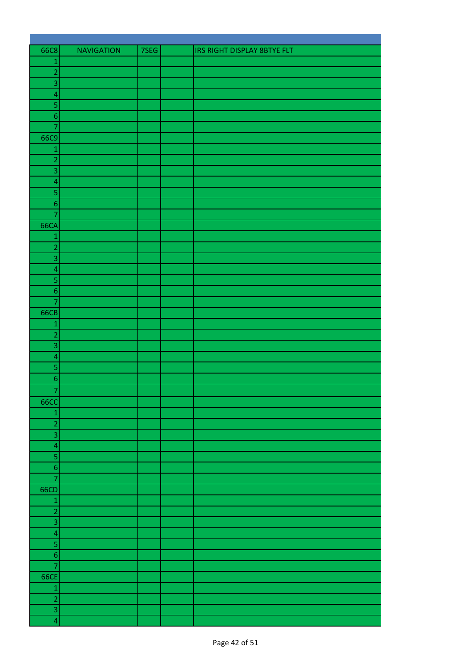| 66C8                      | <b>NAVIGATION</b> | 7SEG | IRS RIGHT DISPLAY 8BTYE FLT |
|---------------------------|-------------------|------|-----------------------------|
| $\mathbf 1$               |                   |      |                             |
| $\overline{a}$            |                   |      |                             |
| 3                         |                   |      |                             |
| $\overline{\mathbf{4}}$   |                   |      |                             |
| 5                         |                   |      |                             |
| $\overline{6}$            |                   |      |                             |
| $\overline{\mathcal{I}}$  |                   |      |                             |
| 66C9                      |                   |      |                             |
| $\mathbf 1$               |                   |      |                             |
| $\overline{2}$            |                   |      |                             |
| $\overline{3}$            |                   |      |                             |
| $\overline{\mathcal{L}}$  |                   |      |                             |
| 5                         |                   |      |                             |
| $\boldsymbol{6}$          |                   |      |                             |
| $\overline{7}$            |                   |      |                             |
| <b>66CA</b>               |                   |      |                             |
| $\mathbf 1$               |                   |      |                             |
| $\overline{a}$            |                   |      |                             |
| 3                         |                   |      |                             |
| $\overline{a}$            |                   |      |                             |
| $\overline{\mathbf{5}}$   |                   |      |                             |
|                           |                   |      |                             |
| $\boldsymbol{6}$          |                   |      |                             |
| $\overline{7}$            |                   |      |                             |
| <b>66CB</b>               |                   |      |                             |
| $\mathbf 1$               |                   |      |                             |
| $\overline{2}$            |                   |      |                             |
| $\overline{3}$            |                   |      |                             |
| $\overline{\mathbf{4}}$   |                   |      |                             |
| 5                         |                   |      |                             |
| $\boldsymbol{6}$          |                   |      |                             |
| $\overline{7}$            |                   |      |                             |
| <b>66CC</b>               |                   |      |                             |
| $\mathbf{1}$              |                   |      |                             |
| $\overline{2}$            |                   |      |                             |
| $\overline{3}$            |                   |      |                             |
| $\overline{\mathcal{L}}$  |                   |      |                             |
| 5                         |                   |      |                             |
| $\overline{6}$            |                   |      |                             |
| $\overline{7}$            |                   |      |                             |
| 66CD                      |                   |      |                             |
| $\mathbf{1}$              |                   |      |                             |
| $\overline{a}$            |                   |      |                             |
| $\overline{\overline{3}}$ |                   |      |                             |
| $\overline{4}$            |                   |      |                             |
| $\overline{\mathbf{5}}$   |                   |      |                             |
| $\overline{6}$            |                   |      |                             |
| $\overline{7}$            |                   |      |                             |
| <b>66CE</b>               |                   |      |                             |
|                           |                   |      |                             |
| $\mathbf{1}$              |                   |      |                             |
| $\frac{2}{3}$             |                   |      |                             |
|                           |                   |      |                             |
| $\overline{\mathbf{4}}$   |                   |      |                             |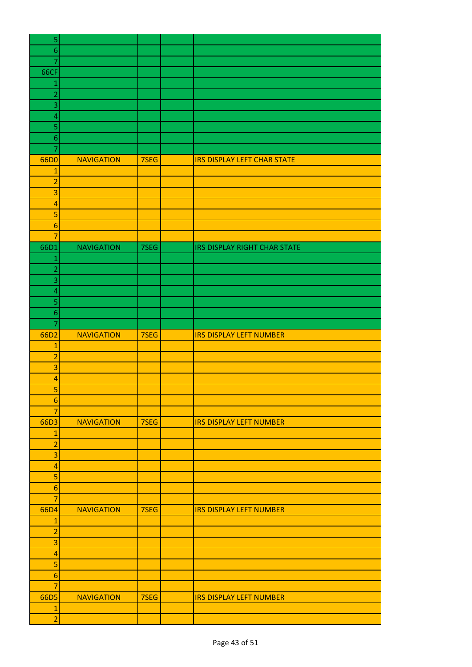| 5                              |                   |      |                                    |
|--------------------------------|-------------------|------|------------------------------------|
| $\boldsymbol{6}$               |                   |      |                                    |
| $\overline{7}$                 |                   |      |                                    |
| 66CF                           |                   |      |                                    |
| 1                              |                   |      |                                    |
| $\overline{2}$                 |                   |      |                                    |
|                                |                   |      |                                    |
| 3                              |                   |      |                                    |
| 4                              |                   |      |                                    |
| 5                              |                   |      |                                    |
| $\boldsymbol{6}$               |                   |      |                                    |
| 7                              |                   |      |                                    |
| 66D0                           | <b>NAVIGATION</b> | 7SEG | <b>IRS DISPLAY LEFT CHAR STATE</b> |
| $\overline{1}$                 |                   |      |                                    |
| $\overline{a}$                 |                   |      |                                    |
| 3                              |                   |      |                                    |
| $\overline{a}$                 |                   |      |                                    |
| 5                              |                   |      |                                    |
| $\boldsymbol{6}$               |                   |      |                                    |
| $\overline{7}$                 |                   |      |                                    |
| 66D1                           | <b>NAVIGATION</b> | 7SEG | IRS DISPLAY RIGHT CHAR STATE       |
|                                |                   |      |                                    |
| $\mathbf{1}$<br>$\overline{2}$ |                   |      |                                    |
|                                |                   |      |                                    |
| 3                              |                   |      |                                    |
| $\overline{a}$                 |                   |      |                                    |
| 5                              |                   |      |                                    |
| $\boldsymbol{6}$               |                   |      |                                    |
| 7                              |                   |      |                                    |
| 66D2                           | <b>NAVIGATION</b> | 7SEG | <b>IRS DISPLAY LEFT NUMBER</b>     |
| $\mathbf{1}$                   |                   |      |                                    |
| $\overline{a}$                 |                   |      |                                    |
| 3                              |                   |      |                                    |
| $\overline{a}$                 |                   |      |                                    |
| 5                              |                   |      |                                    |
| $\boldsymbol{6}$               |                   |      |                                    |
| $\overline{7}$                 |                   |      |                                    |
| 66D3                           | <b>NAVIGATION</b> | 7SEG | <b>IRS DISPLAY LEFT NUMBER</b>     |
|                                |                   |      |                                    |
| $\mathbf 1$                    |                   |      |                                    |
| $\overline{a}$                 |                   |      |                                    |
| 3                              |                   |      |                                    |
| $\overline{a}$                 |                   |      |                                    |
| 5                              |                   |      |                                    |
| $\boldsymbol{6}$               |                   |      |                                    |
| $\overline{7}$                 |                   |      |                                    |
| 66D4                           | <b>NAVIGATION</b> | 7SEG | <b>IRS DISPLAY LEFT NUMBER</b>     |
| $\mathbf{1}$                   |                   |      |                                    |
| $\overline{a}$                 |                   |      |                                    |
| $\overline{\mathbf{3}}$        |                   |      |                                    |
| $\overline{a}$                 |                   |      |                                    |
| 5                              |                   |      |                                    |
| $\boldsymbol{6}$               |                   |      |                                    |
| $\overline{7}$                 |                   |      |                                    |
| 66D5                           | <b>NAVIGATION</b> | 7SEG | <b>IRS DISPLAY LEFT NUMBER</b>     |
|                                |                   |      |                                    |
| $\mathbf{1}$                   |                   |      |                                    |
| $\overline{2}$                 |                   |      |                                    |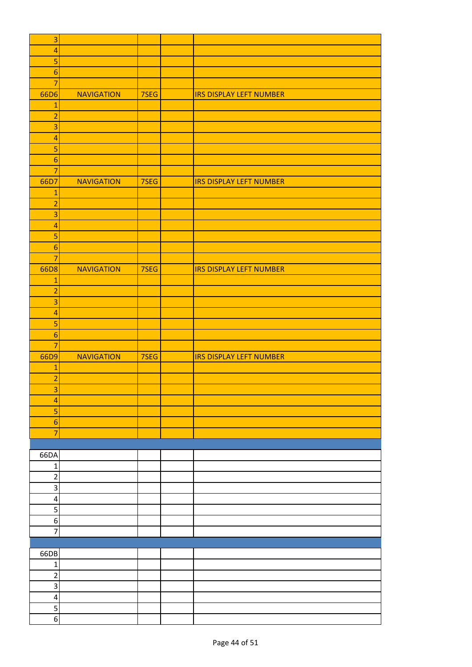| $\overline{\mathbf{3}}$ |                   |      |                                |
|-------------------------|-------------------|------|--------------------------------|
| $\overline{a}$          |                   |      |                                |
| 5                       |                   |      |                                |
| $\boldsymbol{6}$        |                   |      |                                |
| $\overline{7}$          |                   |      |                                |
| 66D6                    | <b>NAVIGATION</b> | 7SEG | <b>IRS DISPLAY LEFT NUMBER</b> |
| $\mathbf{1}$            |                   |      |                                |
| $\overline{a}$          |                   |      |                                |
| 3                       |                   |      |                                |
| $\overline{a}$          |                   |      |                                |
| $\overline{\mathbf{5}}$ |                   |      |                                |
| $\boldsymbol{6}$        |                   |      |                                |
| $\overline{7}$          |                   |      |                                |
|                         |                   |      |                                |
| 66D7                    | <b>NAVIGATION</b> | 7SEG | <b>IRS DISPLAY LEFT NUMBER</b> |
| $\mathbf{1}$            |                   |      |                                |
| $\overline{2}$          |                   |      |                                |
| 3                       |                   |      |                                |
| $\overline{a}$          |                   |      |                                |
| 5                       |                   |      |                                |
| $\boldsymbol{6}$        |                   |      |                                |
| $\overline{7}$          |                   |      |                                |
| 66D8                    | <b>NAVIGATION</b> | 7SEG | <b>IRS DISPLAY LEFT NUMBER</b> |
| $\mathbf{1}$            |                   |      |                                |
| $\overline{a}$          |                   |      |                                |
| 3                       |                   |      |                                |
| $\overline{a}$          |                   |      |                                |
| 5                       |                   |      |                                |
| $6\phantom{1}6$         |                   |      |                                |
| $\overline{7}$          |                   |      |                                |
| 66D9                    | <b>NAVIGATION</b> | 7SEG | <b>IRS DISPLAY LEFT NUMBER</b> |
| $\mathbf{1}$            |                   |      |                                |
| $\overline{a}$          |                   |      |                                |
| $\overline{3}$          |                   |      |                                |
| $\overline{\mathbf{4}}$ |                   |      |                                |
| 5                       |                   |      |                                |
| $6 \overline{6}$        |                   |      |                                |
| $\overline{7}$          |                   |      |                                |
|                         |                   |      |                                |
|                         |                   |      |                                |
| 66DA                    |                   |      |                                |
| $\mathbf 1$             |                   |      |                                |
| $\overline{c}$          |                   |      |                                |
| $\overline{3}$          |                   |      |                                |
| $\pmb{4}$               |                   |      |                                |
| 5                       |                   |      |                                |
| $\boldsymbol{6}$        |                   |      |                                |
| 7                       |                   |      |                                |
|                         |                   |      |                                |
| 66DB                    |                   |      |                                |
| $\mathbf{1}$            |                   |      |                                |
| $\overline{a}$          |                   |      |                                |
| $\overline{3}$          |                   |      |                                |
| $\pmb{4}$               |                   |      |                                |
| $\overline{5}$          |                   |      |                                |
| $\overline{6}$          |                   |      |                                |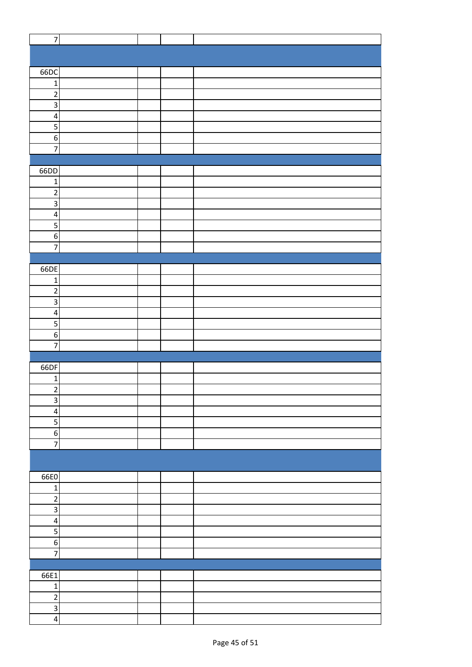| $\overline{7}$          |  |  |
|-------------------------|--|--|
|                         |  |  |
|                         |  |  |
| 66DC                    |  |  |
| $\mathbf{1}$            |  |  |
|                         |  |  |
| $\overline{2}$          |  |  |
| $\mathsf 3$             |  |  |
| $\overline{\mathbf{4}}$ |  |  |
| $\overline{\mathbf{5}}$ |  |  |
| $\boldsymbol{6}$        |  |  |
| $\overline{7}$          |  |  |
|                         |  |  |
| 66DD                    |  |  |
| $\mathbf 1$             |  |  |
| $\overline{c}$          |  |  |
| $\overline{\mathbf{3}}$ |  |  |
| $\overline{\mathbf{4}}$ |  |  |
| $\overline{\mathbf{5}}$ |  |  |
|                         |  |  |
| $\boldsymbol{6}$        |  |  |
| $\overline{7}$          |  |  |
|                         |  |  |
| 66DE                    |  |  |
| $\mathbf{1}$            |  |  |
| $\overline{2}$          |  |  |
| $\overline{3}$          |  |  |
| $\overline{\mathbf{r}}$ |  |  |
| 5                       |  |  |
| $\boldsymbol{6}$        |  |  |
| $\overline{7}$          |  |  |
|                         |  |  |
| 66DF                    |  |  |
| $\mathbf 1$             |  |  |
| $\overline{a}$          |  |  |
| $\mathbf{3}$            |  |  |
|                         |  |  |
| $\pmb{4}$               |  |  |
| 5                       |  |  |
| $\boldsymbol{6}$        |  |  |
| $\overline{7}$          |  |  |
|                         |  |  |
|                         |  |  |
| 66E0                    |  |  |
| $\mathbf 1$             |  |  |
| $\overline{2}$          |  |  |
| $\mathsf 3$             |  |  |
| $\pmb{4}$               |  |  |
| 5                       |  |  |
| $\boldsymbol{6}$        |  |  |
| $\overline{7}$          |  |  |
|                         |  |  |
|                         |  |  |
| 66E1                    |  |  |
| $\mathbf 1$             |  |  |
| $\overline{2}$          |  |  |
| $\overline{3}$          |  |  |
| $\pmb{4}$               |  |  |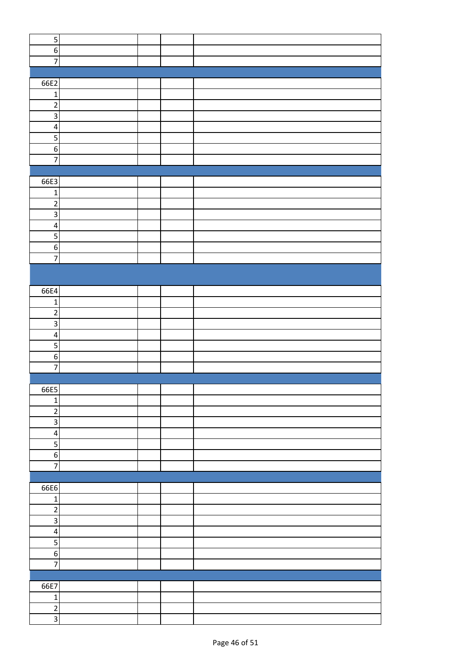| $\overline{\mathbf{5}}$ |  |  |
|-------------------------|--|--|
|                         |  |  |
| $6 \overline{6}$        |  |  |
| $\overline{7}$          |  |  |
|                         |  |  |
| 66E2                    |  |  |
|                         |  |  |
| $\mathbf 1$             |  |  |
| $\overline{2}$          |  |  |
| Ψ                       |  |  |
| $\overline{\mathbf{4}}$ |  |  |
|                         |  |  |
| $\overline{5}$          |  |  |
| $6 \overline{6}$        |  |  |
| $\overline{7}$          |  |  |
|                         |  |  |
| 66E3                    |  |  |
|                         |  |  |
| $\mathbf 1$             |  |  |
| $\overline{2}$          |  |  |
| $\overline{3}$          |  |  |
| $\overline{\mathbf{4}}$ |  |  |
| $\overline{5}$          |  |  |
|                         |  |  |
| $\overline{6}$          |  |  |
| $\overline{7}$          |  |  |
|                         |  |  |
|                         |  |  |
| 66E4                    |  |  |
|                         |  |  |
| $\mathbf{1}$            |  |  |
| $\overline{\mathbf{c}}$ |  |  |
| $\overline{3}$          |  |  |
| $\overline{\mathbf{4}}$ |  |  |
| $\overline{5}$          |  |  |
|                         |  |  |
| $\overline{6}$          |  |  |
| $\overline{7}$          |  |  |
|                         |  |  |
| 66E5                    |  |  |
| $\mathbf 1$             |  |  |
| $\overline{2}$          |  |  |
|                         |  |  |
| $\overline{\mathbf{3}}$ |  |  |
| $\overline{\mathbf{A}}$ |  |  |
| $\overline{\mathbf{5}}$ |  |  |
| $6 \mid$                |  |  |
| $\overline{7}$          |  |  |
|                         |  |  |
|                         |  |  |
| 66E6                    |  |  |
| $\mathbf 1$             |  |  |
| $\overline{2}$          |  |  |
| $\overline{\mathbf{3}}$ |  |  |
|                         |  |  |
| $\vert 4 \vert$         |  |  |
| $\overline{\mathbf{5}}$ |  |  |
| $6 \mid$                |  |  |
| $\overline{7}$          |  |  |
|                         |  |  |
|                         |  |  |
| 66E7                    |  |  |
| $\mathbf 1$             |  |  |
| $\overline{2}$          |  |  |
| $\overline{3}$          |  |  |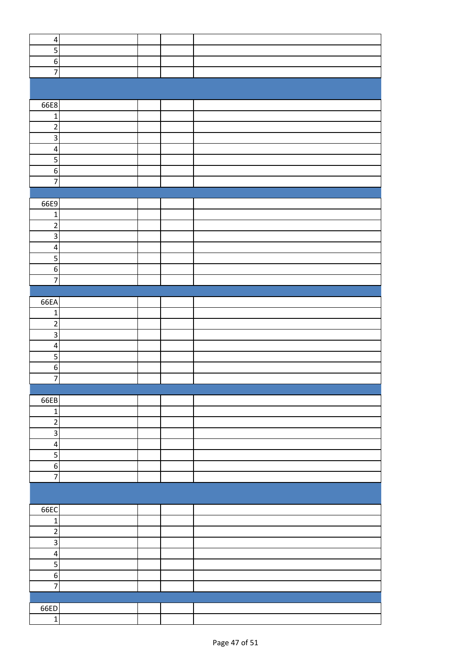| $\pmb{4}$               |  |  |
|-------------------------|--|--|
| 5                       |  |  |
| $\sigma$                |  |  |
| $\overline{7}$          |  |  |
|                         |  |  |
|                         |  |  |
|                         |  |  |
| 66E8                    |  |  |
|                         |  |  |
| $\mathbf 1$             |  |  |
| $\overline{2}$          |  |  |
| $\overline{3}$          |  |  |
| $\overline{4}$          |  |  |
| $\overline{5}$          |  |  |
| $\overline{6}$          |  |  |
|                         |  |  |
| $\overline{7}$          |  |  |
|                         |  |  |
| 66E9                    |  |  |
| $\mathbf 1$             |  |  |
| $\overline{c}$          |  |  |
|                         |  |  |
| 3                       |  |  |
| $\overline{\mathbf{4}}$ |  |  |
| $\overline{5}$          |  |  |
| $\sigma$                |  |  |
| $\overline{7}$          |  |  |
|                         |  |  |
|                         |  |  |
| 66EA                    |  |  |
| $\mathbf 1$             |  |  |
| $\overline{2}$          |  |  |
| 3                       |  |  |
| $\overline{\mathbf{r}}$ |  |  |
|                         |  |  |
| 5                       |  |  |
| $\overline{6}$          |  |  |
| $\overline{7}$          |  |  |
|                         |  |  |
| 66EB                    |  |  |
| $\mathbf 1$             |  |  |
|                         |  |  |
| $\overline{c}$          |  |  |
| $\overline{3}$          |  |  |
| $\pmb{4}$               |  |  |
| 5                       |  |  |
| $\overline{6}$          |  |  |
| $\overline{7}$          |  |  |
|                         |  |  |
|                         |  |  |
|                         |  |  |
| 66EC                    |  |  |
| $\mathbf 1$             |  |  |
| $\overline{2}$          |  |  |
|                         |  |  |
| $\overline{\mathbf{3}}$ |  |  |
| $\pmb{4}$               |  |  |
| 5                       |  |  |
| $\overline{6}$          |  |  |
| $\overline{7}$          |  |  |
|                         |  |  |
|                         |  |  |
| 66ED                    |  |  |
| $\mathbf 1$             |  |  |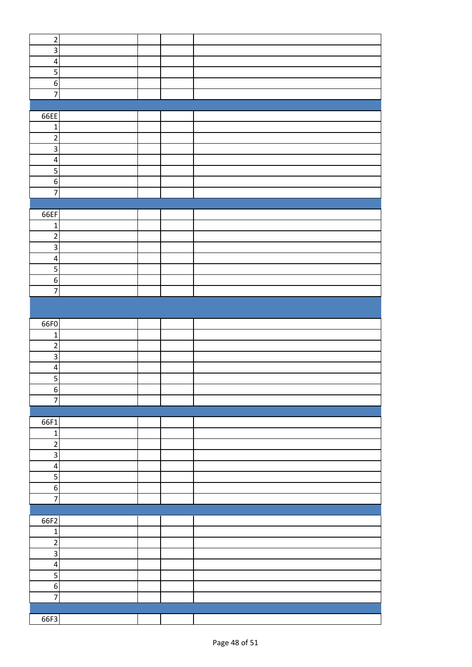| $\mathbf 2$             |  |  |
|-------------------------|--|--|
| $\overline{3}$          |  |  |
| $\overline{\mathbf{r}}$ |  |  |
|                         |  |  |
| 5                       |  |  |
| $\boldsymbol{6}$        |  |  |
| $\overline{7}$          |  |  |
|                         |  |  |
|                         |  |  |
| 66EE                    |  |  |
| $\mathbf{1}$            |  |  |
| $\overline{2}$          |  |  |
|                         |  |  |
| $\overline{\mathbf{3}}$ |  |  |
| $\overline{\mathbf{r}}$ |  |  |
| $\overline{\mathbf{5}}$ |  |  |
| $\sigma$                |  |  |
|                         |  |  |
| $\overline{7}$          |  |  |
|                         |  |  |
| 66EF                    |  |  |
| $\mathbf 1$             |  |  |
|                         |  |  |
| $\overline{2}$          |  |  |
| $\overline{\mathbf{3}}$ |  |  |
| $\overline{\mathbf{4}}$ |  |  |
| $\overline{\mathbf{5}}$ |  |  |
|                         |  |  |
| $\sigma$                |  |  |
| $\overline{7}$          |  |  |
|                         |  |  |
|                         |  |  |
|                         |  |  |
| 66F0                    |  |  |
| $\mathbf 1$             |  |  |
| $\overline{2}$          |  |  |
|                         |  |  |
| $\overline{\mathbf{3}}$ |  |  |
| $\overline{\mathbf{4}}$ |  |  |
| $\overline{\mathbf{5}}$ |  |  |
| 6                       |  |  |
| $\overline{7}$          |  |  |
|                         |  |  |
|                         |  |  |
| 66F1                    |  |  |
| $\mathbf 1$             |  |  |
|                         |  |  |
| $\mathbf 2$             |  |  |
| 3                       |  |  |
| $\overline{\mathbf{4}}$ |  |  |
| 5                       |  |  |
|                         |  |  |
| $\boldsymbol{6}$        |  |  |
| $\overline{7}$          |  |  |
|                         |  |  |
| 66F2                    |  |  |
|                         |  |  |
| $\mathbf 1$             |  |  |
| $\overline{2}$          |  |  |
| $\overline{\mathbf{3}}$ |  |  |
| $\pmb{4}$               |  |  |
|                         |  |  |
| 5                       |  |  |
| $\boldsymbol{6}$        |  |  |
| $\overline{7}$          |  |  |
|                         |  |  |
|                         |  |  |
| 66F3                    |  |  |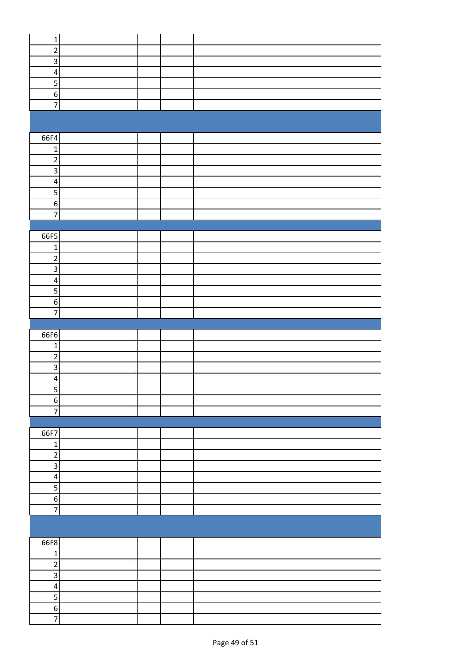| $\mathbf 1$                |  |  |
|----------------------------|--|--|
| $\sqrt{2}$                 |  |  |
| $\overline{3}$             |  |  |
| $\overline{\mathbf{4}}$    |  |  |
| $\overline{5}$             |  |  |
|                            |  |  |
| $\boldsymbol{6}$           |  |  |
| $\overline{7}$             |  |  |
|                            |  |  |
|                            |  |  |
|                            |  |  |
| 66F4                       |  |  |
| $\mathbf 1$                |  |  |
| $\overline{c}$             |  |  |
| $\overline{3}$             |  |  |
| $\overline{\mathbf{4}}$    |  |  |
| $\overline{5}$             |  |  |
|                            |  |  |
| $\boldsymbol{6}$           |  |  |
| $\overline{7}$             |  |  |
|                            |  |  |
| 66F5                       |  |  |
| $\mathbf 1$                |  |  |
| $\overline{\mathbf{c}}$    |  |  |
|                            |  |  |
| ن                          |  |  |
| $\pmb{4}$                  |  |  |
| $\overline{5}$             |  |  |
| $\boldsymbol{6}$           |  |  |
| $\overline{7}$             |  |  |
|                            |  |  |
|                            |  |  |
|                            |  |  |
| 66F6                       |  |  |
| $\mathbf{1}$               |  |  |
|                            |  |  |
| $\overline{2}$             |  |  |
| $\overline{3}$             |  |  |
| $\overline{\mathbf{r}}$    |  |  |
| $\overline{\mathbf{5}}$    |  |  |
| $\overline{6}$             |  |  |
| $\overline{z}$             |  |  |
|                            |  |  |
|                            |  |  |
| 66F7                       |  |  |
| $\mathbf 1$                |  |  |
| $\overline{2}$             |  |  |
| $\overline{\mathbf{3}}$    |  |  |
|                            |  |  |
| $\pmb{4}$                  |  |  |
| $\overline{5}$             |  |  |
| $6 \mid$                   |  |  |
| $\overline{z}$             |  |  |
|                            |  |  |
|                            |  |  |
|                            |  |  |
| 66F8                       |  |  |
| $\mathbf 1$                |  |  |
| $\overline{2}$             |  |  |
| ن                          |  |  |
| $\overline{\mathbf{r}}$    |  |  |
|                            |  |  |
| 5                          |  |  |
| $6 \mid$<br>$\overline{7}$ |  |  |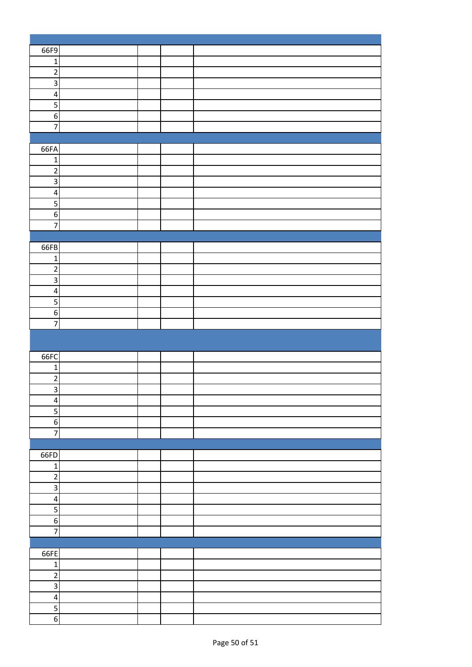| 66F9                                      |  |  |
|-------------------------------------------|--|--|
| $\mathbf 1$                               |  |  |
| $\overline{c}$                            |  |  |
| $\overline{\mathbf{3}}$                   |  |  |
| $\pmb{4}$                                 |  |  |
| $\overline{\mathbf{5}}$                   |  |  |
| $\sigma$                                  |  |  |
| $\overline{7}$                            |  |  |
|                                           |  |  |
|                                           |  |  |
| 66FA                                      |  |  |
| $\mathbf{1}$                              |  |  |
| $\overline{2}$                            |  |  |
| $\overline{\mathbf{3}}$                   |  |  |
| $\pmb{4}$                                 |  |  |
| 5                                         |  |  |
| $\boldsymbol{6}$                          |  |  |
| $\overline{7}$                            |  |  |
|                                           |  |  |
| 66FB                                      |  |  |
| $\mathbf 1$                               |  |  |
| $\sqrt{2}$                                |  |  |
| $\overline{3}$                            |  |  |
| $\pmb{4}$                                 |  |  |
| $\overline{5}$                            |  |  |
| $\boldsymbol{6}$                          |  |  |
| $\overline{7}$                            |  |  |
|                                           |  |  |
|                                           |  |  |
|                                           |  |  |
|                                           |  |  |
| 66FC                                      |  |  |
| $\mathbf{1}$                              |  |  |
| $\sqrt{2}$                                |  |  |
| $\overline{3}$                            |  |  |
| $\overline{\mathbf{r}}$                   |  |  |
| $\overline{5}$                            |  |  |
| $6 \mid$                                  |  |  |
| $\overline{z}$                            |  |  |
|                                           |  |  |
| 66FD                                      |  |  |
| $\mathbf 1$                               |  |  |
| $\overline{2}$                            |  |  |
| $\overline{3}$                            |  |  |
| $\pmb{4}$                                 |  |  |
| $\overline{5}$                            |  |  |
| $6 \mid$                                  |  |  |
| $\overline{7}$                            |  |  |
|                                           |  |  |
| 66FE                                      |  |  |
| $\mathbf 1$                               |  |  |
| $\overline{2}$                            |  |  |
| ن                                         |  |  |
| $\pmb{4}$                                 |  |  |
| $\overline{\mathbf{5}}$<br>$\overline{6}$ |  |  |